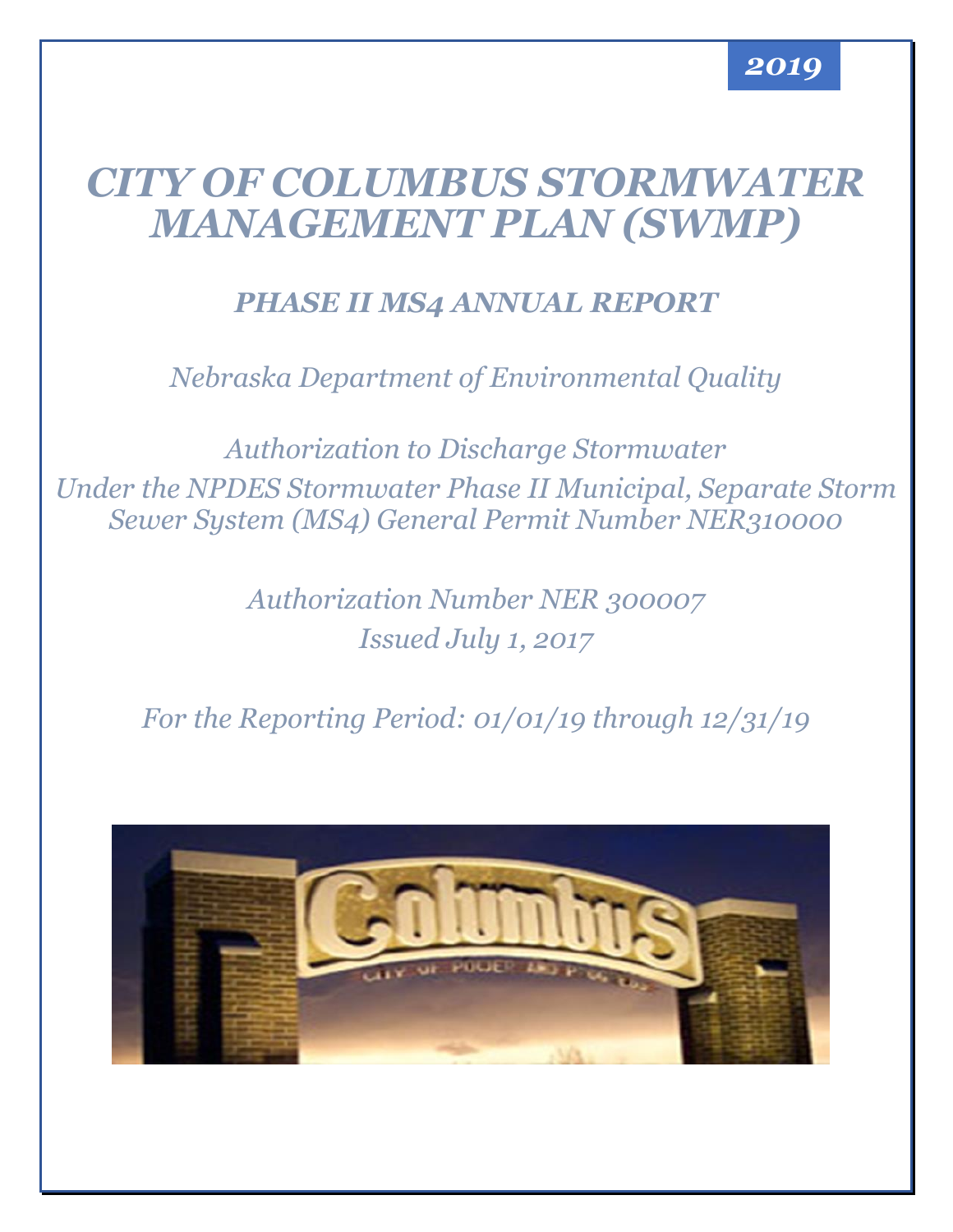

# *CITY OF COLUMBUS STORMWATER MANAGEMENT PLAN (SWMP)*

## *PHASE II MS4 ANNUAL REPORT*

*Nebraska Department of Environmental Quality*

*Authorization to Discharge Stormwater Under the NPDES Stormwater Phase II Municipal, Separate Storm Sewer System (MS4) General Permit Number NER310000*

> *Authorization Number NER 300007 Issued July 1, 2017*

*For the Reporting Period: 01/01/19 through 12/31/19*

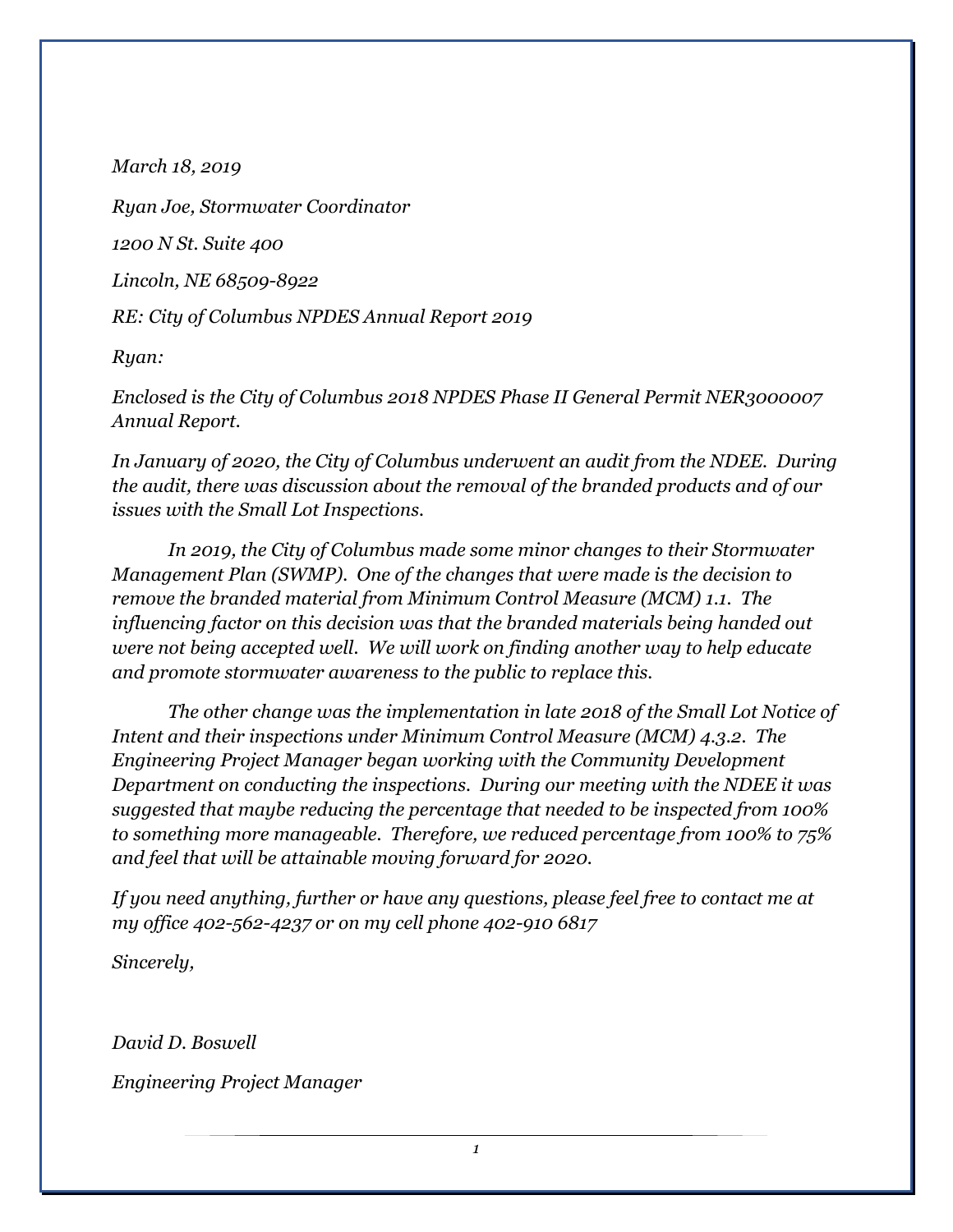*March 18, 2019*

*Ryan Joe, Stormwater Coordinator 1200 N St. Suite 400 Lincoln, NE 68509-8922 RE: City of Columbus NPDES Annual Report 2019*

*Ryan:*

*Enclosed is the City of Columbus 2018 NPDES Phase II General Permit NER3000007 Annual Report.*

*In January of 2020, the City of Columbus underwent an audit from the NDEE. During the audit, there was discussion about the removal of the branded products and of our issues with the Small Lot Inspections.* 

*In 2019, the City of Columbus made some minor changes to their Stormwater Management Plan (SWMP). One of the changes that were made is the decision to remove the branded material from Minimum Control Measure (MCM) 1.1. The influencing factor on this decision was that the branded materials being handed out were not being accepted well. We will work on finding another way to help educate and promote stormwater awareness to the public to replace this.*

*The other change was the implementation in late 2018 of the Small Lot Notice of Intent and their inspections under Minimum Control Measure (MCM) 4.3.2. The Engineering Project Manager began working with the Community Development Department on conducting the inspections. During our meeting with the NDEE it was suggested that maybe reducing the percentage that needed to be inspected from 100% to something more manageable. Therefore, we reduced percentage from 100% to 75% and feel that will be attainable moving forward for 2020.*

*If you need anything, further or have any questions, please feel free to contact me at my office 402-562-4237 or on my cell phone 402-910 6817*

*Sincerely,*

*David D. Boswell*

*Engineering Project Manager*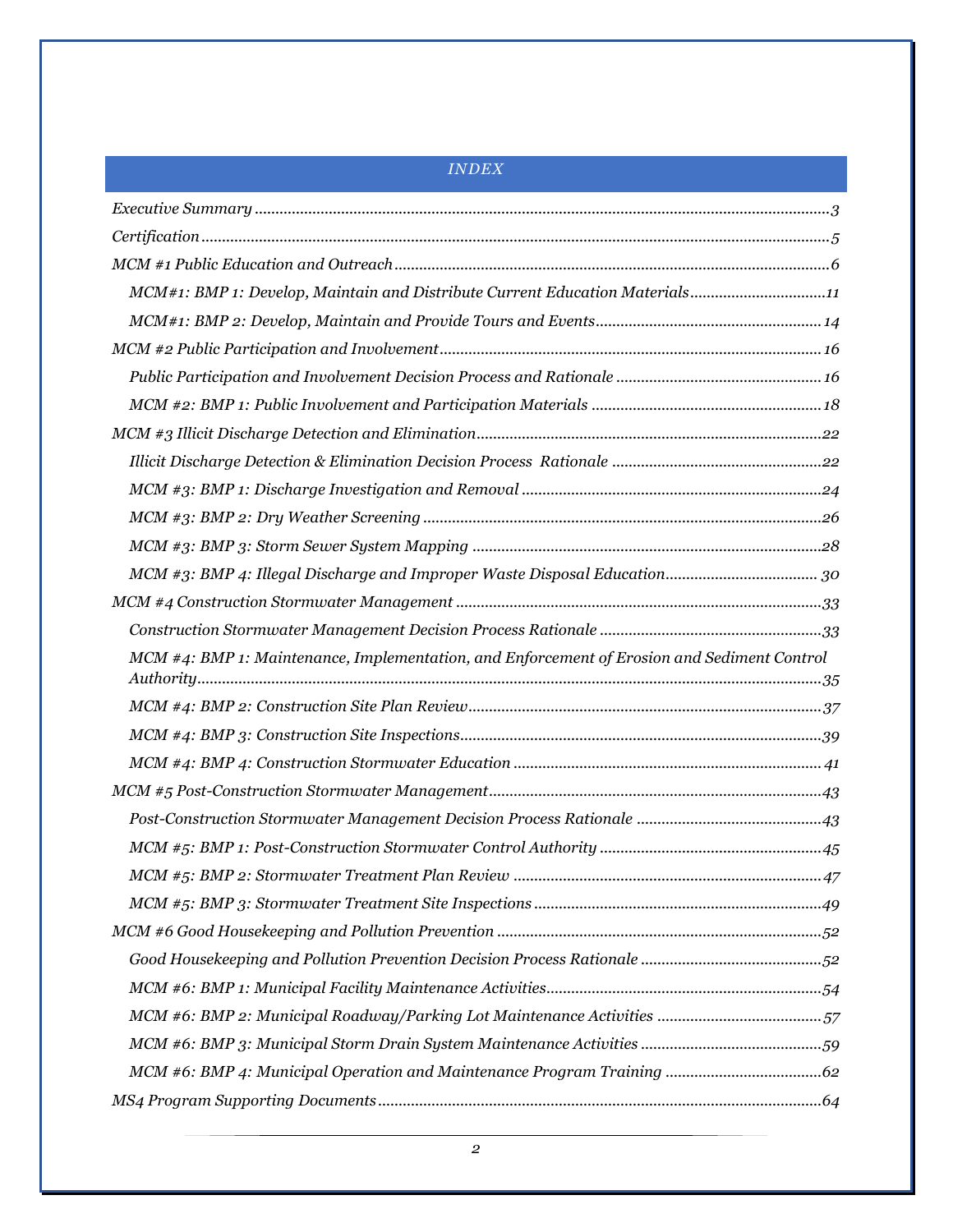#### *INDEX*

| MCM#1: BMP 1: Develop, Maintain and Distribute Current Education Materials11                                 |  |
|--------------------------------------------------------------------------------------------------------------|--|
|                                                                                                              |  |
|                                                                                                              |  |
|                                                                                                              |  |
|                                                                                                              |  |
|                                                                                                              |  |
|                                                                                                              |  |
|                                                                                                              |  |
|                                                                                                              |  |
|                                                                                                              |  |
|                                                                                                              |  |
|                                                                                                              |  |
|                                                                                                              |  |
| MCM #4: BMP 1: Maintenance, Implementation, and Enforcement of Erosion and Sediment Control<br>Authority. 35 |  |
|                                                                                                              |  |
|                                                                                                              |  |
|                                                                                                              |  |
|                                                                                                              |  |
|                                                                                                              |  |
|                                                                                                              |  |
|                                                                                                              |  |
|                                                                                                              |  |
|                                                                                                              |  |
|                                                                                                              |  |
|                                                                                                              |  |
|                                                                                                              |  |
|                                                                                                              |  |
|                                                                                                              |  |
|                                                                                                              |  |
|                                                                                                              |  |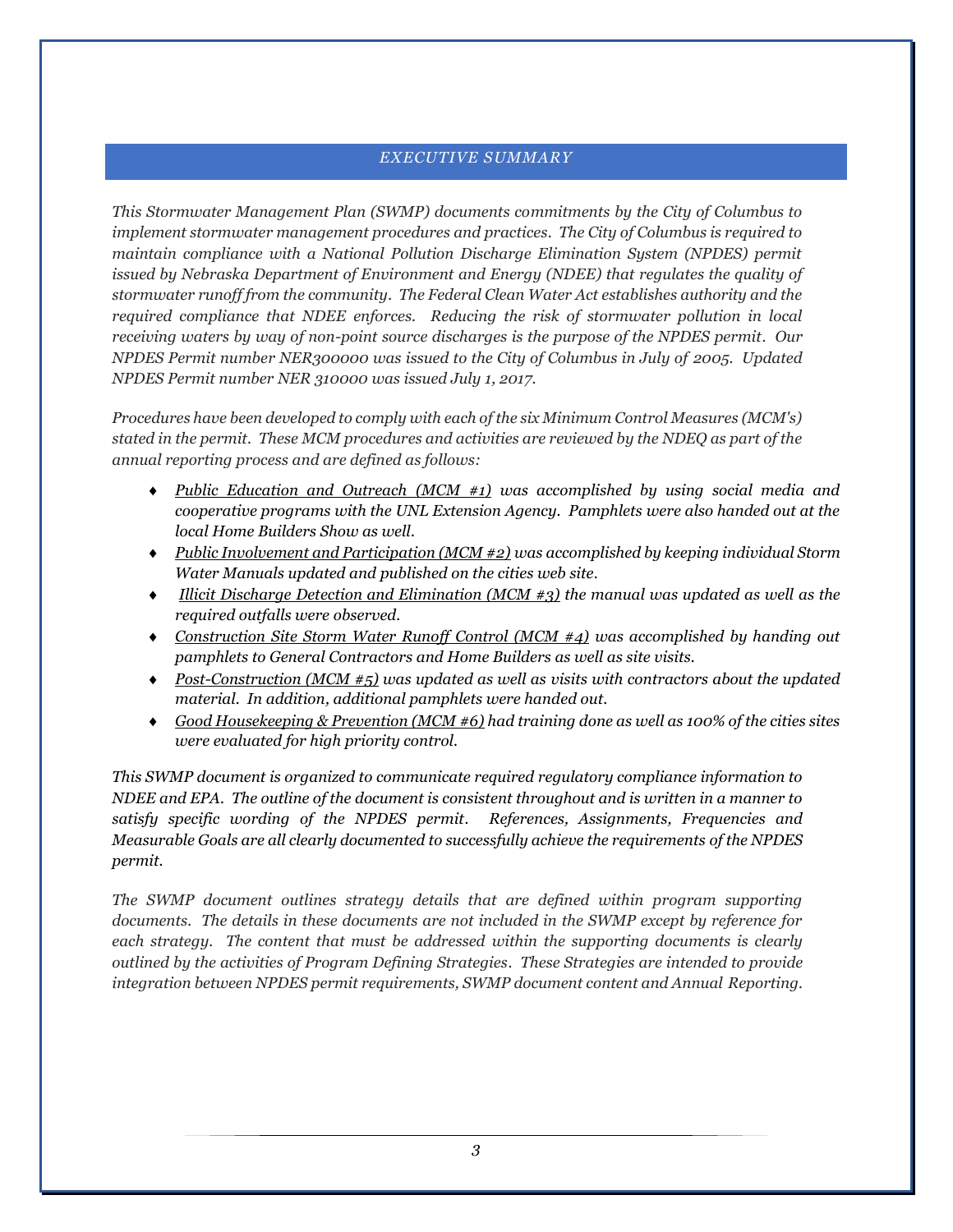#### *EXECUTIVE SUMMARY*

<span id="page-3-0"></span>*This Stormwater Management Plan (SWMP) documents commitments by the City of Columbus to implement stormwater management procedures and practices. The City of Columbus is required to maintain compliance with a National Pollution Discharge Elimination System (NPDES) permit issued by Nebraska Department of Environment and Energy (NDEE) that regulates the quality of stormwater runoff from the community. The Federal Clean Water Act establishes authority and the required compliance that NDEE enforces. Reducing the risk of stormwater pollution in local receiving waters by way of non-point source discharges is the purpose of the NPDES permit. Our NPDES Permit number NER300000 was issued to the City of Columbus in July of 2005. Updated NPDES Permit number NER 310000 was issued July 1, 2017.*

*Procedures have been developed to comply with each of the six Minimum Control Measures (MCM's) stated in the permit. These MCM procedures and activities are reviewed by the NDEQ as part of the annual reporting process and are defined as follows:*

- *Public Education and Outreach (MCM #1) was accomplished by using social media and cooperative programs with the UNL Extension Agency. Pamphlets were also handed out at the local Home Builders Show as well.*
- *Public Involvement and Participation (MCM #2) was accomplished by keeping individual Storm Water Manuals updated and published on the cities web site.*
- *Illicit Discharge Detection and Elimination (MCM #3) the manual was updated as well as the required outfalls were observed.*
- *Construction Site Storm Water Runoff Control (MCM #4) was accomplished by handing out pamphlets to General Contractors and Home Builders as well as site visits.*
- *Post-Construction (MCM #5) was updated as well as visits with contractors about the updated material. In addition, additional pamphlets were handed out.*
- *Good Housekeeping & Prevention (MCM #6) had training done as well as 100% of the cities sites were evaluated for high priority control.*

*This SWMP document is organized to communicate required regulatory compliance information to NDEE and EPA. The outline of the document is consistent throughout and is written in a manner to satisfy specific wording of the NPDES permit. References, Assignments, Frequencies and Measurable Goals are all clearly documented to successfully achieve the requirements of the NPDES permit.*

*The SWMP document outlines strategy details that are defined within program supporting documents. The details in these documents are not included in the SWMP except by reference for*  each strategy. The content that must be addressed within the supporting documents is clearly *outlined by the activities of Program Defining Strategies. These Strategies are intended to provide integration between NPDES permit requirements, SWMP document content and Annual Reporting.*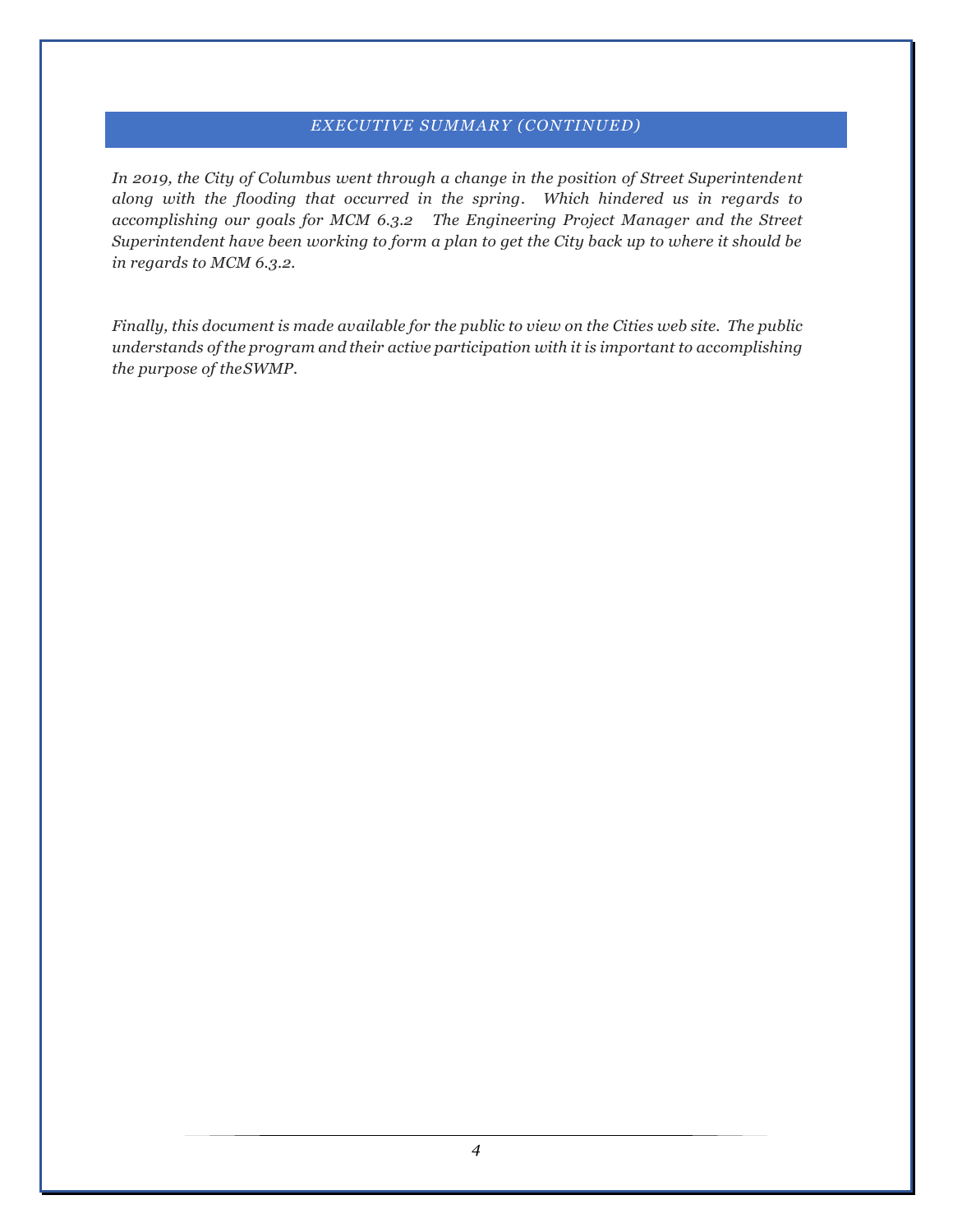#### *EXECUTIVE SUMMARY (CONTINUED)*

*In 2019, the City of Columbus went through a change in the position of Street Superintendent along with the flooding that occurred in the spring. Which hindered us in regards to accomplishing our goals for MCM 6.3.2 The Engineering Project Manager and the Street Superintendent have been working to form a plan to get the City back up to where it should be in regards to MCM 6.3.2.*

*Finally, this document is made available for the public to view on the Cities web site. The public understands of the program and their active participation with it is important to accomplishing the purpose of theSWMP.*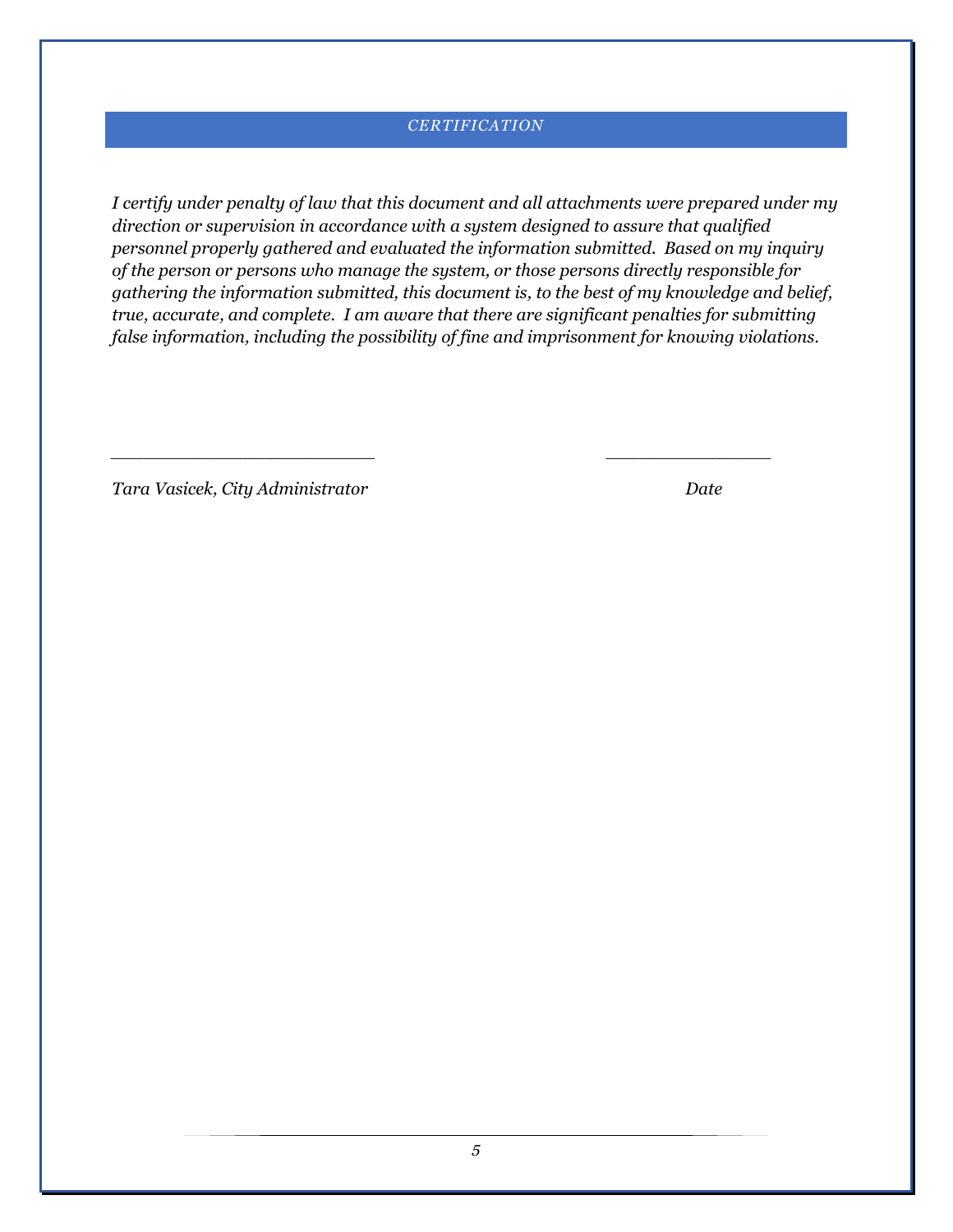#### *CERTIFICATION*

<span id="page-5-0"></span>*I certify under penalty of law that this document and all attachments were prepared under my direction or supervision in accordance with a system designed to assure that qualified personnel properly gathered and evaluated the information submitted. Based on my inquiry of the person or persons who manage the system, or those persons directly responsible for gathering the information submitted, this document is, to the best of my knowledge and belief, true, accurate, and complete. I am aware that there are significant penalties for submitting false information, including the possibility of fine and imprisonment for knowing violations.*

*\_\_\_\_\_\_\_\_\_\_\_\_\_\_\_\_\_\_\_\_\_\_\_\_ \_\_\_\_\_\_\_\_\_\_\_\_\_\_\_*

*Tara Vasicek, City Administrator Date*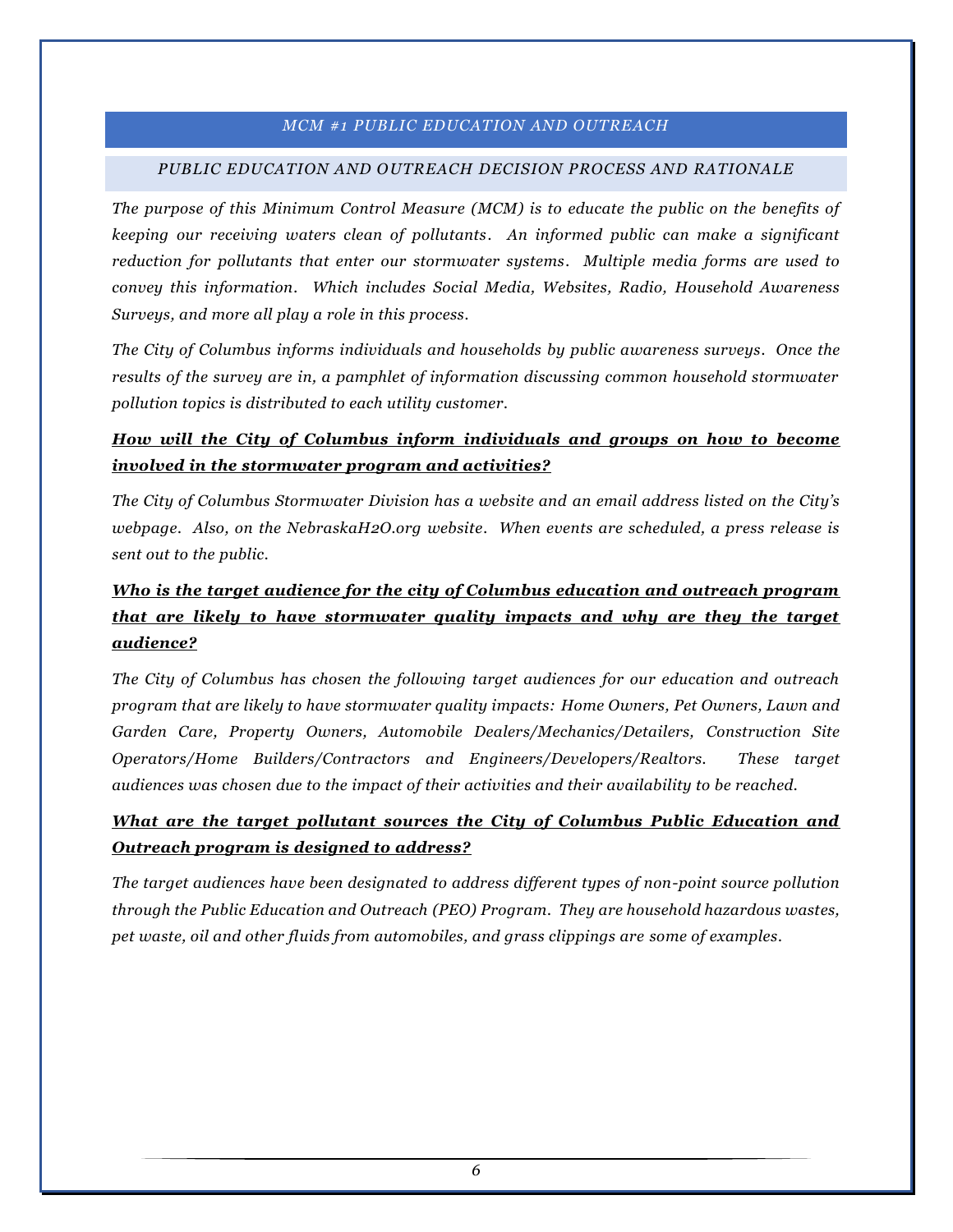#### *MCM #1 PUBLIC EDUCATION AND OUTREACH*

#### <span id="page-6-0"></span>*PUBLIC EDUCATION AND OUTREACH DECISION PROCESS AND RATIONALE*

*The purpose of this Minimum Control Measure (MCM) is to educate the public on the benefits of keeping our receiving waters clean of pollutants. An informed public can make a significant reduction for pollutants that enter our stormwater systems. Multiple media forms are used to convey this information. Which includes Social Media, Websites, Radio, Household Awareness Surveys, and more all play a role in this process.*

*The City of Columbus informs individuals and households by public awareness surveys. Once the results of the survey are in, a pamphlet of information discussing common household stormwater pollution topics is distributed to each utility customer.* 

#### *How will the City of Columbus inform individuals and groups on how to become involved in the stormwater program and activities?*

*The City of Columbus Stormwater Division has a website and an email address listed on the City's webpage. Also, on the NebraskaH2O.org website. When events are scheduled, a press release is sent out to the public.*

### *Who is the target audience for the city of Columbus education and outreach program that are likely to have stormwater quality impacts and why are they the target audience?*

*The City of Columbus has chosen the following target audiences for our education and outreach program that are likely to have stormwater quality impacts: Home Owners, Pet Owners, Lawn and Garden Care, Property Owners, Automobile Dealers/Mechanics/Detailers, Construction Site Operators/Home Builders/Contractors and Engineers/Developers/Realtors. These target audiences was chosen due to the impact of their activities and their availability to be reached.*

#### *What are the target pollutant sources the City of Columbus Public Education and Outreach program is designed to address?*

*The target audiences have been designated to address different types of non-point source pollution through the Public Education and Outreach (PEO) Program. They are household hazardous wastes, pet waste, oil and other fluids from automobiles, and grass clippings are some of examples.*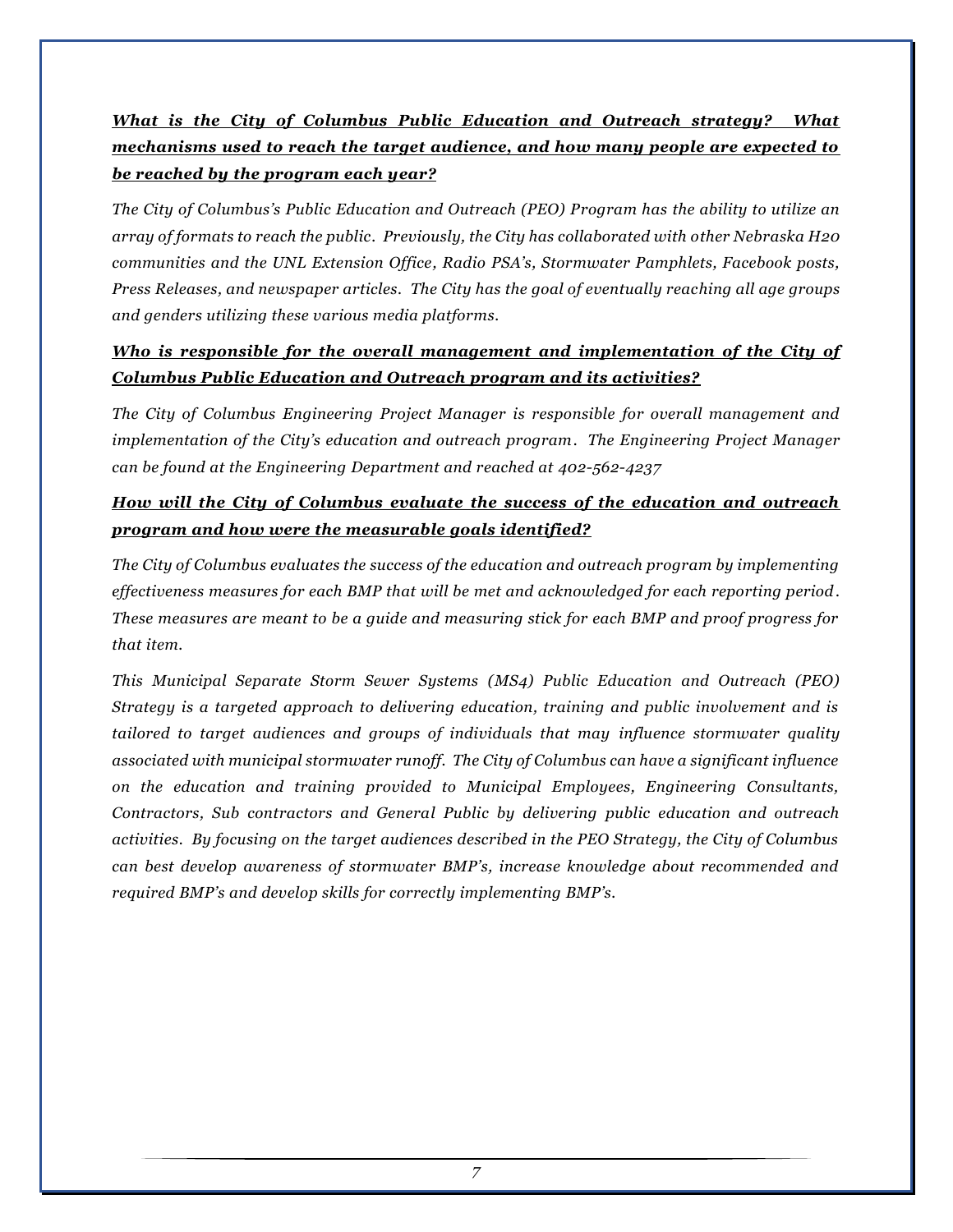### *What is the City of Columbus Public Education and Outreach strategy? What mechanisms used to reach the target audience, and how many people are expected to be reached by the program each year?*

*The City of Columbus's Public Education and Outreach (PEO) Program has the ability to utilize an array of formats to reach the public. Previously, the City has collaborated with other Nebraska H20 communities and the UNL Extension Office, Radio PSA's, Stormwater Pamphlets, Facebook posts, Press Releases, and newspaper articles. The City has the goal of eventually reaching all age groups and genders utilizing these various media platforms.*

### *Who is responsible for the overall management and implementation of the City of Columbus Public Education and Outreach program and its activities?*

*The City of Columbus Engineering Project Manager is responsible for overall management and implementation of the City's education and outreach program. The Engineering Project Manager can be found at the Engineering Department and reached at 402-562-4237*

#### *How will the City of Columbus evaluate the success of the education and outreach program and how were the measurable goals identified?*

*The City of Columbus evaluates the success of the education and outreach program by implementing effectiveness measures for each BMP that will be met and acknowledged for each reporting period . These measures are meant to be a guide and measuring stick for each BMP and proof progress for that item.*

*This Municipal Separate Storm Sewer Systems (MS4) Public Education and Outreach (PEO) Strategy is a targeted approach to delivering education, training and public involvement and is tailored to target audiences and groups of individuals that may influence stormwater quality associated with municipal stormwater runoff. The City of Columbus can have a significant influence on the education and training provided to Municipal Employees, Engineering Consultants, Contractors, Sub contractors and General Public by delivering public education and outreach activities. By focusing on the target audiences described in the PEO Strategy, the City of Columbus can best develop awareness of stormwater BMP's, increase knowledge about recommended and required BMP's and develop skills for correctly implementing BMP's.*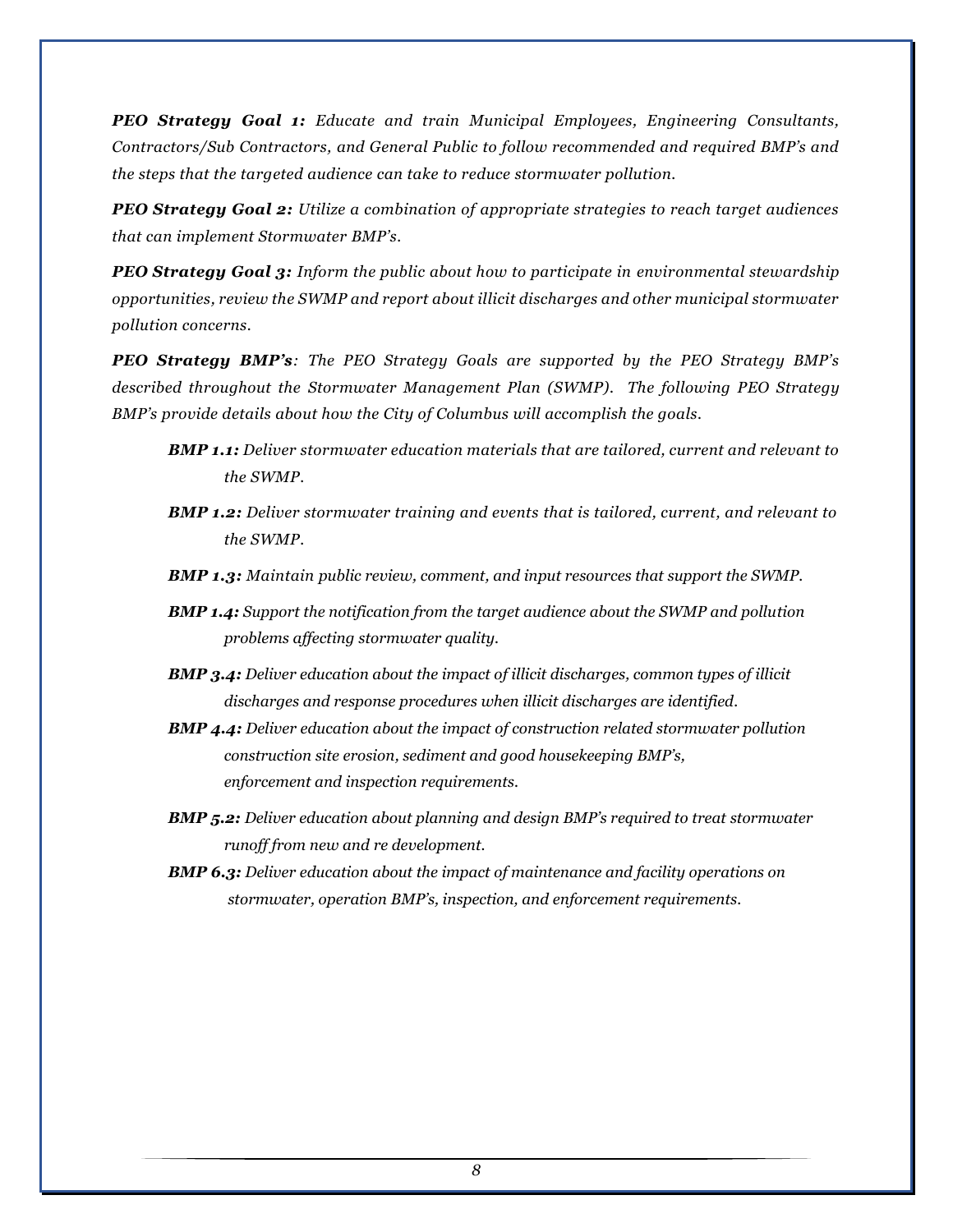*PEO Strategy Goal 1: Educate and train Municipal Employees, Engineering Consultants, Contractors/Sub Contractors, and General Public to follow recommended and required BMP's and the steps that the targeted audience can take to reduce stormwater pollution.*

*PEO Strategy Goal 2: Utilize a combination of appropriate strategies to reach target audiences that can implement Stormwater BMP's.*

*PEO Strategy Goal 3: Inform the public about how to participate in environmental stewardship opportunities, review the SWMP and report about illicit discharges and other municipal stormwater pollution concerns.*

*PEO Strategy BMP's: The PEO Strategy Goals are supported by the PEO Strategy BMP's described throughout the Stormwater Management Plan (SWMP). The following PEO Strategy BMP's provide details about how the City of Columbus will accomplish the goals.*

- *BMP 1.1: Deliver stormwater education materials that are tailored, current and relevant to the SWMP.*
- *BMP 1.2: Deliver stormwater training and events that is tailored, current, and relevant to the SWMP.*
- *BMP 1.3: Maintain public review, comment, and input resources that support the SWMP.*
- *BMP 1.4: Support the notification from the target audience about the SWMP and pollution problems affecting stormwater quality.*
- *BMP 3.4: Deliver education about the impact of illicit discharges, common types of illicit discharges and response procedures when illicit discharges are identified.*
- *BMP 4.4: Deliver education about the impact of construction related stormwater pollution construction site erosion, sediment and good housekeeping BMP's, enforcement and inspection requirements.*
- *BMP 5.2: Deliver education about planning and design BMP's required to treat stormwater runoff from new and re development.*
- *BMP 6.3: Deliver education about the impact of maintenance and facility operations on stormwater, operation BMP's, inspection, and enforcement requirements.*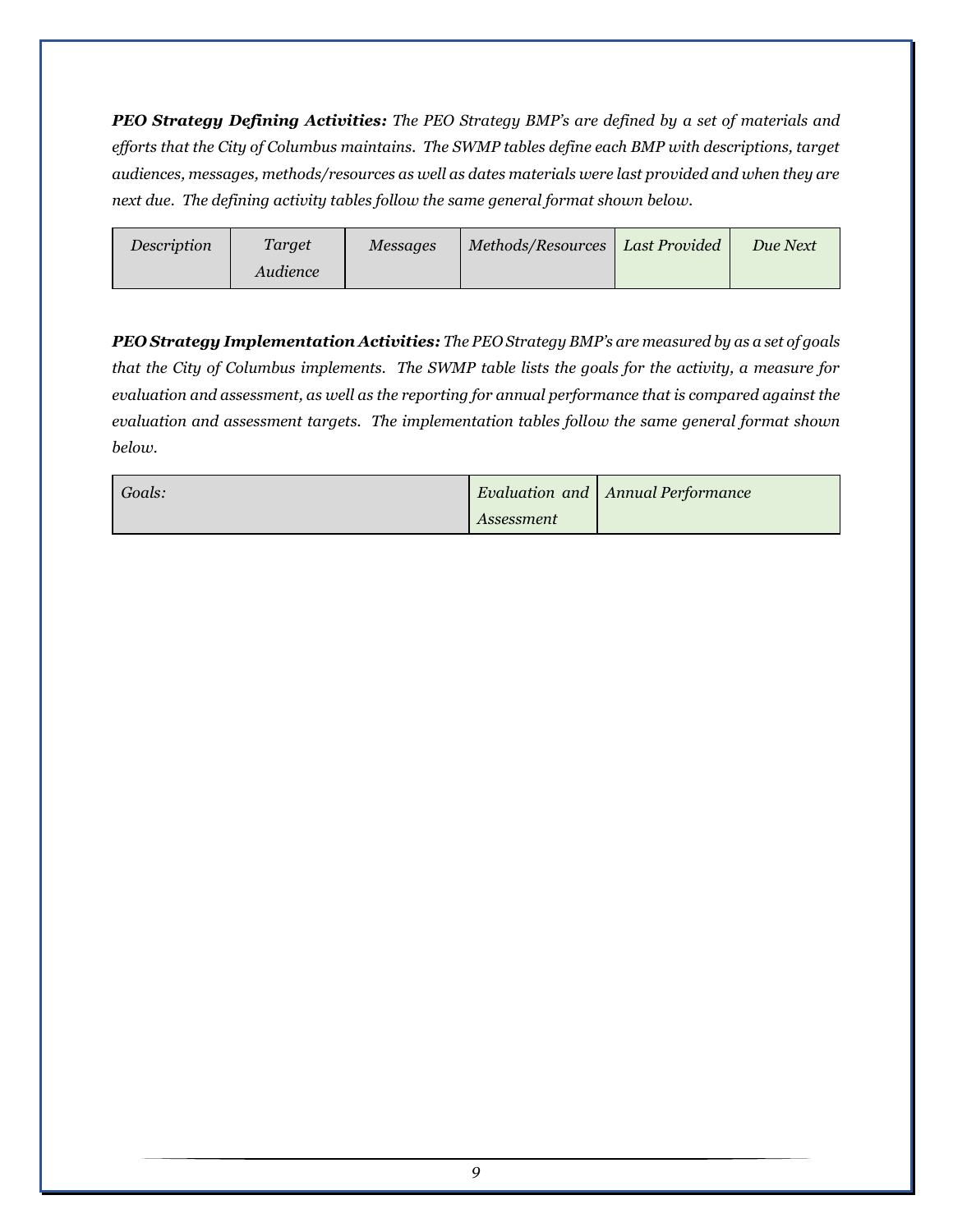*PEO Strategy Defining Activities: The PEO Strategy BMP's are defined by a set of materials and efforts that the City of Columbus maintains. The SWMP tables define each BMP with descriptions, target audiences, messages, methods/resources as well as dates materials were last provided and when they are next due. The defining activity tables follow the same general format shown below.*

| Description | Target   | Messages | Methods/Resources | <b>Last Provided</b> | Due Next |
|-------------|----------|----------|-------------------|----------------------|----------|
|             | Audience |          |                   |                      |          |

*PEO Strategy Implementation Activities: The PEO Strategy BMP's are measured by as a set of goals that the City of Columbus implements. The SWMP table lists the goals for the activity, a measure for evaluation and assessment, as well as the reporting for annual performance that is compared against the evaluation and assessment targets. The implementation tables follow the same general format shown below.*

| Goals: |            | Evaluation and   Annual Performance |
|--------|------------|-------------------------------------|
|        | Assessment |                                     |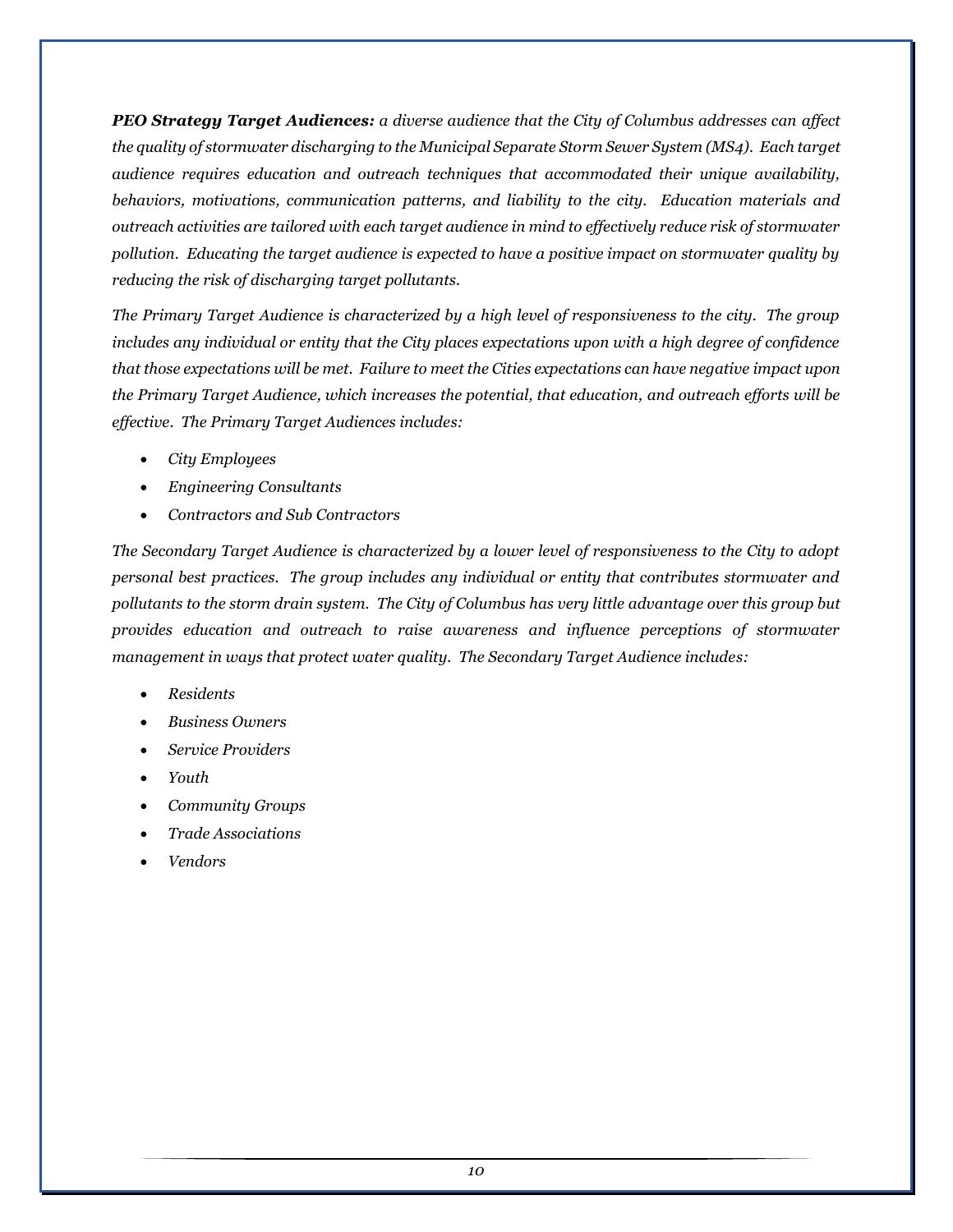*PEO Strategy Target Audiences: a diverse audience that the City of Columbus addresses can affect the quality of stormwater discharging to the Municipal Separate Storm Sewer System (MS4). Each target audience requires education and outreach techniques that accommodated their unique availability, behaviors, motivations, communication patterns, and liability to the city. Education materials and outreach activities are tailored with each target audience in mind to effectively reduce risk of stormwater pollution. Educating the target audience is expected to have a positive impact on stormwater quality by reducing the risk of discharging target pollutants.*

*The Primary Target Audience is characterized by a high level of responsiveness to the city. The group includes any individual or entity that the City places expectations upon with a high degree of confidence that those expectations will be met. Failure to meet the Cities expectations can have negative impact upon the Primary Target Audience, which increases the potential, that education, and outreach efforts will be effective. The Primary Target Audiences includes:*

- *City Employees*
- *Engineering Consultants*
- *Contractors and Sub Contractors*

*The Secondary Target Audience is characterized by a lower level of responsiveness to the City to adopt personal best practices. The group includes any individual or entity that contributes stormwater and pollutants to the storm drain system. The City of Columbus has very little advantage over this group but provides education and outreach to raise awareness and influence perceptions of stormwater management in ways that protect water quality. The Secondary Target Audience includes:*

- *Residents*
- *Business Owners*
- *Service Providers*
- *Youth*
- *Community Groups*
- *Trade Associations*
- *Vendors*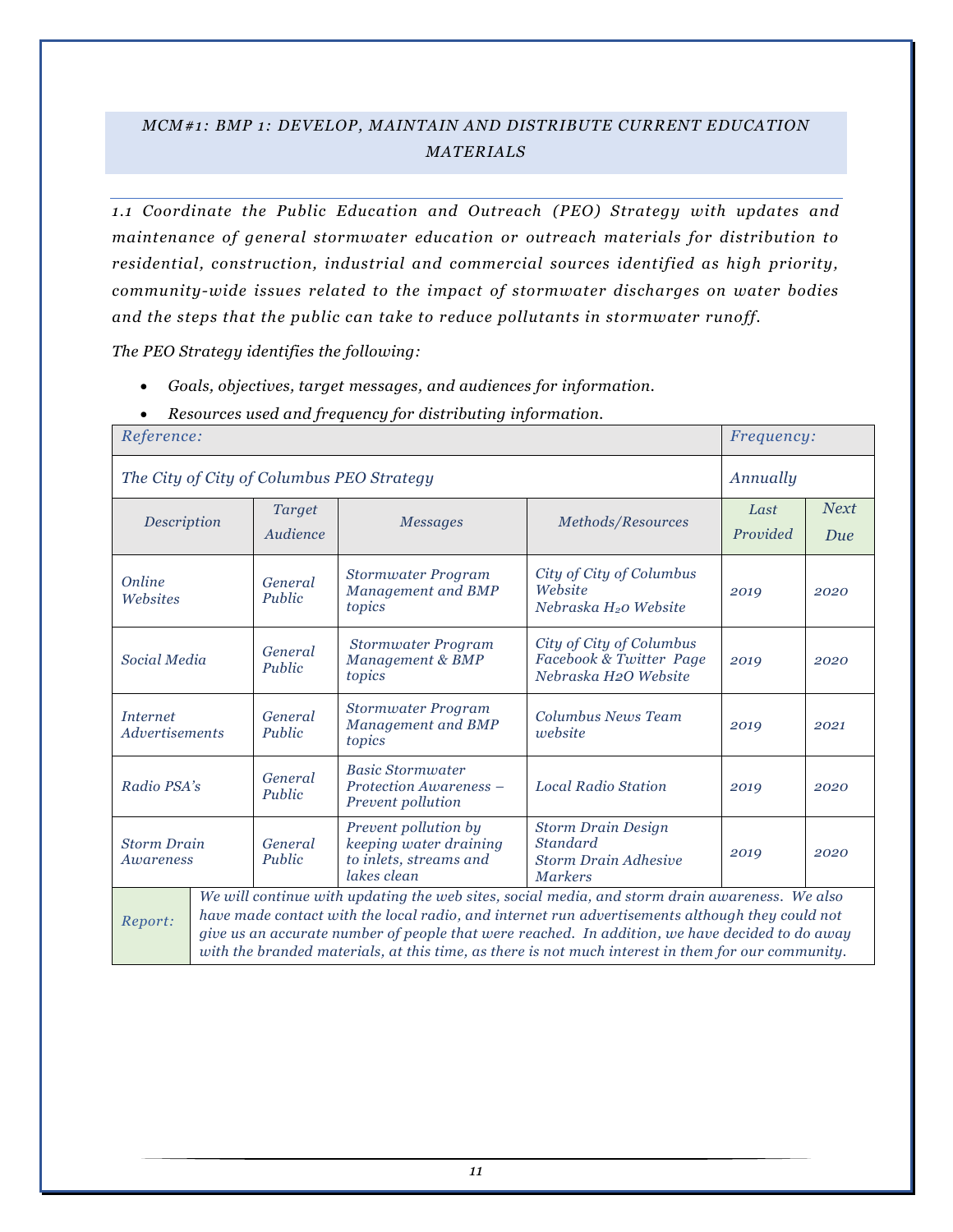### <span id="page-11-0"></span>*MCM#1: BMP 1: DEVELOP, MAINTAIN AND DISTRIBUTE CURRENT EDUCATION MATERIALS*

*1.1 Coordinate the Public Education and Outreach (PEO) Strategy with updates and maintenance of general stormwater education or outreach materials for distribution to residential, construction, industrial and commercial sources identified as high priority, community-wide issues related to the impact of stormwater discharges on water bodies and the steps that the public can take to reduce pollutants in stormwater runoff.* 

*The PEO Strategy identifies the following:*

- *Goals, objectives, target messages, and audiences for information.*
- *Resources used and frequency for distributing information.*

| Reference:                                                                                                                                                                                                                                       |                                                                                                                                                                                                                                                                                                                                                                                                            |                    |                                                                        |                                                                             | Frequency:       |                    |
|--------------------------------------------------------------------------------------------------------------------------------------------------------------------------------------------------------------------------------------------------|------------------------------------------------------------------------------------------------------------------------------------------------------------------------------------------------------------------------------------------------------------------------------------------------------------------------------------------------------------------------------------------------------------|--------------------|------------------------------------------------------------------------|-----------------------------------------------------------------------------|------------------|--------------------|
| The City of City of Columbus PEO Strategy                                                                                                                                                                                                        |                                                                                                                                                                                                                                                                                                                                                                                                            |                    |                                                                        |                                                                             | Annually         |                    |
| Description                                                                                                                                                                                                                                      |                                                                                                                                                                                                                                                                                                                                                                                                            | Target<br>Audience | <b>Messages</b>                                                        | Methods/Resources                                                           | Last<br>Provided | <b>Next</b><br>Due |
| Online<br>Websites                                                                                                                                                                                                                               |                                                                                                                                                                                                                                                                                                                                                                                                            | General<br>Public  | <b>Stormwater Program</b><br>Management and BMP<br>topics              | City of City of Columbus<br>Website<br>Nebraska H <sub>2</sub> O Website    | 2019             | 2020               |
| Social Media                                                                                                                                                                                                                                     |                                                                                                                                                                                                                                                                                                                                                                                                            | General<br>Public  | <b>Stormwater Program</b><br>Management & BMP<br>topics                | City of City of Columbus<br>Facebook & Twitter Page<br>Nebraska H2O Website | 2019             | 2020               |
| <i>Internet</i><br><b>Advertisements</b>                                                                                                                                                                                                         |                                                                                                                                                                                                                                                                                                                                                                                                            | General<br>Public  | <b>Stormwater Program</b><br>Management and BMP<br>topics              | Columbus News Team<br>website                                               | 2019             | 2021               |
| Radio PSA's                                                                                                                                                                                                                                      |                                                                                                                                                                                                                                                                                                                                                                                                            | General<br>Public  | <b>Basic Stormwater</b><br>Protection Awareness -<br>Prevent pollution | <b>Local Radio Station</b>                                                  | 2019             | 2020               |
| <b>Storm Drain Design</b><br>Prevent pollution by<br>keeping water draining<br><b>Standard</b><br><b>Storm Drain</b><br>General<br>Public<br>to inlets, streams and<br><b>Storm Drain Adhesive</b><br>Awareness<br>lakes clean<br><b>Markers</b> |                                                                                                                                                                                                                                                                                                                                                                                                            | 2019               | 2020                                                                   |                                                                             |                  |                    |
| Report:                                                                                                                                                                                                                                          | We will continue with updating the web sites, social media, and storm drain awareness. We also<br>have made contact with the local radio, and internet run advertisements although they could not<br>give us an accurate number of people that were reached. In addition, we have decided to do away<br>with the branded materials, at this time, as there is not much interest in them for our community. |                    |                                                                        |                                                                             |                  |                    |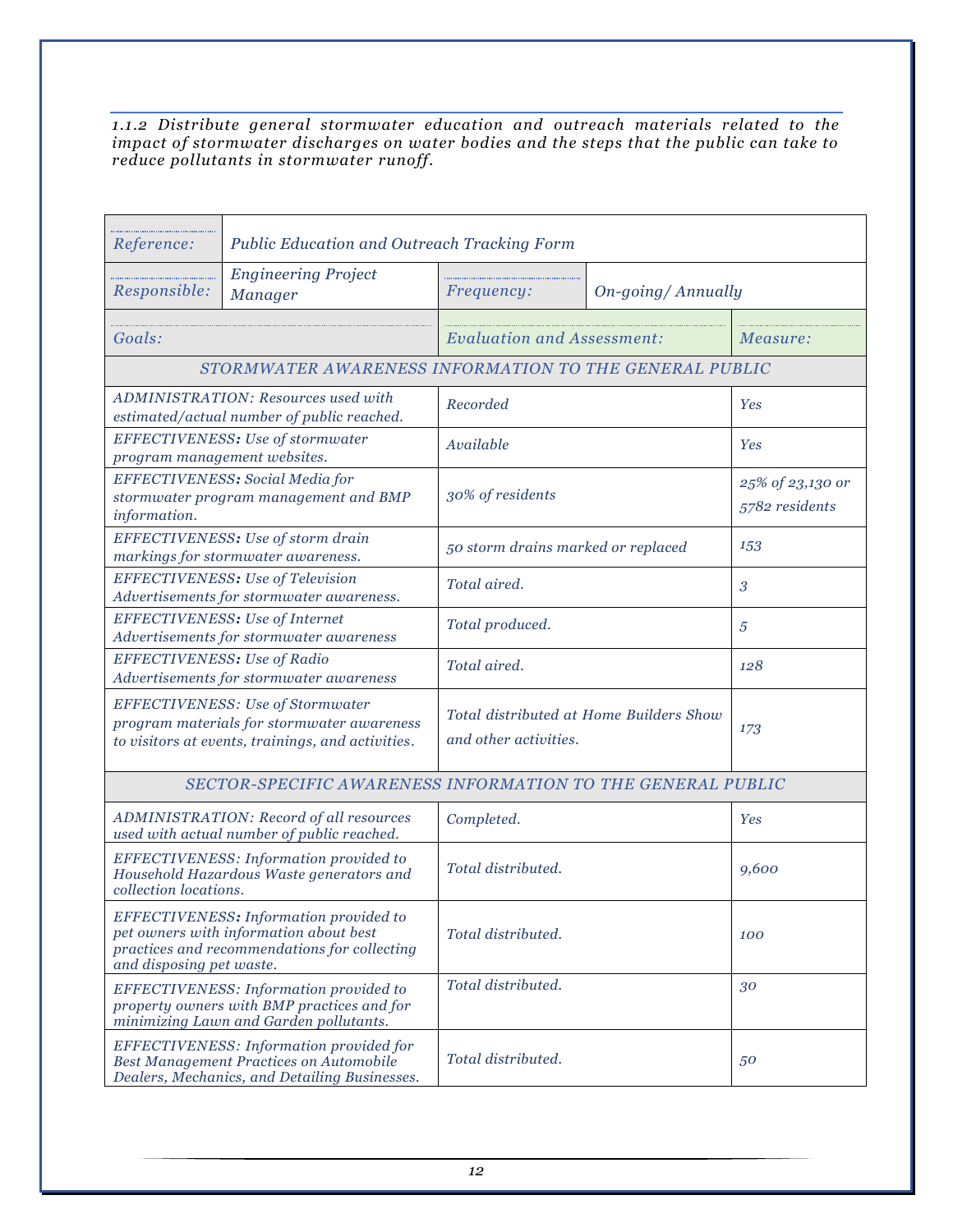*1.1.2 Distribute general stormwater education and outreach materials related to the impact of stormwater discharges on water bodies and the steps that the public can take to reduce pollutants in stormwater runoff.*

| Reference:                   | <b>Public Education and Outreach Tracking Form</b>                                                                                         |                                                                  |     |                                    |  |  |
|------------------------------|--------------------------------------------------------------------------------------------------------------------------------------------|------------------------------------------------------------------|-----|------------------------------------|--|--|
| Responsible:                 | <b>Engineering Project</b><br><b>Manager</b>                                                                                               | On-going/Annually<br>Frequency:                                  |     |                                    |  |  |
| Goals:                       |                                                                                                                                            | <b>Evaluation and Assessment:</b>                                |     | Measure:                           |  |  |
|                              | STORMWATER AWARENESS INFORMATION TO THE GENERAL PUBLIC                                                                                     |                                                                  |     |                                    |  |  |
|                              | ADMINISTRATION: Resources used with<br>estimated/actual number of public reached.                                                          | Recorded                                                         |     | Yes                                |  |  |
| program management websites. | EFFECTIVENESS: Use of stormwater                                                                                                           | Available                                                        |     | <b>Yes</b>                         |  |  |
| information.                 | EFFECTIVENESS: Social Media for<br>stormwater program management and BMP                                                                   | 30% of residents                                                 |     | 25% of 23,130 or<br>5782 residents |  |  |
|                              | EFFECTIVENESS: Use of storm drain<br>markings for stormwater awareness.                                                                    | 50 storm drains marked or replaced                               |     | 153                                |  |  |
|                              | EFFECTIVENESS: Use of Television<br>Advertisements for stormwater awareness.                                                               | Total aired.                                                     | 3   |                                    |  |  |
|                              | EFFECTIVENESS: Use of Internet<br>Advertisements for stormwater awareness                                                                  | Total produced.                                                  | 5   |                                    |  |  |
|                              | <b>EFFECTIVENESS: Use of Radio</b><br>Advertisements for stormwater awareness                                                              | Total aired.                                                     | 128 |                                    |  |  |
|                              | EFFECTIVENESS: Use of Stormwater<br>program materials for stormwater awareness<br>to visitors at events, trainings, and activities.        | Total distributed at Home Builders Show<br>and other activities. | 173 |                                    |  |  |
|                              | SECTOR-SPECIFIC AWARENESS INFORMATION TO THE GENERAL PUBLIC                                                                                |                                                                  |     |                                    |  |  |
|                              | <b>ADMINISTRATION: Record of all resources</b><br>used with actual number of public reached.                                               | Completed.                                                       |     | Yes                                |  |  |
| collection locations.        | EFFECTIVENESS: Information provided to<br>Household Hazardous Waste generators and                                                         | Total distributed.                                               |     | 9,600                              |  |  |
| and disposing pet waste.     | EFFECTIVENESS: Information provided to<br>pet owners with information about best<br>practices and recommendations for collecting           | Total distributed.                                               |     | 100                                |  |  |
|                              | EFFECTIVENESS: Information provided to<br>property owners with BMP practices and for<br>minimizing Lawn and Garden pollutants.             | Total distributed.                                               |     | 30                                 |  |  |
|                              | EFFECTIVENESS: Information provided for<br><b>Best Management Practices on Automobile</b><br>Dealers, Mechanics, and Detailing Businesses. | Total distributed.                                               |     | 50                                 |  |  |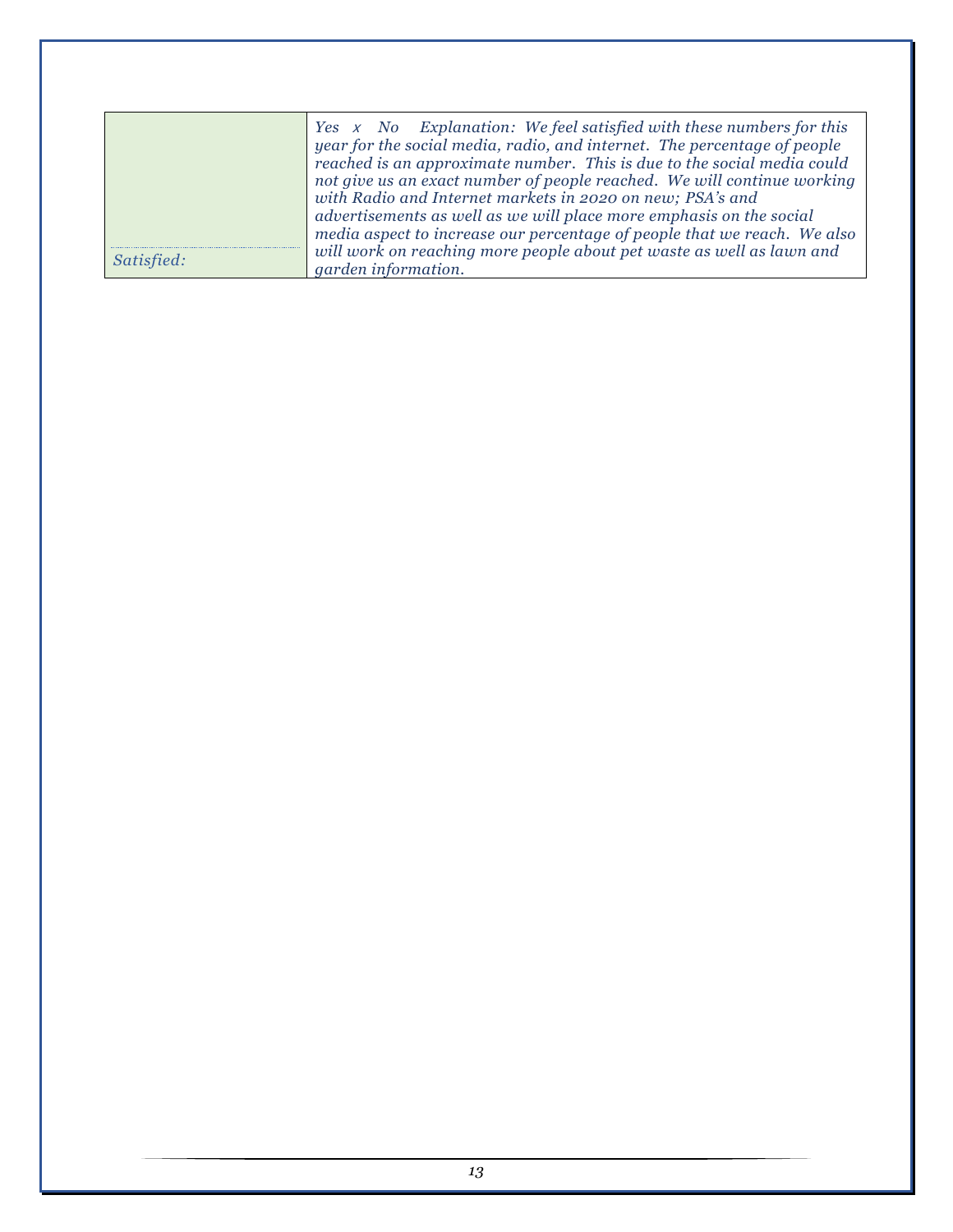|            | Yes x No Explanation: We feel satisfied with these numbers for this<br>year for the social media, radio, and internet. The percentage of people                                                                 |
|------------|-----------------------------------------------------------------------------------------------------------------------------------------------------------------------------------------------------------------|
|            | reached is an approximate number. This is due to the social media could<br>not give us an exact number of people reached. We will continue working<br>with Radio and Internet markets in 2020 on new; PSA's and |
|            | advertisements as well as we will place more emphasis on the social<br>media aspect to increase our percentage of people that we reach. We also                                                                 |
| Satisfied: | will work on reaching more people about pet waste as well as lawn and<br><i>garden information.</i>                                                                                                             |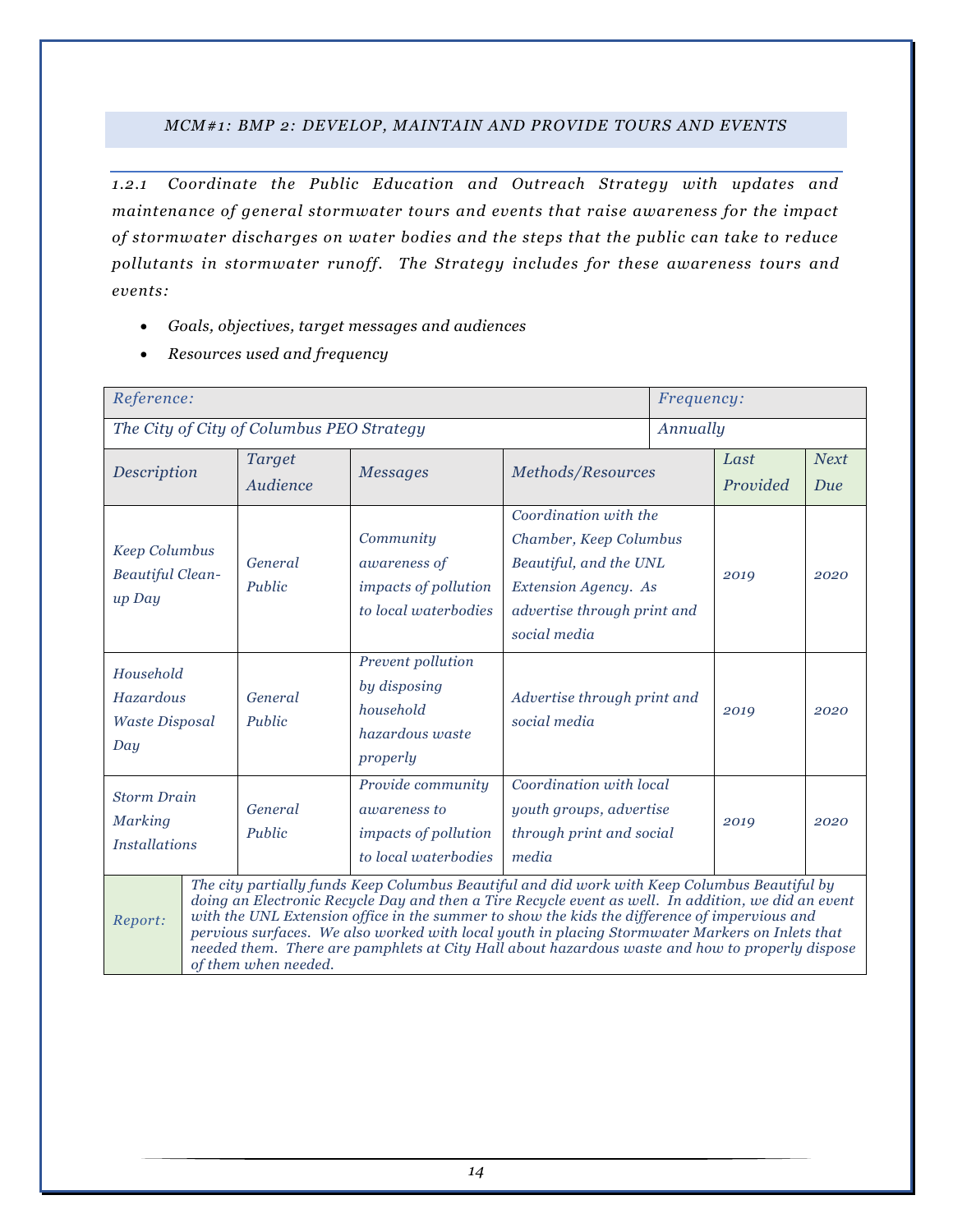#### <span id="page-14-0"></span>*MCM#1: BMP 2: DEVELOP, MAINTAIN AND PROVIDE TOURS AND EVENTS*

*1.2.1 Coordinate the Public Education and Outreach Strategy with updates and maintenance of general stormwater tours and events that raise awareness for the impact of stormwater discharges on water bodies and the steps that the public can take to reduce pollutants in stormwater runoff. The Strategy includes for these awareness tours and events:*

- *Goals, objectives, target messages and audiences*
- *Resources used and frequency*

| Reference:                                                |                                                                                                                                                                                                                                                                                                                                                                                                                                                                                                                                     |                                           |                                                                                   | <i>Frequency:</i>                                                                                                                                |          |                  |                    |
|-----------------------------------------------------------|-------------------------------------------------------------------------------------------------------------------------------------------------------------------------------------------------------------------------------------------------------------------------------------------------------------------------------------------------------------------------------------------------------------------------------------------------------------------------------------------------------------------------------------|-------------------------------------------|-----------------------------------------------------------------------------------|--------------------------------------------------------------------------------------------------------------------------------------------------|----------|------------------|--------------------|
|                                                           |                                                                                                                                                                                                                                                                                                                                                                                                                                                                                                                                     | The City of City of Columbus PEO Strategy |                                                                                   |                                                                                                                                                  | Annually |                  |                    |
| Description                                               |                                                                                                                                                                                                                                                                                                                                                                                                                                                                                                                                     | <b>Target</b><br>Audience                 | <b>Messages</b>                                                                   | Methods/Resources                                                                                                                                |          | Last<br>Provided | <b>Next</b><br>Due |
| <b>Keep Columbus</b><br><b>Beautiful Clean-</b><br>up Day |                                                                                                                                                                                                                                                                                                                                                                                                                                                                                                                                     | General<br>Public                         | Community<br>awareness of<br>impacts of pollution<br>to local waterbodies         | Coordination with the<br>Chamber, Keep Columbus<br>Beautiful, and the UNL<br>Extension Agency. As<br>advertise through print and<br>social media |          | 2019             | 2020               |
| Household<br>Hazardous<br><b>Waste Disposal</b><br>Day    |                                                                                                                                                                                                                                                                                                                                                                                                                                                                                                                                     | General<br>Public                         | Prevent pollution<br>by disposing<br>household<br>hazardous waste<br>properly     | Advertise through print and<br>social media                                                                                                      |          | 2019             | 2020               |
| <b>Storm Drain</b><br>Marking<br><b>Installations</b>     |                                                                                                                                                                                                                                                                                                                                                                                                                                                                                                                                     | General<br>Public                         | Provide community<br>awareness to<br>impacts of pollution<br>to local waterbodies | Coordination with local<br>youth groups, advertise<br>through print and social<br>media                                                          |          | 2019             | 2020               |
| Report:                                                   | The city partially funds Keep Columbus Beautiful and did work with Keep Columbus Beautiful by<br>doing an Electronic Recycle Day and then a Tire Recycle event as well. In addition, we did an event<br>with the UNL Extension office in the summer to show the kids the difference of impervious and<br>pervious surfaces. We also worked with local youth in placing Stormwater Markers on Inlets that<br>needed them. There are pamphlets at City Hall about hazardous waste and how to properly dispose<br>of them when needed. |                                           |                                                                                   |                                                                                                                                                  |          |                  |                    |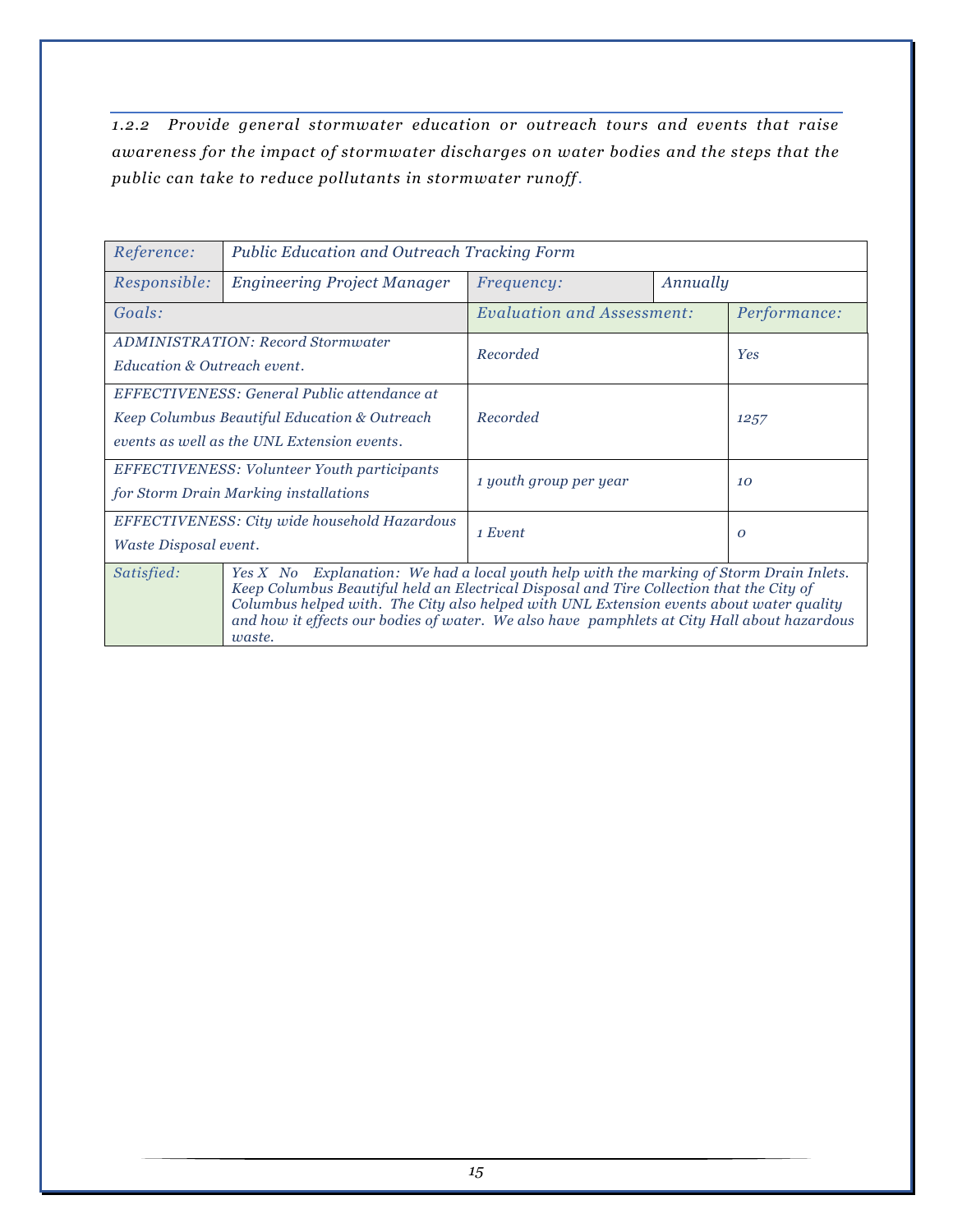*1.2.2 Provide general stormwater education or outreach tours and events that raise awareness for the impact of stormwater discharges on water bodies and the steps that the public can take to reduce pollutants in stormwater runoff.*

| Reference:                                                                                                                                                                                                                                                                                                                                                                                                | Public Education and Outreach Tracking Form                                                                                                |                               |  |                     |
|-----------------------------------------------------------------------------------------------------------------------------------------------------------------------------------------------------------------------------------------------------------------------------------------------------------------------------------------------------------------------------------------------------------|--------------------------------------------------------------------------------------------------------------------------------------------|-------------------------------|--|---------------------|
| Responsible:                                                                                                                                                                                                                                                                                                                                                                                              | <b>Engineering Project Manager</b>                                                                                                         | Annually<br><i>Frequency:</i> |  |                     |
| Goals:                                                                                                                                                                                                                                                                                                                                                                                                    |                                                                                                                                            | Evaluation and Assessment:    |  | <i>Performance:</i> |
| Education & Outreach event.                                                                                                                                                                                                                                                                                                                                                                               | <b>ADMINISTRATION: Record Stormwater</b>                                                                                                   | Recorded                      |  | Yes                 |
|                                                                                                                                                                                                                                                                                                                                                                                                           | EFFECTIVENESS: General Public attendance at<br>Keep Columbus Beautiful Education & Outreach<br>events as well as the UNL Extension events. | Recorded                      |  | 1257                |
|                                                                                                                                                                                                                                                                                                                                                                                                           | EFFECTIVENESS: Volunteer Youth participants<br>for Storm Drain Marking installations                                                       | 1 youth group per year        |  | 10                  |
| <i>Waste Disposal event.</i>                                                                                                                                                                                                                                                                                                                                                                              | EFFECTIVENESS: City wide household Hazardous                                                                                               | 1 Event                       |  | $\overline{O}$      |
| Explanation: We had a local youth help with the marking of Storm Drain Inlets.<br>Satisfied:<br>Yes X No<br>Keep Columbus Beautiful held an Electrical Disposal and Tire Collection that the City of<br>Columbus helped with. The City also helped with UNL Extension events about water quality<br>and how it effects our bodies of water. We also have pamphlets at City Hall about hazardous<br>waste. |                                                                                                                                            |                               |  |                     |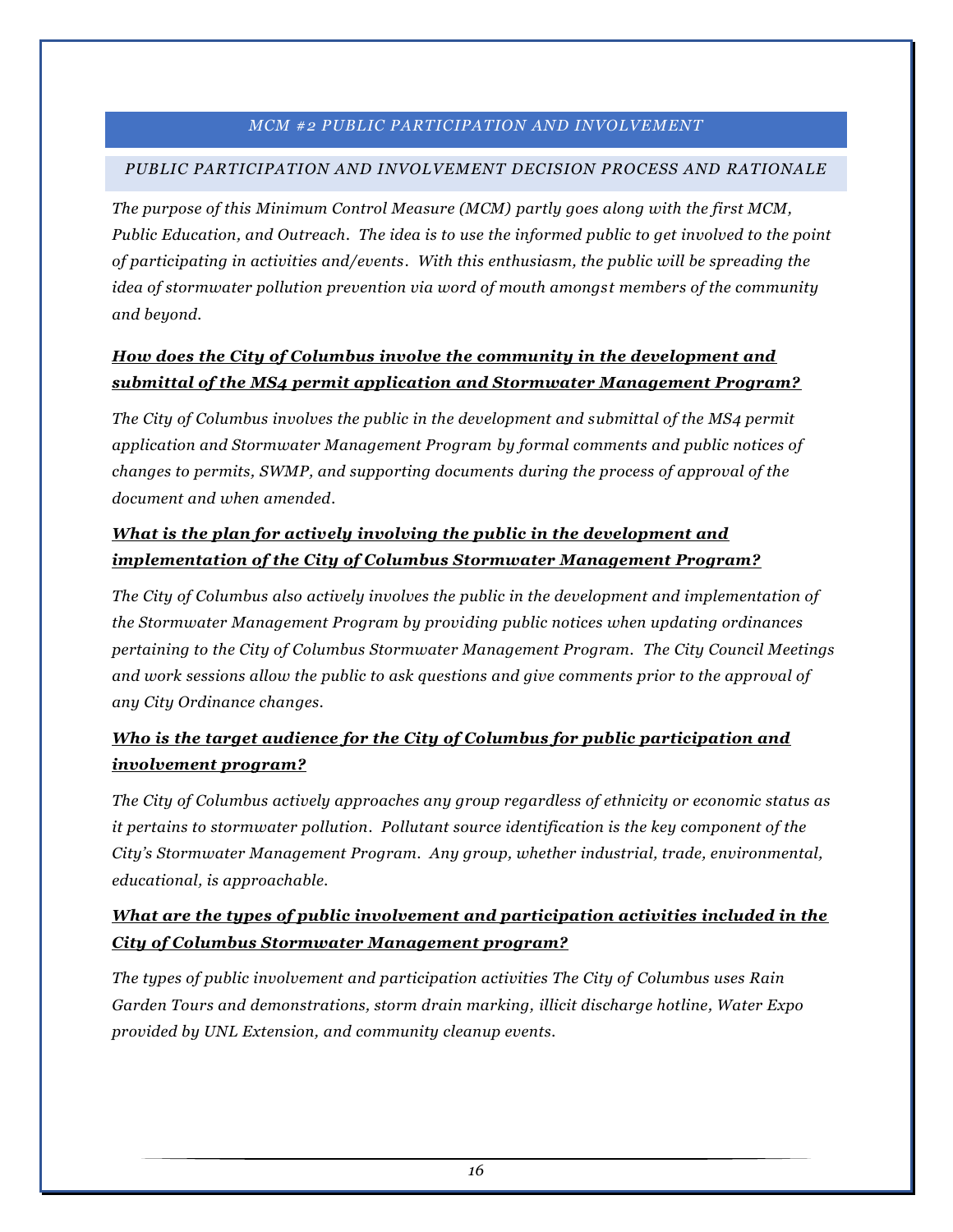#### *MCM #2 PUBLIC PARTICIPATION AND INVOLVEMENT*

#### <span id="page-16-1"></span><span id="page-16-0"></span>*PUBLIC PARTICIPATION AND INVOLVEMENT DECISION PROCESS AND RATIONALE*

*The purpose of this Minimum Control Measure (MCM) partly goes along with the first MCM, Public Education, and Outreach. The idea is to use the informed public to get involved to the point of participating in activities and/events. With this enthusiasm, the public will be spreading the idea of stormwater pollution prevention via word of mouth amongs t members of the community and beyond.* 

#### *How does the City of Columbus involve the community in the development and submittal of the MS4 permit application and Stormwater Management Program?*

*The City of Columbus involves the public in the development and submittal of the MS4 permit application and Stormwater Management Program by formal comments and public notices of changes to permits, SWMP, and supporting documents during the process of approval of the document and when amended.*

### *What is the plan for actively involving the public in the development and implementation of the City of Columbus Stormwater Management Program?*

*The City of Columbus also actively involves the public in the development and implementation of the Stormwater Management Program by providing public notices when updating ordinances pertaining to the City of Columbus Stormwater Management Program. The City Council Meetings and work sessions allow the public to ask questions and give comments prior to the approval of any City Ordinance changes.*

### *Who is the target audience for the City of Columbus for public participation and involvement program?*

*The City of Columbus actively approaches any group regardless of ethnicity or economic status as it pertains to stormwater pollution. Pollutant source identification is the key component of the City's Stormwater Management Program. Any group, whether industrial, trade, environmental, educational, is approachable.*

### *What are the types of public involvement and participation activities included in the City of Columbus Stormwater Management program?*

*The types of public involvement and participation activities The City of Columbus uses Rain Garden Tours and demonstrations, storm drain marking, illicit discharge hotline, Water Expo provided by UNL Extension, and community cleanup events.*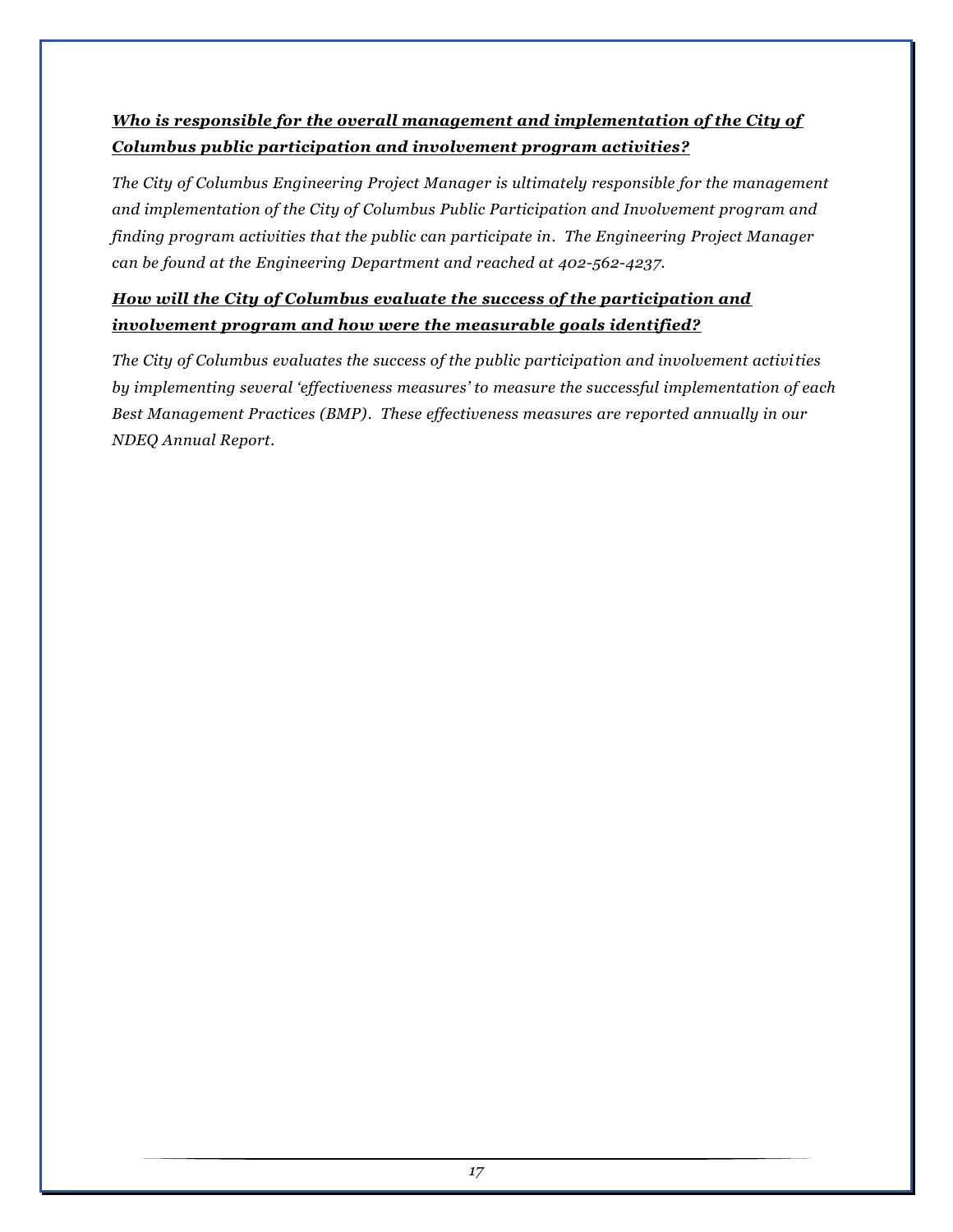### *Who is responsible for the overall management and implementation of the City of Columbus public participation and involvement program activities?*

*The City of Columbus Engineering Project Manager is ultimately responsible for the management and implementation of the City of Columbus Public Participation and Involvement program and finding program activities that the public can participate in. The Engineering Project Manager can be found at the Engineering Department and reached at 402-562-4237.*

### *How will the City of Columbus evaluate the success of the participation and involvement program and how were the measurable goals identified?*

*The City of Columbus evaluates the success of the public participation and involvement activities by implementing several 'effectiveness measures' to measure the successful implementation of each Best Management Practices (BMP). These effectiveness measures are reported annually in our NDEQ Annual Report.*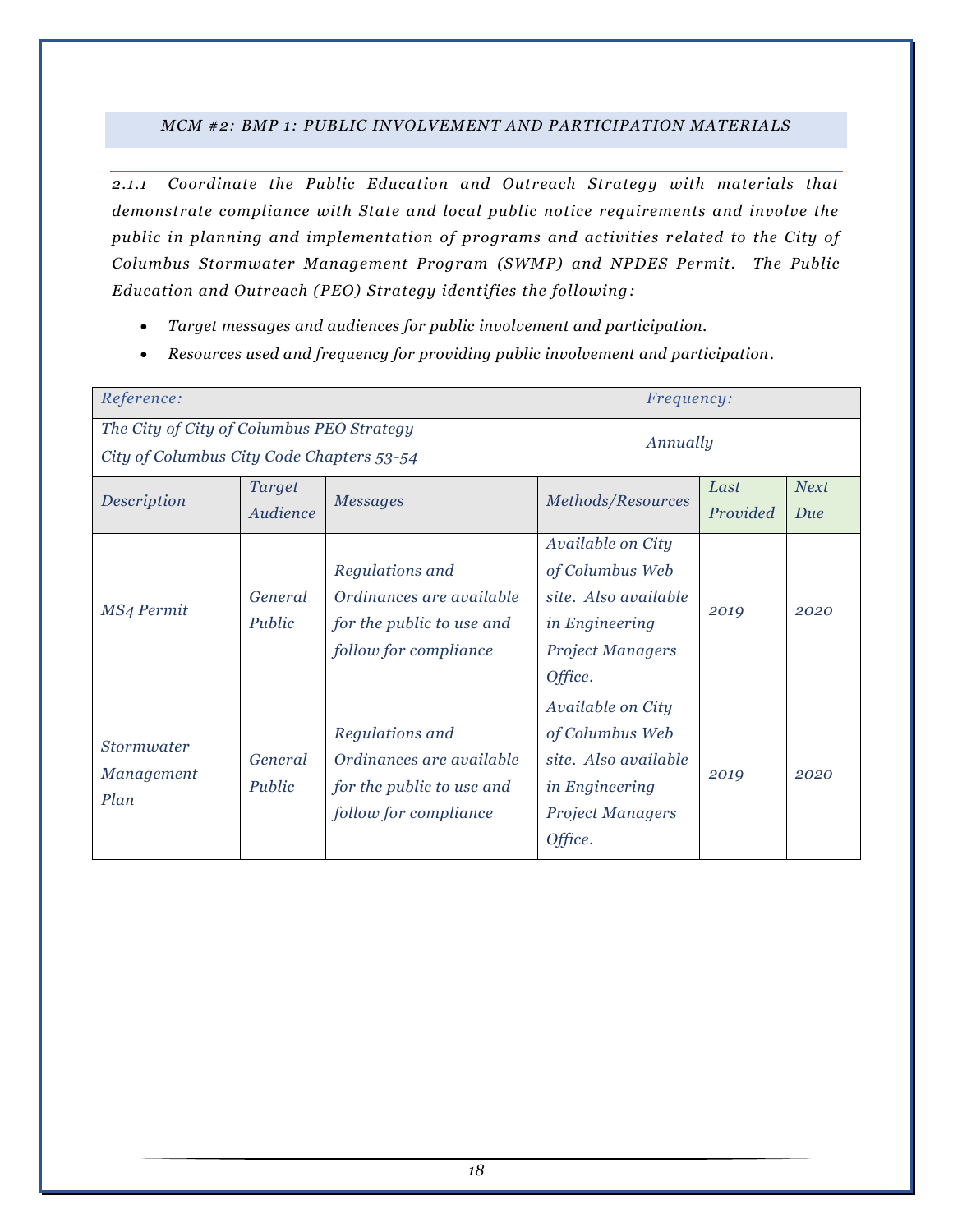#### <span id="page-18-0"></span>*MCM #2: BMP 1: PUBLIC INVOLVEMENT AND PARTICIPATION MATERIALS*

*2.1.1 Coordinate the Public Education and Outreach Strategy with materials that demonstrate compliance with State and local public notice requirements and involve the public in planning and implementation of programs and activities r elated to the City of Columbus Stormwater Management Program (SWMP) and NPDES Permit. The Public Education and Outreach (PEO) Strategy identifies the following:*

- *Target messages and audiences for public involvement and participation.*
- *Resources used and frequency for providing public involvement and participation.*

| Reference:                                                                             |                           |                                                                                                   |                                                                                                                      | Frequency: |                  |                    |
|----------------------------------------------------------------------------------------|---------------------------|---------------------------------------------------------------------------------------------------|----------------------------------------------------------------------------------------------------------------------|------------|------------------|--------------------|
| The City of City of Columbus PEO Strategy<br>City of Columbus City Code Chapters 53-54 |                           |                                                                                                   |                                                                                                                      | Annually   |                  |                    |
| Description                                                                            | <b>Target</b><br>Audience | <b>Messages</b>                                                                                   | Methods/Resources                                                                                                    |            | Last<br>Provided | <b>Next</b><br>Due |
| MS4 Permit                                                                             | General<br>Public         | Regulations and<br>Ordinances are available<br>for the public to use and<br>follow for compliance | Available on City<br>of Columbus Web<br>site. Also available<br>in Engineering<br><b>Project Managers</b><br>Office. |            | 2019             | 2020               |
| Stormwater<br>Management<br>Plan                                                       | General<br>Public         | Regulations and<br>Ordinances are available<br>for the public to use and<br>follow for compliance | Available on City<br>of Columbus Web<br>site. Also available<br>in Engineering<br><b>Project Managers</b><br>Office. |            | 2019             | 2020               |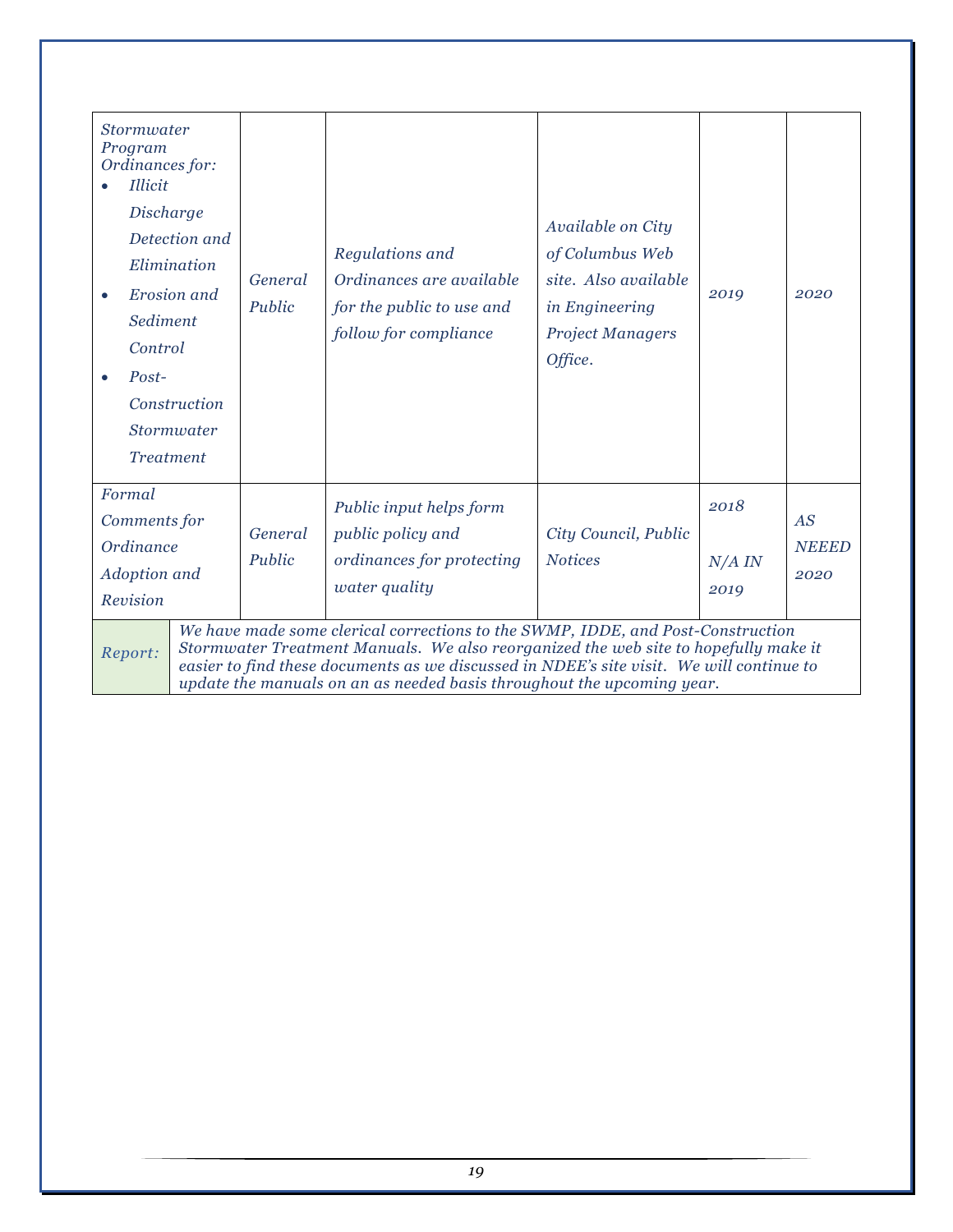| Stormwater<br>Program<br>Ordinances for:<br><b>Illicit</b><br>Discharge<br>Sediment<br>Control<br>Post-                                                                                                                                                                                                                                                 | Detection and<br>Elimination<br>Erosion and<br>Construction<br>Stormwater<br><b>Treatment</b> | General<br>Public | Regulations and<br>Ordinances are available<br>for the public to use and<br>follow for compliance | Available on City<br>of Columbus Web<br>site. Also available<br>in Engineering<br><b>Project Managers</b><br>Office. | 2019                     | 2020                       |
|---------------------------------------------------------------------------------------------------------------------------------------------------------------------------------------------------------------------------------------------------------------------------------------------------------------------------------------------------------|-----------------------------------------------------------------------------------------------|-------------------|---------------------------------------------------------------------------------------------------|----------------------------------------------------------------------------------------------------------------------|--------------------------|----------------------------|
| Formal<br>Comments for<br>Ordinance<br>Adoption and<br>Revision                                                                                                                                                                                                                                                                                         |                                                                                               | General<br>Public | Public input helps form<br>public policy and<br>ordinances for protecting<br>water quality        | City Council, Public<br><b>Notices</b>                                                                               | 2018<br>$N/A$ IN<br>2019 | AS<br><b>NEEED</b><br>2020 |
| We have made some clerical corrections to the SWMP, IDDE, and Post-Construction<br>Stormwater Treatment Manuals. We also reorganized the web site to hopefully make it<br>Report:<br>easier to find these documents as we discussed in NDEE's site visit. We will continue to<br>update the manuals on an as needed basis throughout the upcoming year. |                                                                                               |                   |                                                                                                   |                                                                                                                      |                          |                            |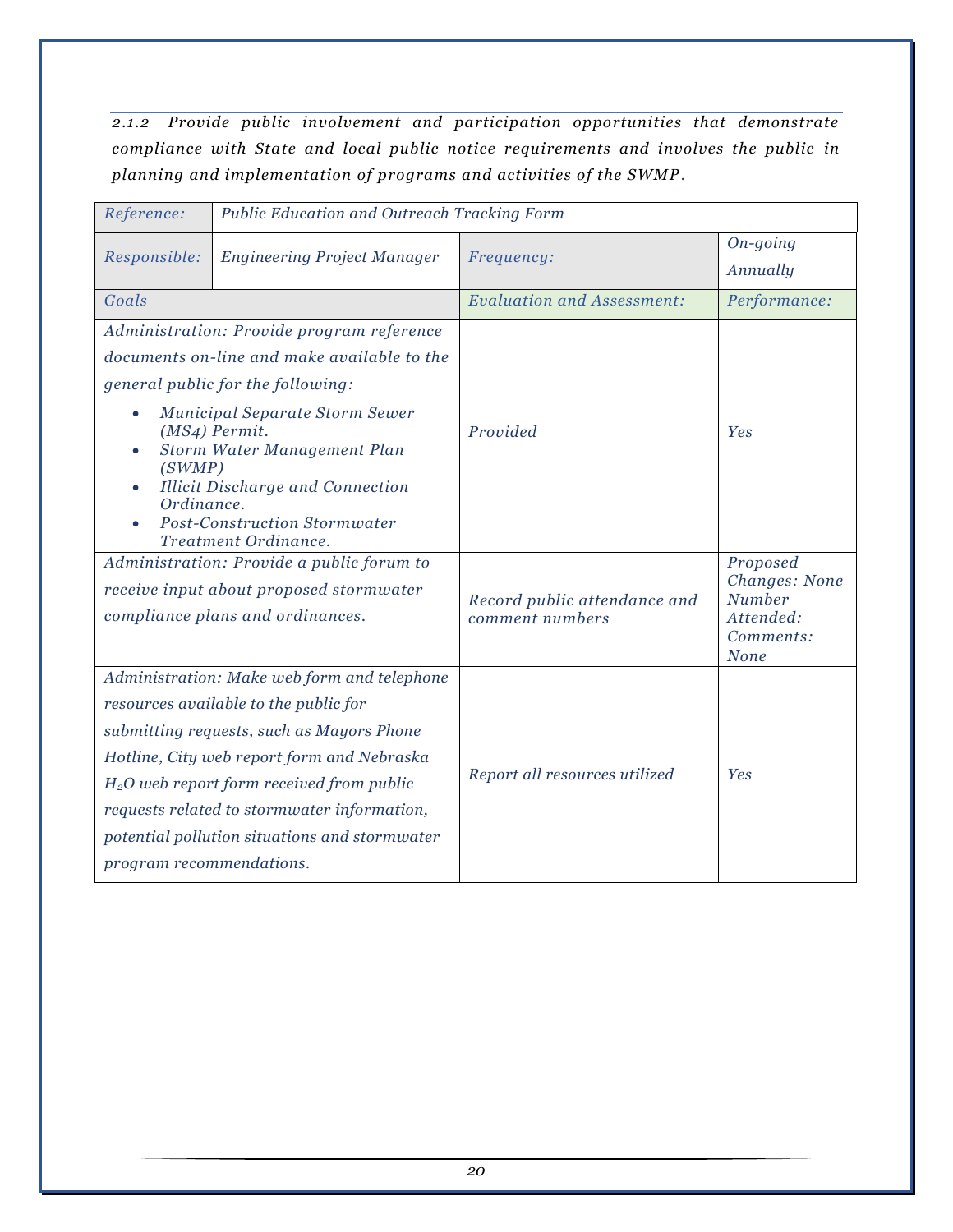*2.1.2 Provide public involvement and participation opportunities that demonstrate compliance with State and local public notice requirements and involves the public in planning and implementation of programs and activities of the SWMP.*

| Reference:                                                                                                               | Public Education and Outreach Tracking Form                                                                                                                                              |                                                 |                                                                                     |
|--------------------------------------------------------------------------------------------------------------------------|------------------------------------------------------------------------------------------------------------------------------------------------------------------------------------------|-------------------------------------------------|-------------------------------------------------------------------------------------|
| Responsible:                                                                                                             | <b>Engineering Project Manager</b>                                                                                                                                                       | Frequency:                                      | On-going<br>Annually                                                                |
| Goals                                                                                                                    |                                                                                                                                                                                          | <b>Evaluation and Assessment:</b>               | Performance:                                                                        |
|                                                                                                                          | Administration: Provide program reference                                                                                                                                                |                                                 |                                                                                     |
|                                                                                                                          | documents on-line and make available to the                                                                                                                                              |                                                 |                                                                                     |
|                                                                                                                          | general public for the following:                                                                                                                                                        |                                                 |                                                                                     |
| (SWMP)<br>Ordinance.                                                                                                     | <b>Municipal Separate Storm Sewer</b><br>(MS4) Permit.<br>Storm Water Management Plan<br><b>Illicit Discharge and Connection</b><br>Post-Construction Stormwater<br>Treatment Ordinance. | Provided                                        | <b>Yes</b>                                                                          |
| Administration: Provide a public forum to<br>receive input about proposed stormwater<br>compliance plans and ordinances. |                                                                                                                                                                                          | Record public attendance and<br>comment numbers | Proposed<br>Changes: None<br><b>Number</b><br>Attended:<br>Comments:<br><b>None</b> |
|                                                                                                                          | Administration: Make web form and telephone                                                                                                                                              |                                                 |                                                                                     |
|                                                                                                                          | resources available to the public for                                                                                                                                                    |                                                 |                                                                                     |
|                                                                                                                          | submitting requests, such as Mayors Phone                                                                                                                                                |                                                 |                                                                                     |
| Hotline, City web report form and Nebraska                                                                               |                                                                                                                                                                                          |                                                 | Yes                                                                                 |
| $H2O$ web report form received from public                                                                               |                                                                                                                                                                                          | Report all resources utilized                   |                                                                                     |
|                                                                                                                          | requests related to stormwater information,                                                                                                                                              |                                                 |                                                                                     |
|                                                                                                                          | potential pollution situations and stormwater                                                                                                                                            |                                                 |                                                                                     |
| program recommendations.                                                                                                 |                                                                                                                                                                                          |                                                 |                                                                                     |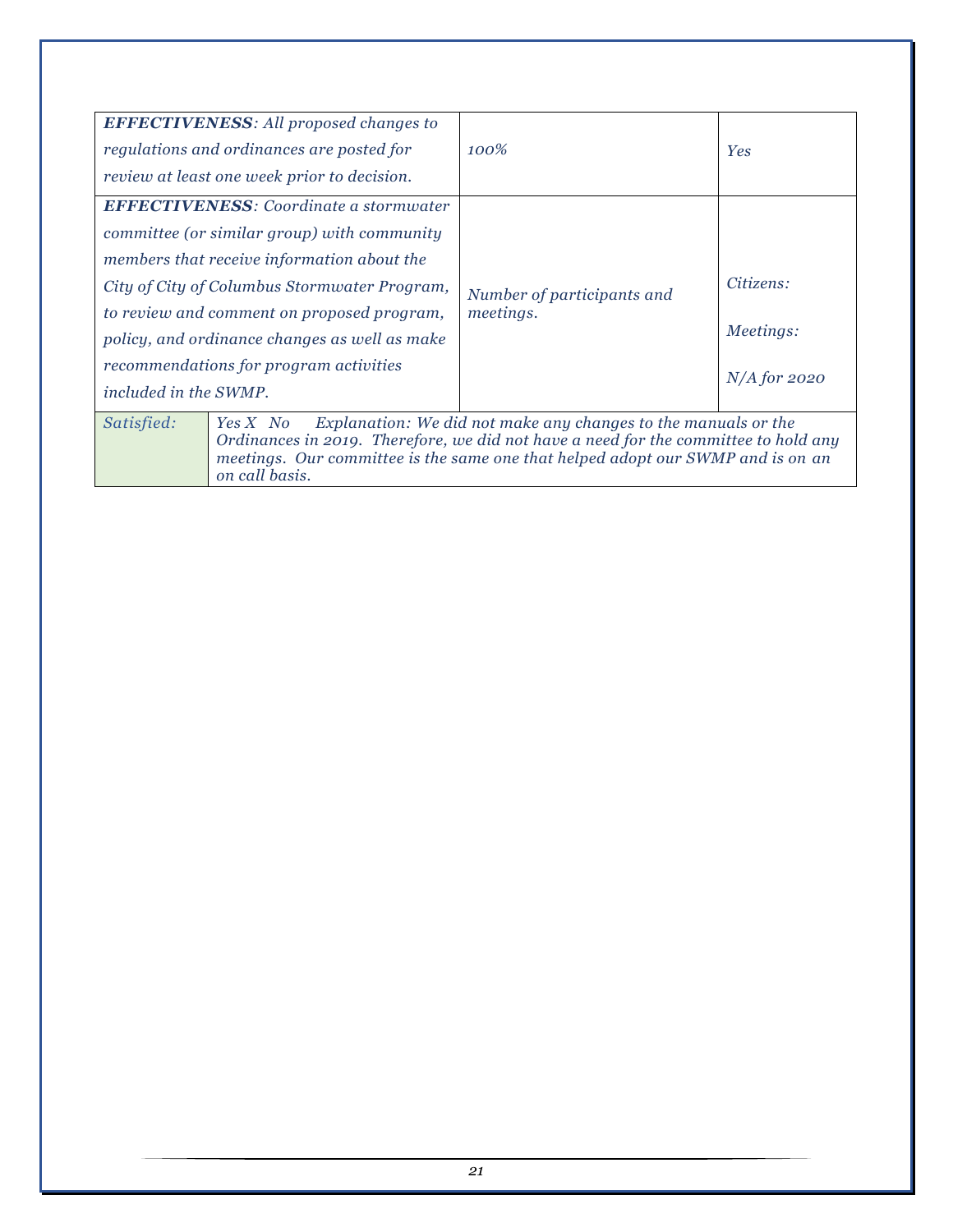|                                                                                                                                                                                                                                                                                      | <b>EFFECTIVENESS:</b> All proposed changes to<br>regulations and ordinances are posted for<br>review at least one week prior to decision.                                                                                                                                                                                           | 100%                                    | Yes                                             |  |
|--------------------------------------------------------------------------------------------------------------------------------------------------------------------------------------------------------------------------------------------------------------------------------------|-------------------------------------------------------------------------------------------------------------------------------------------------------------------------------------------------------------------------------------------------------------------------------------------------------------------------------------|-----------------------------------------|-------------------------------------------------|--|
| included in the SWMP.                                                                                                                                                                                                                                                                | <b>EFFECTIVENESS:</b> Coordinate a stormwater<br>committee (or similar group) with community<br>members that receive information about the<br>City of City of Columbus Stormwater Program,<br>to review and comment on proposed program,<br>policy, and ordinance changes as well as make<br>recommendations for program activities | Number of participants and<br>meetings. | Citizens:<br><i>Meetings:</i><br>$N/A$ for 2020 |  |
| Satisfied:<br>Explanation: We did not make any changes to the manuals or the<br>Yes X No<br>Ordinances in 2019. Therefore, we did not have a need for the committee to hold any<br>meetings. Our committee is the same one that helped adopt our SWMP and is on an<br>on call basis. |                                                                                                                                                                                                                                                                                                                                     |                                         |                                                 |  |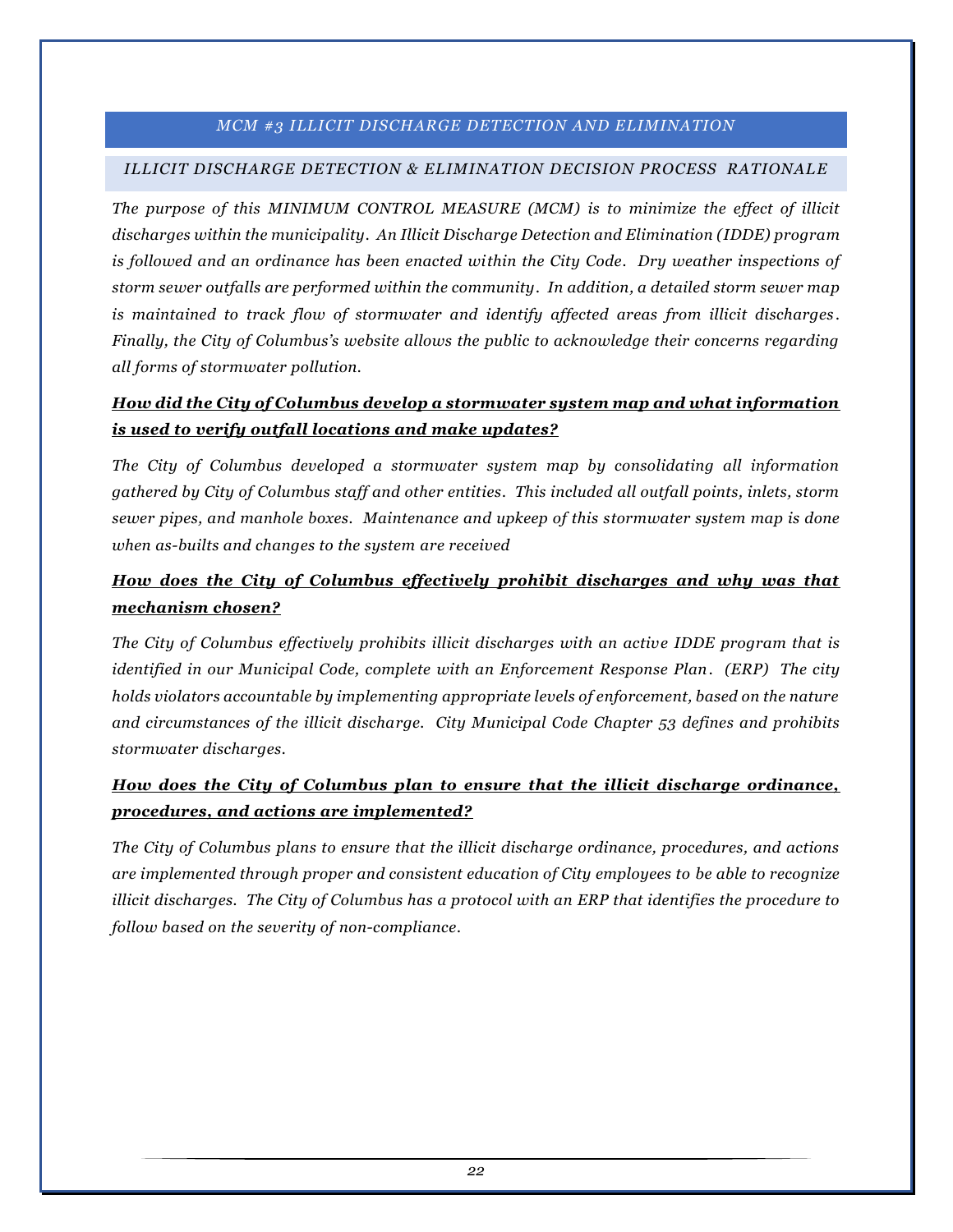#### *MCM #3 ILLICIT DISCHARGE DETECTION AND ELIMINATION*

#### <span id="page-22-1"></span><span id="page-22-0"></span>*ILLICIT DISCHARGE DETECTION & ELIMINATION DECISION PROCESS RATIONALE*

*The purpose of this MINIMUM CONTROL MEASURE (MCM) is to minimize the effect of illicit discharges within the municipality. An Illicit Discharge Detection and Elimination (IDDE) program is followed and an ordinance has been enacted within the City Code. Dry weather inspections of storm sewer outfalls are performed within the community. In addition, a detailed storm sewer map is maintained to track flow of stormwater and identify affected areas from illicit discharges . Finally, the City of Columbus's website allows the public to acknowledge their concerns regarding all forms of stormwater pollution.*

#### *How did the City of Columbus develop a stormwater system map and what information is used to verify outfall locations and make updates?*

*The City of Columbus developed a stormwater system map by consolidating all information gathered by City of Columbus staff and other entities. This included all outfall points, inlets, storm sewer pipes, and manhole boxes. Maintenance and upkeep of this stormwater system map is done when as-builts and changes to the system are received*

#### *How does the City of Columbus effectively prohibit discharges and why was that mechanism chosen?*

*The City of Columbus effectively prohibits illicit discharges with an active IDDE program that is identified in our Municipal Code, complete with an Enforcement Response Plan. (ERP) The city holds violators accountable by implementing appropriate levels of enforcement, based on the nature and circumstances of the illicit discharge. City Municipal Code Chapter 53 defines and prohibits stormwater discharges.*

#### *How does the City of Columbus plan to ensure that the illicit discharge ordinance, procedures, and actions are implemented?*

*The City of Columbus plans to ensure that the illicit discharge ordinance, procedures, and actions are implemented through proper and consistent education of City employees to be able to recognize illicit discharges. The City of Columbus has a protocol with an ERP that identifies the procedure to follow based on the severity of non-compliance.*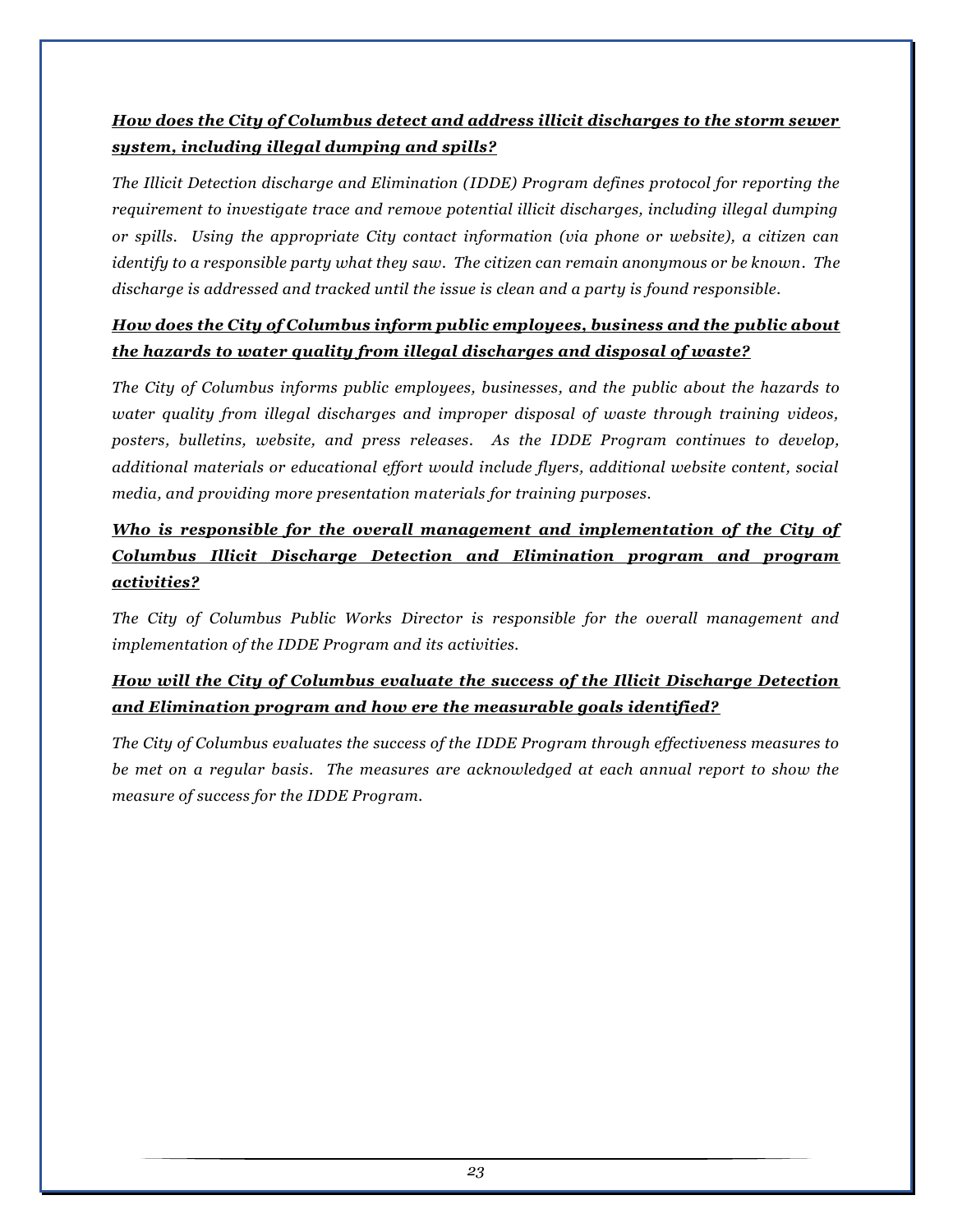### *How does the City of Columbus detect and address illicit discharges to the storm sewer system, including illegal dumping and spills?*

*The Illicit Detection discharge and Elimination (IDDE) Program defines protocol for reporting the requirement to investigate trace and remove potential illicit discharges, including illegal dumping or spills. Using the appropriate City contact information (via phone or website), a citizen can identify to a responsible party what they saw. The citizen can remain anonymous or be known. The discharge is addressed and tracked until the issue is clean and a party is found responsible.*

### *How does the City of Columbus inform public employees, business and the public about the hazards to water quality from illegal discharges and disposal of waste?*

*The City of Columbus informs public employees, businesses, and the public about the hazards to water quality from illegal discharges and improper disposal of waste through training videos, posters, bulletins, website, and press releases. As the IDDE Program continues to develop, additional materials or educational effort would include flyers, additional website content, social media, and providing more presentation materials for training purposes.*

### *Who is responsible for the overall management and implementation of the City of Columbus Illicit Discharge Detection and Elimination program and program activities?*

*The City of Columbus Public Works Director is responsible for the overall management and implementation of the IDDE Program and its activities.*

### *How will the City of Columbus evaluate the success of the Illicit Discharge Detection and Elimination program and how ere the measurable goals identified?*

*The City of Columbus evaluates the success of the IDDE Program through effectiveness measures to be met on a regular basis. The measures are acknowledged at each annual report to show the measure of success for the IDDE Program.*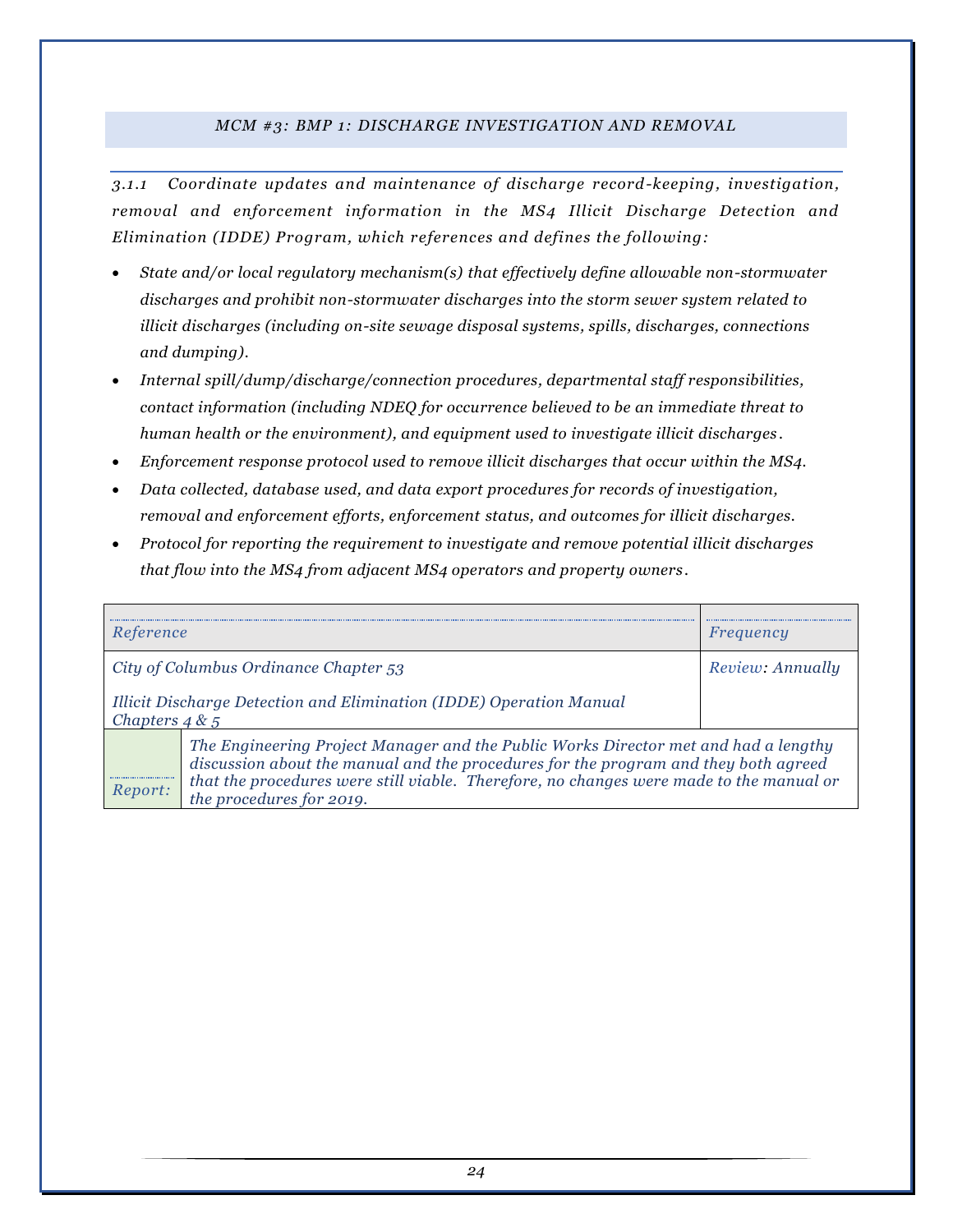#### *MCM #3: BMP 1: DISCHARGE INVESTIGATION AND REMOVAL*

<span id="page-24-0"></span>*3.1.1 Coordinate updates and maintenance of discharge record-keeping, investigation, removal and enforcement information in the MS4 Illicit Discharge Detection and Elimination (IDDE) Program, which references and defines the following:*

- *State and/or local regulatory mechanism(s) that effectively define allowable non-stormwater discharges and prohibit non-stormwater discharges into the storm sewer system related to illicit discharges (including on-site sewage disposal systems, spills, discharges, connections and dumping).*
- *Internal spill/dump/discharge/connection procedures, departmental staff responsibilities, contact information (including NDEQ for occurrence believed to be an immediate threat to human health or the environment), and equipment used to investigate illicit discharges .*
- *Enforcement response protocol used to remove illicit discharges that occur within the MS4.*
- *Data collected, database used, and data export procedures for records of investigation, removal and enforcement efforts, enforcement status, and outcomes for illicit discharges.*
- *Protocol for reporting the requirement to investigate and remove potential illicit discharges that flow into the MS4 from adjacent MS4 operators and property owners .*

| Reference                                                                                                                                                                                                                                                                                                    |                                       | Frequency        |  |
|--------------------------------------------------------------------------------------------------------------------------------------------------------------------------------------------------------------------------------------------------------------------------------------------------------------|---------------------------------------|------------------|--|
|                                                                                                                                                                                                                                                                                                              | City of Columbus Ordinance Chapter 53 | Review: Annually |  |
| Illicit Discharge Detection and Elimination (IDDE) Operation Manual<br>Chapters $4 & 5$                                                                                                                                                                                                                      |                                       |                  |  |
| The Engineering Project Manager and the Public Works Director met and had a lengthy<br>discussion about the manual and the procedures for the program and they both agreed<br>that the procedures were still viable. Therefore, no changes were made to the manual or<br>Report:<br>the procedures for 2019. |                                       |                  |  |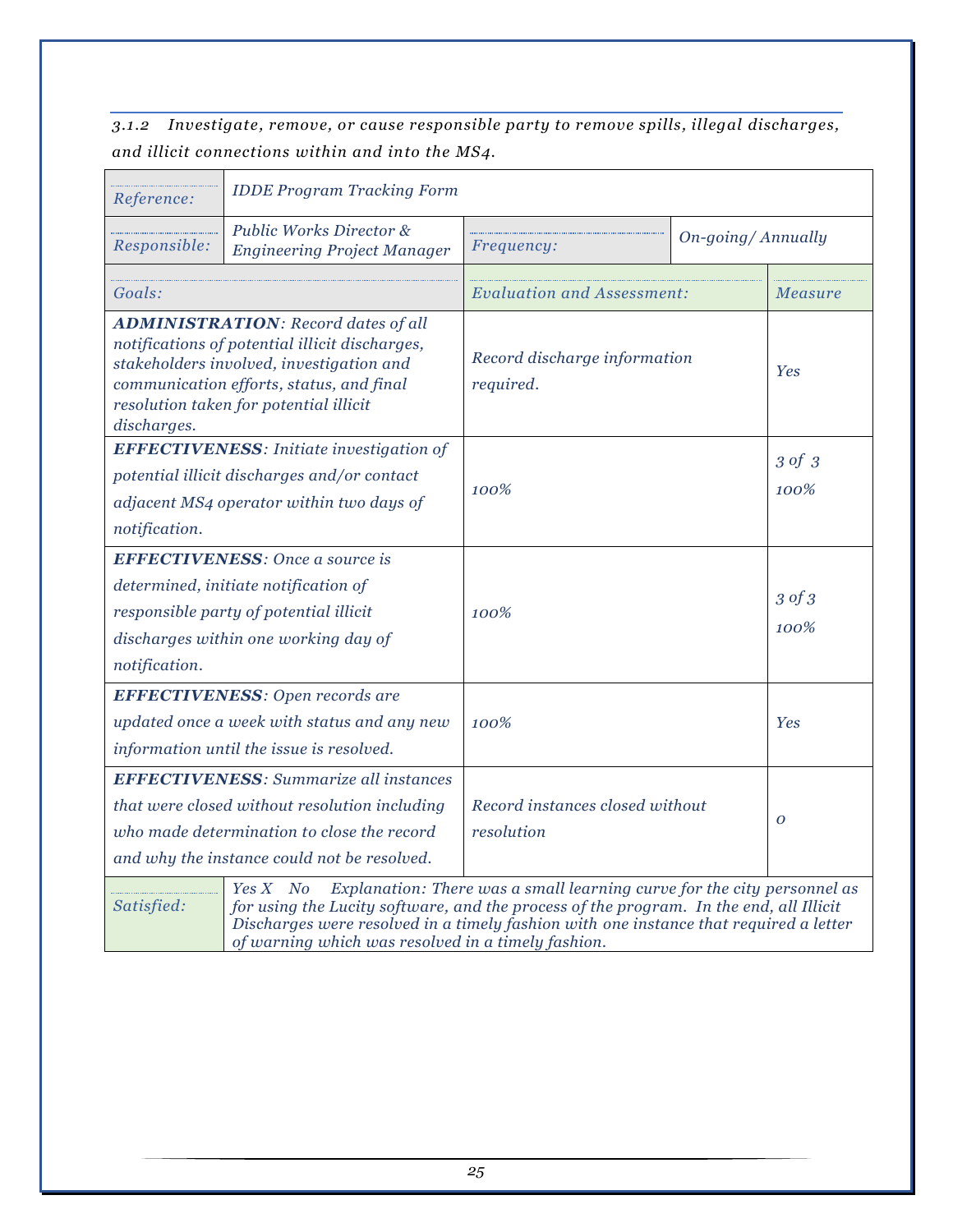*3.1.2 Investigate, remove, or cause responsible party to remove spills, illegal discharges, and illicit connections within and into the MS4.*

| Reference:                                                                                                                                                                                                                                                                                                                                 | <b>IDDE Program Tracking Form</b>                                                                                                                                                                                              |                                               |  |                           |
|--------------------------------------------------------------------------------------------------------------------------------------------------------------------------------------------------------------------------------------------------------------------------------------------------------------------------------------------|--------------------------------------------------------------------------------------------------------------------------------------------------------------------------------------------------------------------------------|-----------------------------------------------|--|---------------------------|
| Responsible:                                                                                                                                                                                                                                                                                                                               | Public Works Director &<br><b>Engineering Project Manager</b>                                                                                                                                                                  | On-going/Annually<br>Frequency:               |  |                           |
| Goals:                                                                                                                                                                                                                                                                                                                                     |                                                                                                                                                                                                                                | <b>Evaluation and Assessment:</b>             |  | Measure                   |
| discharges.                                                                                                                                                                                                                                                                                                                                | <b>ADMINISTRATION: Record dates of all</b><br>notifications of potential illicit discharges,<br>stakeholders involved, investigation and<br>communication efforts, status, and final<br>resolution taken for potential illicit | Record discharge information<br>required.     |  | Yes                       |
| <b>EFFECTIVENESS:</b> Initiate investigation of<br>potential illicit discharges and/or contact<br>adjacent MS4 operator within two days of<br>notification.                                                                                                                                                                                |                                                                                                                                                                                                                                | 100%                                          |  | 3 of 3<br>100%            |
| <b>EFFECTIVENESS:</b> Once a source is<br>determined, initiate notification of<br>responsible party of potential illicit<br>discharges within one working day of<br>notification.                                                                                                                                                          |                                                                                                                                                                                                                                | 100%                                          |  | $3 \text{ of } 3$<br>100% |
| <b>EFFECTIVENESS:</b> Open records are<br>updated once a week with status and any new<br>information until the issue is resolved.                                                                                                                                                                                                          |                                                                                                                                                                                                                                | 100%                                          |  | Yes                       |
| <b>EFFECTIVENESS:</b> Summarize all instances<br>that were closed without resolution including<br>who made determination to close the record<br>and why the instance could not be resolved.                                                                                                                                                |                                                                                                                                                                                                                                | Record instances closed without<br>resolution |  | $\overline{O}$            |
| Explanation: There was a small learning curve for the city personnel as<br>Yes X No<br>for using the Lucity software, and the process of the program. In the end, all Illicit<br>Satisfied:<br>Discharges were resolved in a timely fashion with one instance that required a letter<br>of warning which was resolved in a timely fashion. |                                                                                                                                                                                                                                |                                               |  |                           |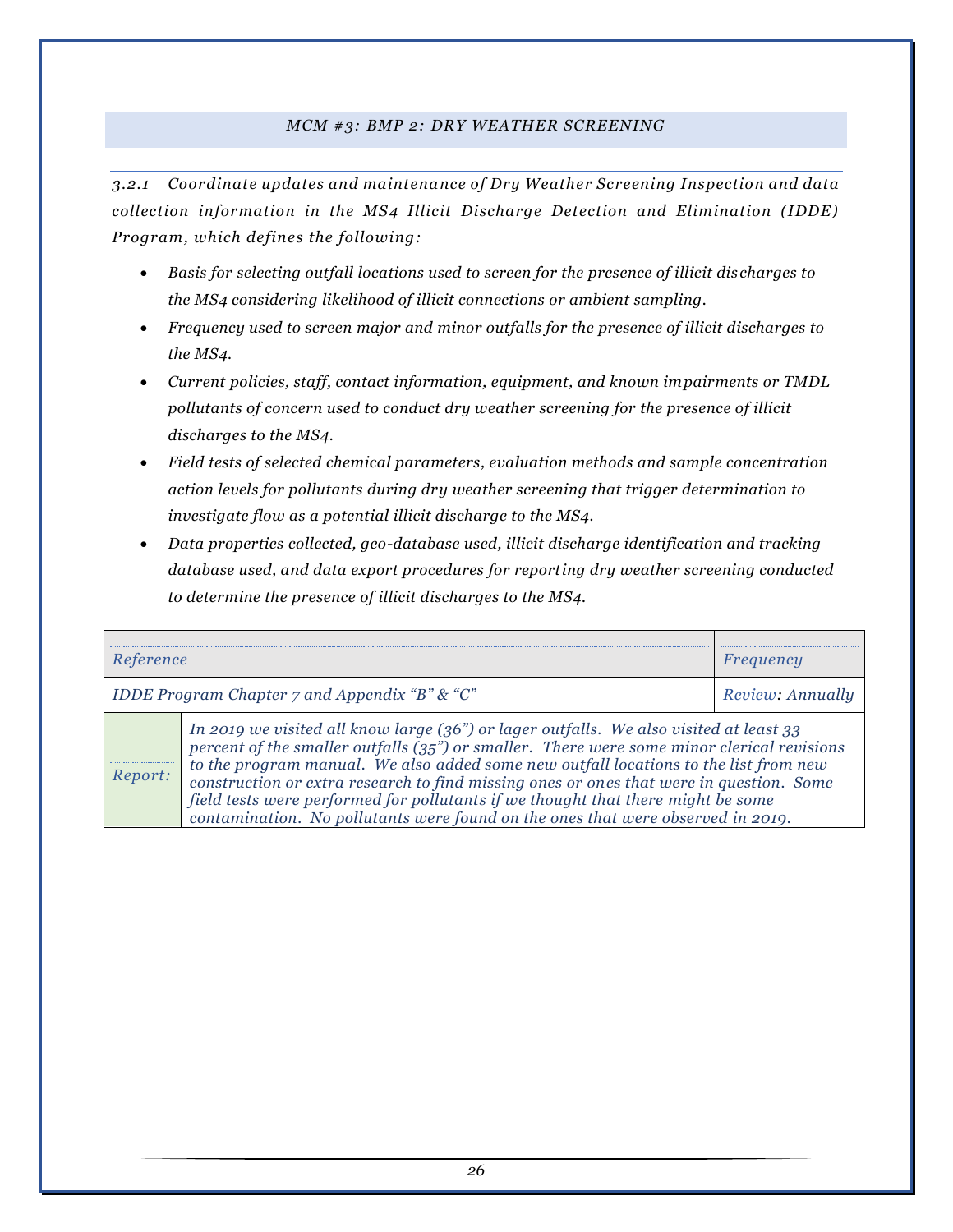#### *MCM #3: BMP 2: DRY WEATHER SCREENING*

<span id="page-26-0"></span>*3.2.1 Coordinate updates and maintenance of Dry Weather Screening Inspection and data collection information in the MS4 Illicit Discharge Detection and Elimination (IDDE) Program, which defines the following:*

- **•** Basis for selecting outfall locations used to screen for the presence of illicit discharges to *the MS4 considering likelihood of illicit connections or ambient sampling.*
- *Frequency used to screen major and minor outfalls for the presence of illicit discharges to the MS4.*
- *Current policies, staff, contact information, equipment, and known impairments or TMDL pollutants of concern used to conduct dry weather screening for the presence of illicit discharges to the MS4.*
- *Field tests of selected chemical parameters, evaluation methods and sample concentration action levels for pollutants during dry weather screening that trigger determination to investigate flow as a potential illicit discharge to the MS4.*
- *Data properties collected, geo-database used, illicit discharge identification and tracking database used, and data export procedures for reporting dry weather screening conducted to determine the presence of illicit discharges to the MS4.*

| Reference |                                                                                                                                                                                                                                                                                                                                                                                                                                                                                                                                                  | Frequency        |
|-----------|--------------------------------------------------------------------------------------------------------------------------------------------------------------------------------------------------------------------------------------------------------------------------------------------------------------------------------------------------------------------------------------------------------------------------------------------------------------------------------------------------------------------------------------------------|------------------|
|           | <b>IDDE Program Chapter 7 and Appendix "B" &amp; "C"</b>                                                                                                                                                                                                                                                                                                                                                                                                                                                                                         | Review: Annually |
| Report:   | In 2019 we visited all know large (36") or lager outfalls. We also visited at least 33<br>percent of the smaller outfalls $(35")$ or smaller. There were some minor clerical revisions<br>to the program manual. We also added some new outfall locations to the list from new<br>construction or extra research to find missing ones or ones that were in question. Some<br>field tests were performed for pollutants if we thought that there might be some<br>contamination. No pollutants were found on the ones that were observed in 2019. |                  |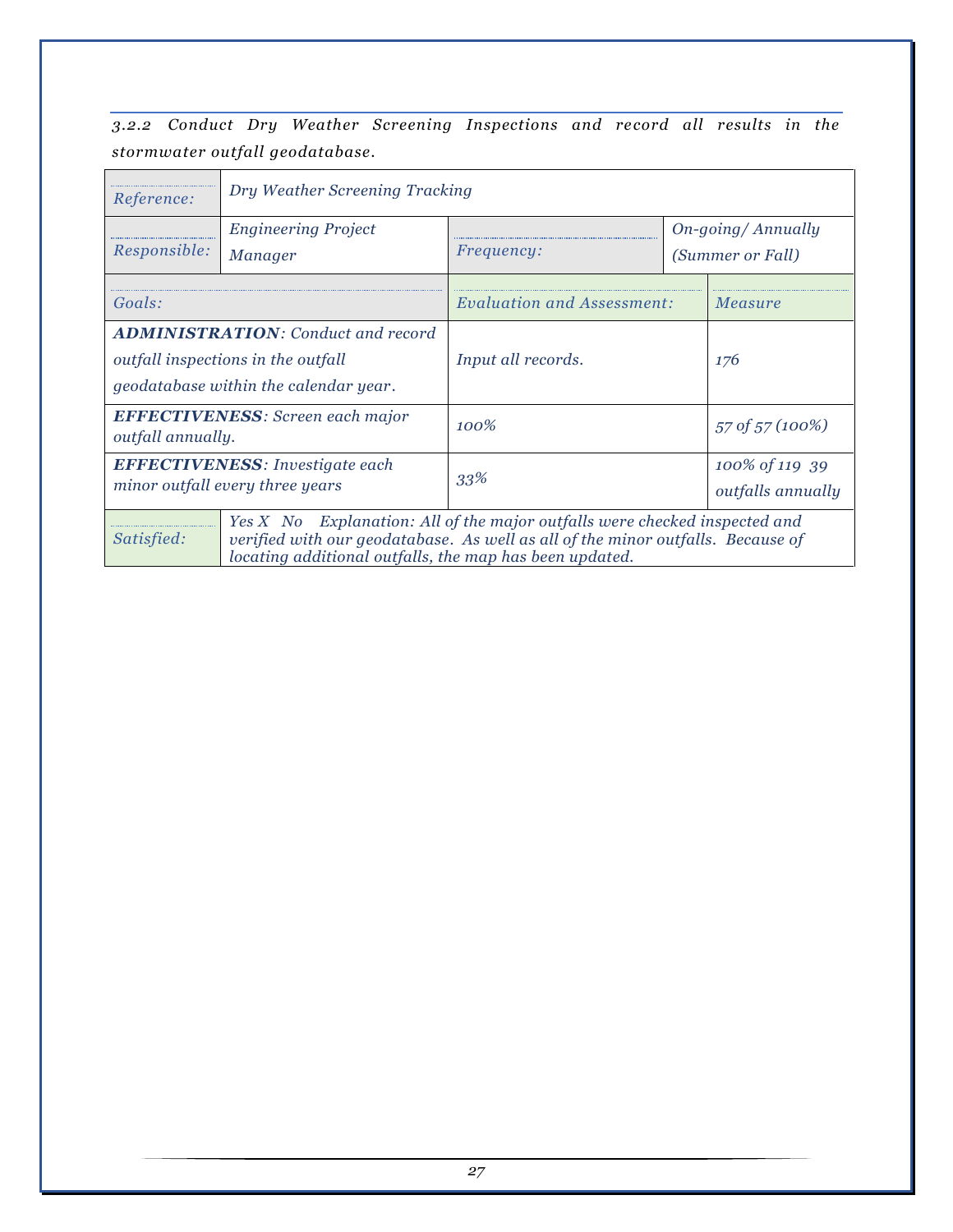*3.2.2 Conduct Dry Weather Screening Inspections and re cord all results in the stormwater outfall geodatabase.*

| <i>Reference:</i>                                                                                                        | Dry Weather Screening Tracking                                                                                                                                                                                           |                            |                                                |                                     |  |
|--------------------------------------------------------------------------------------------------------------------------|--------------------------------------------------------------------------------------------------------------------------------------------------------------------------------------------------------------------------|----------------------------|------------------------------------------------|-------------------------------------|--|
| <i>Responsible:</i>                                                                                                      | <b>Engineering Project</b><br><b>Manager</b>                                                                                                                                                                             | <i>Frequency:</i>          | $On\text{-}going/Annually$<br>(Summer or Fall) |                                     |  |
| Goals:                                                                                                                   |                                                                                                                                                                                                                          | Evaluation and Assessment: |                                                | Measure                             |  |
| <b>ADMINISTRATION:</b> Conduct and record<br>outfall inspections in the outfall<br>geodatabase within the calendar year. |                                                                                                                                                                                                                          | Input all records.         |                                                | 176                                 |  |
| <b>EFFECTIVENESS:</b> Screen each major<br>outfall annually.                                                             |                                                                                                                                                                                                                          | $100\%$                    |                                                | 57 of 57 (100%)                     |  |
| <b>EFFECTIVENESS:</b> Investigate each<br>minor outfall every three years                                                |                                                                                                                                                                                                                          | 33%                        |                                                | 100% of 119 39<br>outfalls annually |  |
| Satisfied:                                                                                                               | Yes X No Explanation: All of the major outfalls were checked inspected and<br>verified with our geodatabase. As well as all of the minor outfalls. Because of<br>locating additional outfalls, the map has been updated. |                            |                                                |                                     |  |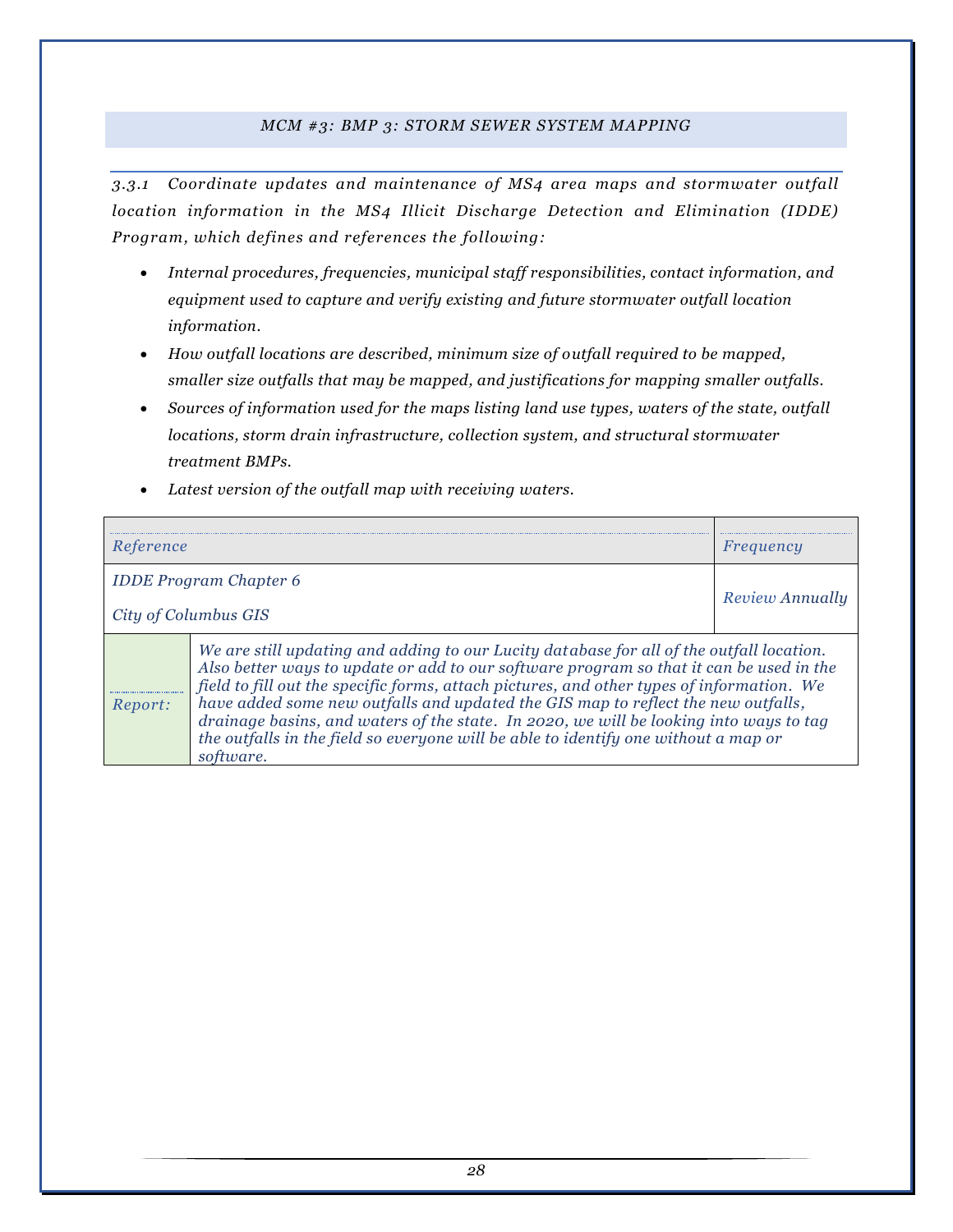#### *MCM #3: BMP 3: STORM SEWER SYSTEM MAPPING*

<span id="page-28-0"></span>*3.3.1 Coordinate updates and maintenance of MS4 area maps and stormwater outfall location information in the MS4 Illicit Discharge Detection and Elimination (IDDE) Program, which defines and references the following:*

- *Internal procedures, frequencies, municipal staff responsibilities, contact information, and equipment used to capture and verify existing and future stormwater outfall location information.*
- *How outfall locations are described, minimum size of outfall required to be mapped, smaller size outfalls that may be mapped, and justifications for mapping smaller outfalls.*
- *Sources of information used for the maps listing land use types, waters of the state, outfall locations, storm drain infrastructure, collection system, and structural stormwater treatment BMPs.*
- *Latest version of the outfall map with receiving waters.*

| Reference            |                                                                                                                                                                                                                                                                                                                                                                                                                                                                                                                                                                     | Frequency       |
|----------------------|---------------------------------------------------------------------------------------------------------------------------------------------------------------------------------------------------------------------------------------------------------------------------------------------------------------------------------------------------------------------------------------------------------------------------------------------------------------------------------------------------------------------------------------------------------------------|-----------------|
| City of Columbus GIS | <b>IDDE</b> Program Chapter 6                                                                                                                                                                                                                                                                                                                                                                                                                                                                                                                                       | Review Annually |
| Report:              | We are still updating and adding to our Lucity database for all of the outfall location.<br>Also better ways to update or add to our software program so that it can be used in the<br>field to fill out the specific forms, attach pictures, and other types of information. We<br>have added some new outfalls and updated the GIS map to reflect the new outfalls,<br>drainage basins, and waters of the state. In 2020, we will be looking into ways to tag<br>the outfalls in the field so everyone will be able to identify one without a map or<br>software. |                 |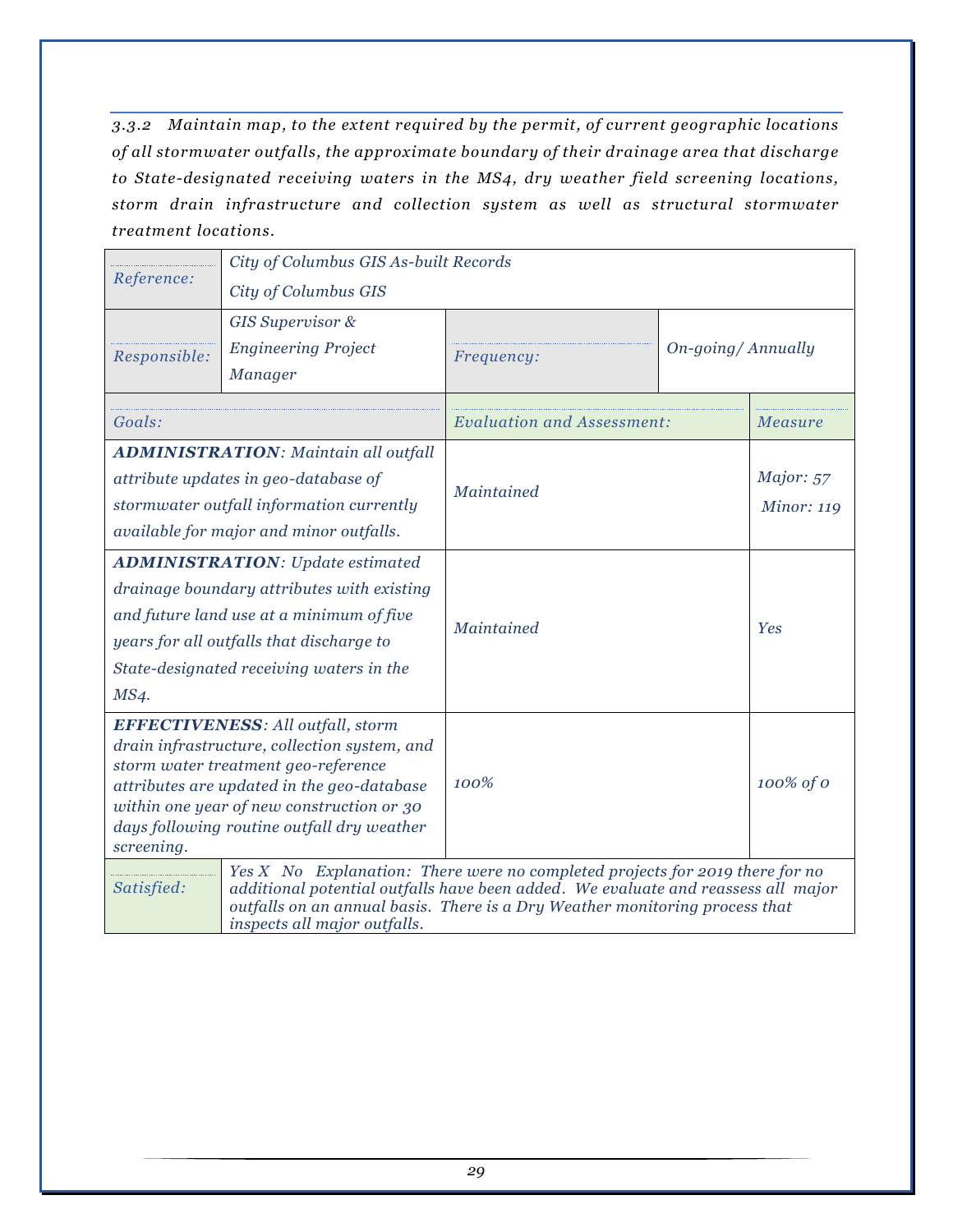*3.3.2 Maintain map, to the extent required by the permit, of current geographic locations of all stormwater outfalls, the approximate boundary of their drainage area that discharge to State-designated receiving waters in the MS4, dry weather field screening locations, storm drain infrastructure and collection system as well as structural stormwater treatment locations.*

|                                                                                                                                                                                                                                                                                                | City of Columbus GIS As-built Records                                                                                                                                                                                                                             |                                                 |  |                                |  |  |  |
|------------------------------------------------------------------------------------------------------------------------------------------------------------------------------------------------------------------------------------------------------------------------------------------------|-------------------------------------------------------------------------------------------------------------------------------------------------------------------------------------------------------------------------------------------------------------------|-------------------------------------------------|--|--------------------------------|--|--|--|
| Reference:                                                                                                                                                                                                                                                                                     | City of Columbus GIS                                                                                                                                                                                                                                              |                                                 |  |                                |  |  |  |
| Responsible:                                                                                                                                                                                                                                                                                   | <b>GIS Supervisor &amp;</b><br><b>Engineering Project</b><br><b>Manager</b>                                                                                                                                                                                       | $On\text{-}going/Annually$<br><i>Frequency:</i> |  |                                |  |  |  |
| Goals:                                                                                                                                                                                                                                                                                         |                                                                                                                                                                                                                                                                   | <b>Evaluation and Assessment:</b>               |  | Measure                        |  |  |  |
| <b>ADMINISTRATION:</b> Maintain all outfall<br>attribute updates in geo-database of<br>stormwater outfall information currently<br>available for major and minor outfalls.                                                                                                                     |                                                                                                                                                                                                                                                                   | Maintained                                      |  | Major: 57<br><b>Minor: 119</b> |  |  |  |
| <b>ADMINISTRATION:</b> Update estimated<br>drainage boundary attributes with existing<br>and future land use at a minimum of five<br>years for all outfalls that discharge to<br>State-designated receiving waters in the<br>MS4.                                                              |                                                                                                                                                                                                                                                                   | Maintained                                      |  | Yes                            |  |  |  |
| screening.                                                                                                                                                                                                                                                                                     | EFFECTIVENESS: All outfall, storm<br>drain infrastructure, collection system, and<br>storm water treatment geo-reference<br>attributes are updated in the geo-database<br>within one year of new construction or 30<br>days following routine outfall dry weather | 100%                                            |  | 100% of 0                      |  |  |  |
| Yes X No Explanation: There were no completed projects for 2019 there for no<br>Satisfied:<br>additional potential outfalls have been added. We evaluate and reassess all major<br>outfalls on an annual basis. There is a Dry Weather monitoring process that<br>inspects all major outfalls. |                                                                                                                                                                                                                                                                   |                                                 |  |                                |  |  |  |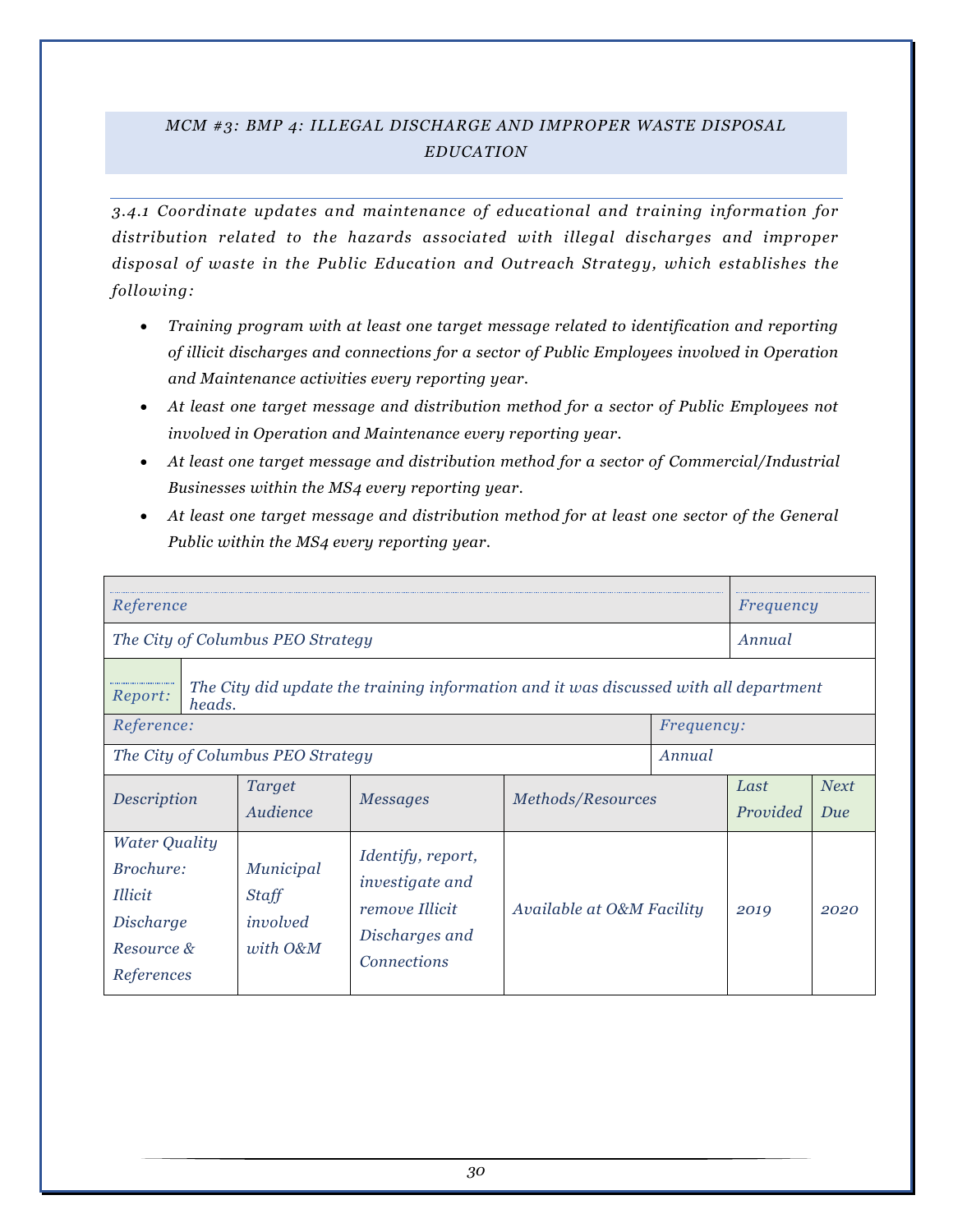### <span id="page-30-0"></span>*MCM #3: BMP 4: ILLEGAL DISCHARGE AND IMPROPER WASTE DISPOSAL EDUCATION*

*3.4.1 Coordinate updates and maintenance of educational and training information for distribution related to the hazards associated with illegal discharges and improper disposal of waste in the Public Education and Outreach Strategy, which establishes the following:*

- *Training program with at least one target message related to identification and reporting of illicit discharges and connections for a sector of Public Employees involved in Operation and Maintenance activities every reporting year.*
- *At least one target message and distribution method for a sector of Public Employees not involved in Operation and Maintenance every reporting year.*
- *At least one target message and distribution method for a sector of Commercial/Industrial Businesses within the MS4 every reporting year.*
- *At least one target message and distribution method for at least one sector of the General Public within the MS4 every reporting year.*

| Reference                                                                                    |                                                   |                                                                                                              |                           |                   |                  | Frequency          |
|----------------------------------------------------------------------------------------------|---------------------------------------------------|--------------------------------------------------------------------------------------------------------------|---------------------------|-------------------|------------------|--------------------|
| The City of Columbus PEO Strategy                                                            |                                                   |                                                                                                              |                           |                   | Annual           |                    |
| Report:<br>heads.                                                                            |                                                   | The City did update the training information and it was discussed with all department                        |                           |                   |                  |                    |
| Reference:                                                                                   |                                                   |                                                                                                              |                           | <i>Frequency:</i> |                  |                    |
| The City of Columbus PEO Strategy<br>Annual                                                  |                                                   |                                                                                                              |                           |                   |                  |                    |
| Description                                                                                  | <b>Target</b><br>Audience                         | <b>Messages</b>                                                                                              | Methods/Resources         |                   | Last<br>Provided | <b>Next</b><br>Due |
| <b>Water Quality</b><br>Brochure:<br><i>Illicit</i><br>Discharge<br>Resource &<br>References | Municipal<br><b>Staff</b><br>involved<br>with O&M | Identify, report,<br><i>investigate and</i><br><i>remove Illicit</i><br>Discharges and<br><b>Connections</b> | Available at O&M Facility |                   | 2019             | 2020               |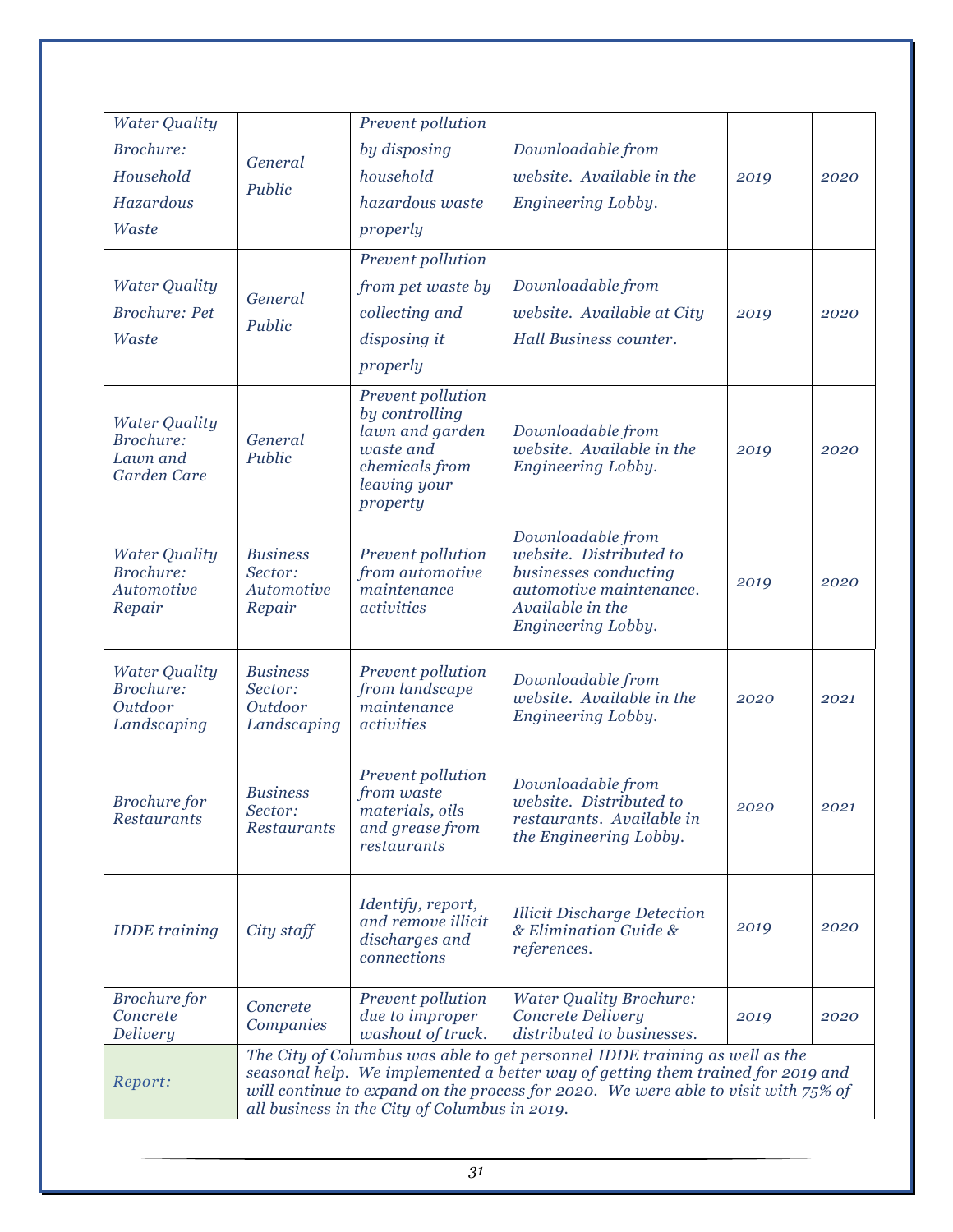| <b>Water Quality</b>                                                |                                                                                                                                                                                                                                                                                                          | Prevent pollution                                                                                                 |                                                                                                                                            |      |      |
|---------------------------------------------------------------------|----------------------------------------------------------------------------------------------------------------------------------------------------------------------------------------------------------------------------------------------------------------------------------------------------------|-------------------------------------------------------------------------------------------------------------------|--------------------------------------------------------------------------------------------------------------------------------------------|------|------|
| <b>Brochure:</b>                                                    | General                                                                                                                                                                                                                                                                                                  | by disposing                                                                                                      | Downloadable from                                                                                                                          |      |      |
| Household                                                           | Public                                                                                                                                                                                                                                                                                                   | household                                                                                                         | website. Available in the                                                                                                                  | 2019 | 2020 |
| Hazardous                                                           |                                                                                                                                                                                                                                                                                                          | hazardous waste                                                                                                   | Engineering Lobby.                                                                                                                         |      |      |
| Waste                                                               |                                                                                                                                                                                                                                                                                                          | properly                                                                                                          |                                                                                                                                            |      |      |
|                                                                     |                                                                                                                                                                                                                                                                                                          | Prevent pollution                                                                                                 |                                                                                                                                            |      |      |
| <b>Water Quality</b>                                                | General                                                                                                                                                                                                                                                                                                  | from pet waste by                                                                                                 | Downloadable from                                                                                                                          |      |      |
| <b>Brochure: Pet</b>                                                |                                                                                                                                                                                                                                                                                                          | collecting and                                                                                                    | website. Available at City                                                                                                                 | 2019 | 2020 |
| Waste                                                               | Public                                                                                                                                                                                                                                                                                                   | disposing it                                                                                                      | Hall Business counter.                                                                                                                     |      |      |
|                                                                     |                                                                                                                                                                                                                                                                                                          | properly                                                                                                          |                                                                                                                                            |      |      |
| <b>Water Quality</b><br><b>Brochure:</b><br>Lawn and<br>Garden Care | General<br>Public                                                                                                                                                                                                                                                                                        | Prevent pollution<br>by controlling<br>lawn and garden<br>waste and<br>chemicals from<br>leaving your<br>property | Downloadable from<br>website. Available in the<br>Engineering Lobby.                                                                       | 2019 | 2020 |
| <b>Water Quality</b><br><b>Brochure:</b><br>Automotive<br>Repair    | <b>Business</b><br>Sector:<br>Automotive<br>Repair                                                                                                                                                                                                                                                       | Prevent pollution<br>from automotive<br>maintenance<br>activities                                                 | Downloadable from<br>website. Distributed to<br>businesses conducting<br>automotive maintenance.<br>Available in the<br>Engineering Lobby. | 2019 | 2020 |
| <b>Water Quality</b><br><b>Brochure:</b><br>Outdoor<br>Landscaping  | <b>Business</b><br>Sector:<br>Outdoor<br>Landscaping                                                                                                                                                                                                                                                     | Prevent pollution<br>from landscape<br>maintenance<br>activities                                                  | Downloadable from<br>website. Available in the<br>Engineering Lobby.                                                                       | 2020 | 2021 |
| <b>Brochure</b> for<br><b>Restaurants</b>                           | <b>Business</b><br>Sector:<br>Restaurants                                                                                                                                                                                                                                                                | Prevent pollution<br>from waste<br>materials, oils<br>and grease from<br>restaurants                              | Downloadable from<br>website. Distributed to<br>restaurants. Available in<br>the Engineering Lobby.                                        | 2020 | 2021 |
| <b>IDDE</b> training                                                | City staff                                                                                                                                                                                                                                                                                               | Identify, report,<br>and remove illicit<br>discharges and<br>connections                                          | <b>Illicit Discharge Detection</b><br>& Elimination Guide &<br>references.                                                                 | 2019 | 2020 |
| <b>Brochure</b> for<br>Concrete<br>Delivery                         | Concrete<br>Companies                                                                                                                                                                                                                                                                                    | Prevent pollution<br>due to improper<br>washout of truck.                                                         | <b>Water Quality Brochure:</b><br>Concrete Delivery<br>distributed to businesses.                                                          | 2019 | 2020 |
| Report:                                                             | The City of Columbus was able to get personnel IDDE training as well as the<br>seasonal help. We implemented a better way of getting them trained for 2019 and<br>will continue to expand on the process for 2020. We were able to visit with $75\%$ of<br>all business in the City of Columbus in 2019. |                                                                                                                   |                                                                                                                                            |      |      |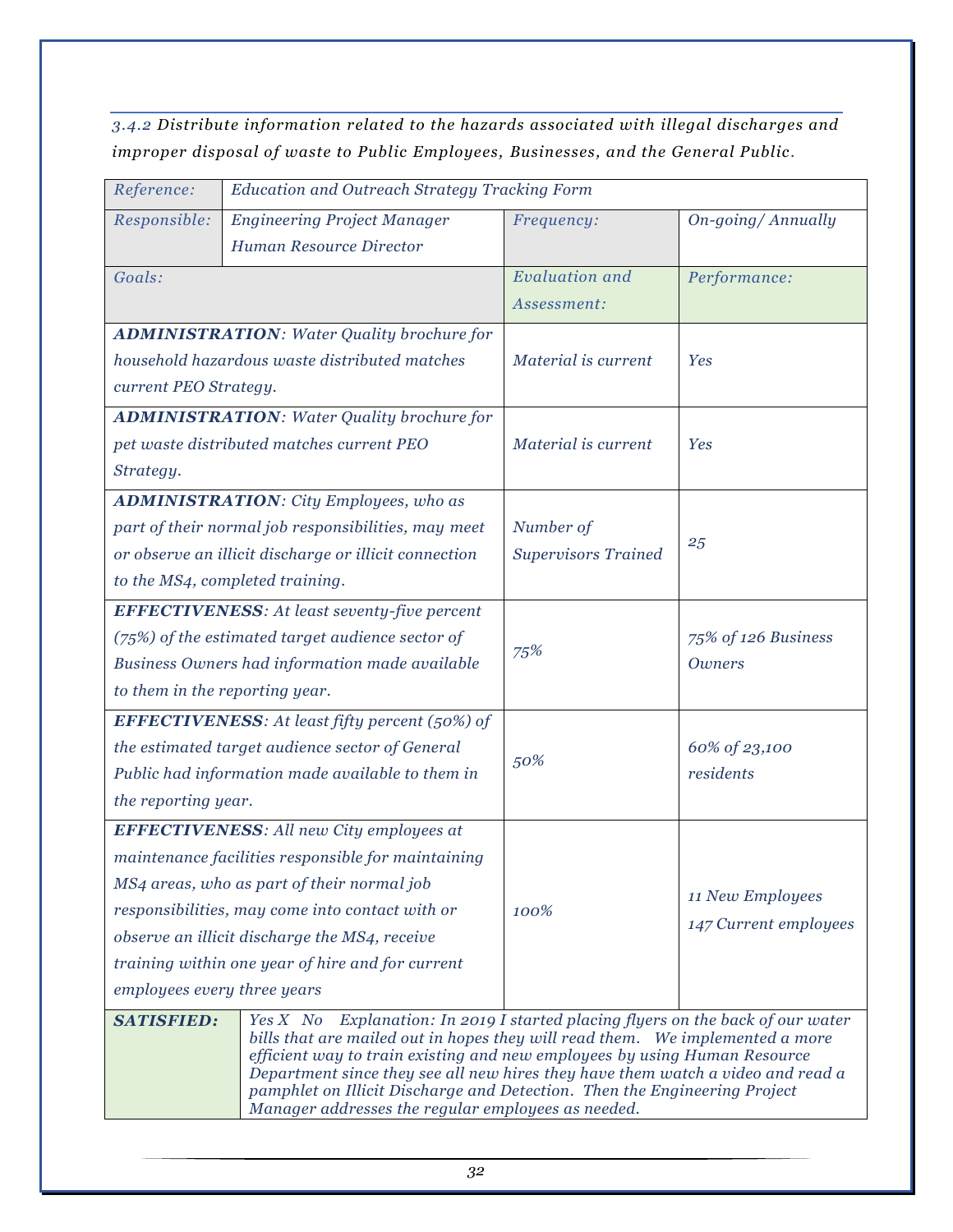*3.4.2 Distribute information related to the hazards associated with illegal discharges and improper disposal of waste to Public Employees, Businesses, and the General Public.*

| Reference:                                                                                                                                                                                                                                                                                                                                                                                                                                                                                  | <b>Education and Outreach Strategy Tracking Form</b>  |                            |                       |  |  |
|---------------------------------------------------------------------------------------------------------------------------------------------------------------------------------------------------------------------------------------------------------------------------------------------------------------------------------------------------------------------------------------------------------------------------------------------------------------------------------------------|-------------------------------------------------------|----------------------------|-----------------------|--|--|
| Responsible:                                                                                                                                                                                                                                                                                                                                                                                                                                                                                | <b>Engineering Project Manager</b>                    | Frequency:                 | On-going/Annually     |  |  |
|                                                                                                                                                                                                                                                                                                                                                                                                                                                                                             | Human Resource Director                               |                            |                       |  |  |
| Goals:                                                                                                                                                                                                                                                                                                                                                                                                                                                                                      |                                                       | <b>Evaluation</b> and      | Performance:          |  |  |
|                                                                                                                                                                                                                                                                                                                                                                                                                                                                                             |                                                       | Assessment:                |                       |  |  |
|                                                                                                                                                                                                                                                                                                                                                                                                                                                                                             | <b>ADMINISTRATION:</b> Water Quality brochure for     |                            |                       |  |  |
|                                                                                                                                                                                                                                                                                                                                                                                                                                                                                             | household hazardous waste distributed matches         | Material is current        | Yes                   |  |  |
| current PEO Strategy.                                                                                                                                                                                                                                                                                                                                                                                                                                                                       |                                                       |                            |                       |  |  |
|                                                                                                                                                                                                                                                                                                                                                                                                                                                                                             | <b>ADMINISTRATION:</b> Water Quality brochure for     |                            |                       |  |  |
|                                                                                                                                                                                                                                                                                                                                                                                                                                                                                             | pet waste distributed matches current PEO             | Material is current        | Yes                   |  |  |
| Strategy.                                                                                                                                                                                                                                                                                                                                                                                                                                                                                   |                                                       |                            |                       |  |  |
|                                                                                                                                                                                                                                                                                                                                                                                                                                                                                             | <b>ADMINISTRATION:</b> City Employees, who as         |                            |                       |  |  |
|                                                                                                                                                                                                                                                                                                                                                                                                                                                                                             | part of their normal job responsibilities, may meet   | Number of                  |                       |  |  |
|                                                                                                                                                                                                                                                                                                                                                                                                                                                                                             | or observe an illicit discharge or illicit connection | <b>Supervisors Trained</b> | 25                    |  |  |
|                                                                                                                                                                                                                                                                                                                                                                                                                                                                                             | to the MS4, completed training.                       |                            |                       |  |  |
|                                                                                                                                                                                                                                                                                                                                                                                                                                                                                             | <b>EFFECTIVENESS:</b> At least seventy-five percent   |                            |                       |  |  |
|                                                                                                                                                                                                                                                                                                                                                                                                                                                                                             | (75%) of the estimated target audience sector of      | 75%                        | 75% of 126 Business   |  |  |
|                                                                                                                                                                                                                                                                                                                                                                                                                                                                                             | Business Owners had information made available        |                            | <b>Owners</b>         |  |  |
| to them in the reporting year.                                                                                                                                                                                                                                                                                                                                                                                                                                                              |                                                       |                            |                       |  |  |
|                                                                                                                                                                                                                                                                                                                                                                                                                                                                                             | <b>EFFECTIVENESS:</b> At least fifty percent (50%) of |                            |                       |  |  |
|                                                                                                                                                                                                                                                                                                                                                                                                                                                                                             | the estimated target audience sector of General       | 50%                        | 60% of 23,100         |  |  |
|                                                                                                                                                                                                                                                                                                                                                                                                                                                                                             | Public had information made available to them in      |                            | residents             |  |  |
| the reporting year.                                                                                                                                                                                                                                                                                                                                                                                                                                                                         |                                                       |                            |                       |  |  |
|                                                                                                                                                                                                                                                                                                                                                                                                                                                                                             | <b>EFFECTIVENESS:</b> All new City employees at       |                            |                       |  |  |
|                                                                                                                                                                                                                                                                                                                                                                                                                                                                                             | maintenance facilities responsible for maintaining    |                            |                       |  |  |
|                                                                                                                                                                                                                                                                                                                                                                                                                                                                                             | MS4 areas, who as part of their normal job            |                            | 11 New Employees      |  |  |
|                                                                                                                                                                                                                                                                                                                                                                                                                                                                                             | responsibilities, may come into contact with or       | 100%                       | 147 Current employees |  |  |
|                                                                                                                                                                                                                                                                                                                                                                                                                                                                                             | observe an illicit discharge the MS4, receive         |                            |                       |  |  |
| training within one year of hire and for current                                                                                                                                                                                                                                                                                                                                                                                                                                            |                                                       |                            |                       |  |  |
| employees every three years                                                                                                                                                                                                                                                                                                                                                                                                                                                                 |                                                       |                            |                       |  |  |
| Explanation: In 2019 I started placing flyers on the back of our water<br><b>SATISFIED:</b><br>Yes X No<br>bills that are mailed out in hopes they will read them. We implemented a more<br>efficient way to train existing and new employees by using Human Resource<br>Department since they see all new hires they have them watch a video and read a<br>pamphlet on Illicit Discharge and Detection. Then the Engineering Project<br>Manager addresses the regular employees as needed. |                                                       |                            |                       |  |  |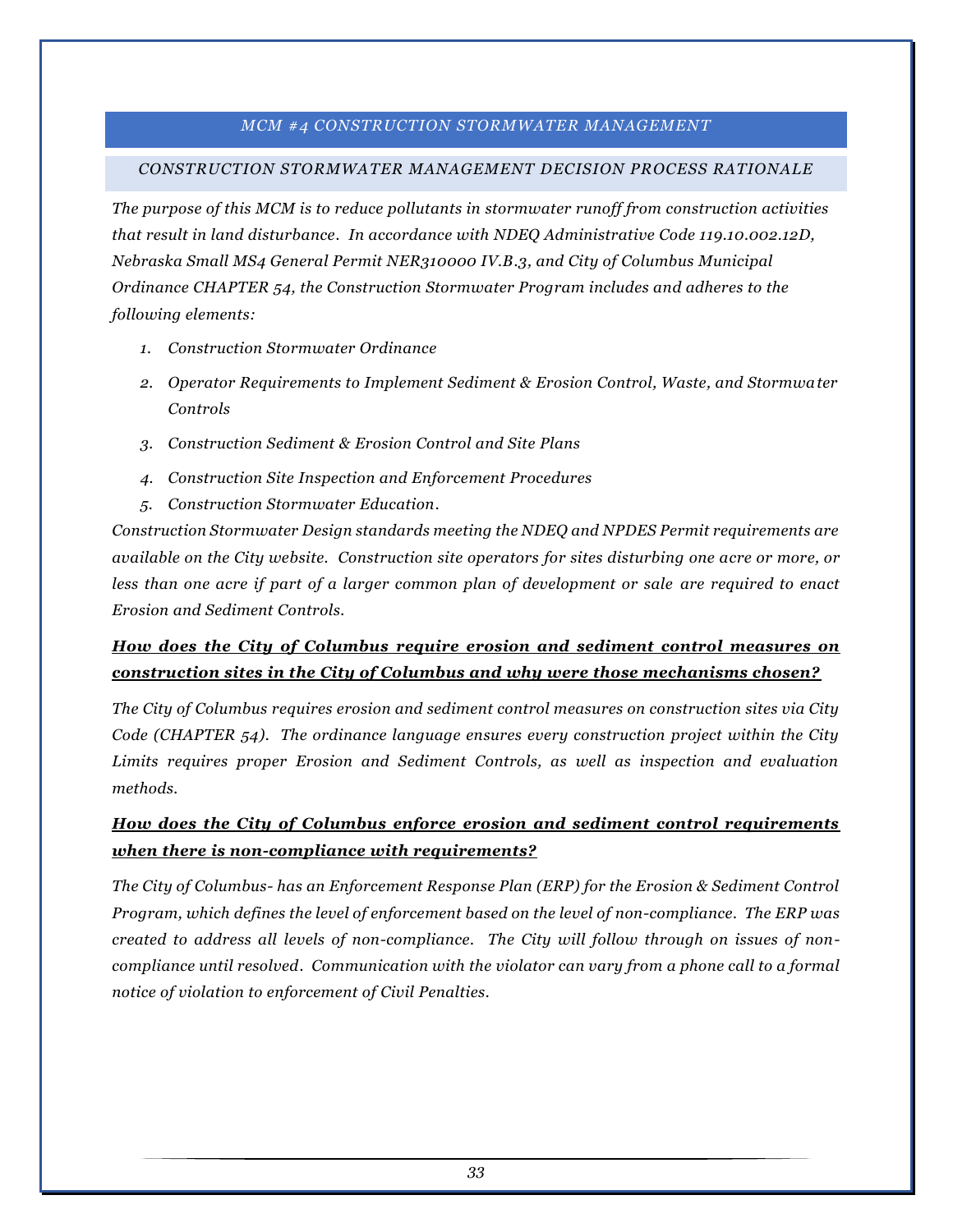#### *MCM #4 CONSTRUCTION STORMWATER MANAGEMENT*

#### <span id="page-33-1"></span><span id="page-33-0"></span>*CONSTRUCTION STORMWATER MANAGEMENT DECISION PROCESS RATIONALE*

*The purpose of this MCM is to reduce pollutants in stormwater runoff from construction activities that result in land disturbance. In accordance with NDEQ Administrative Code 119.10.002.12D, Nebraska Small MS4 General Permit NER310000 IV.B.3, and City of Columbus Municipal Ordinance CHAPTER 54, the Construction Stormwater Program includes and adheres to the following elements:*

- *1. Construction Stormwater Ordinance*
- *2. Operator Requirements to Implement Sediment & Erosion Control, Waste, and Stormwater Controls*
- *3. Construction Sediment & Erosion Control and Site Plans*
- *4. Construction Site Inspection and Enforcement Procedures*
- *5. Construction Stormwater Education.*

*Construction Stormwater Design standards meeting the NDEQ and NPDES Permit requirements are available on the City website. Construction site operators for sites disturbing one acre or more, or less than one acre if part of a larger common plan of development or sale are required to enact Erosion and Sediment Controls.*

#### *How does the City of Columbus require erosion and sediment control measures on construction sites in the City of Columbus and why were those mechanisms chosen?*

*The City of Columbus requires erosion and sediment control measures on construction sites via City Code (CHAPTER 54). The ordinance language ensures every construction project within the City Limits requires proper Erosion and Sediment Controls, as well as inspection and evaluation methods.*

### *How does the City of Columbus enforce erosion and sediment control requirements when there is non-compliance with requirements?*

*The City of Columbus- has an Enforcement Response Plan (ERP) for the Erosion & Sediment Control Program, which defines the level of enforcement based on the level of non-compliance. The ERP was created to address all levels of non-compliance. The City will follow through on issues of noncompliance until resolved. Communication with the violator can vary from a phone call to a formal notice of violation to enforcement of Civil Penalties.*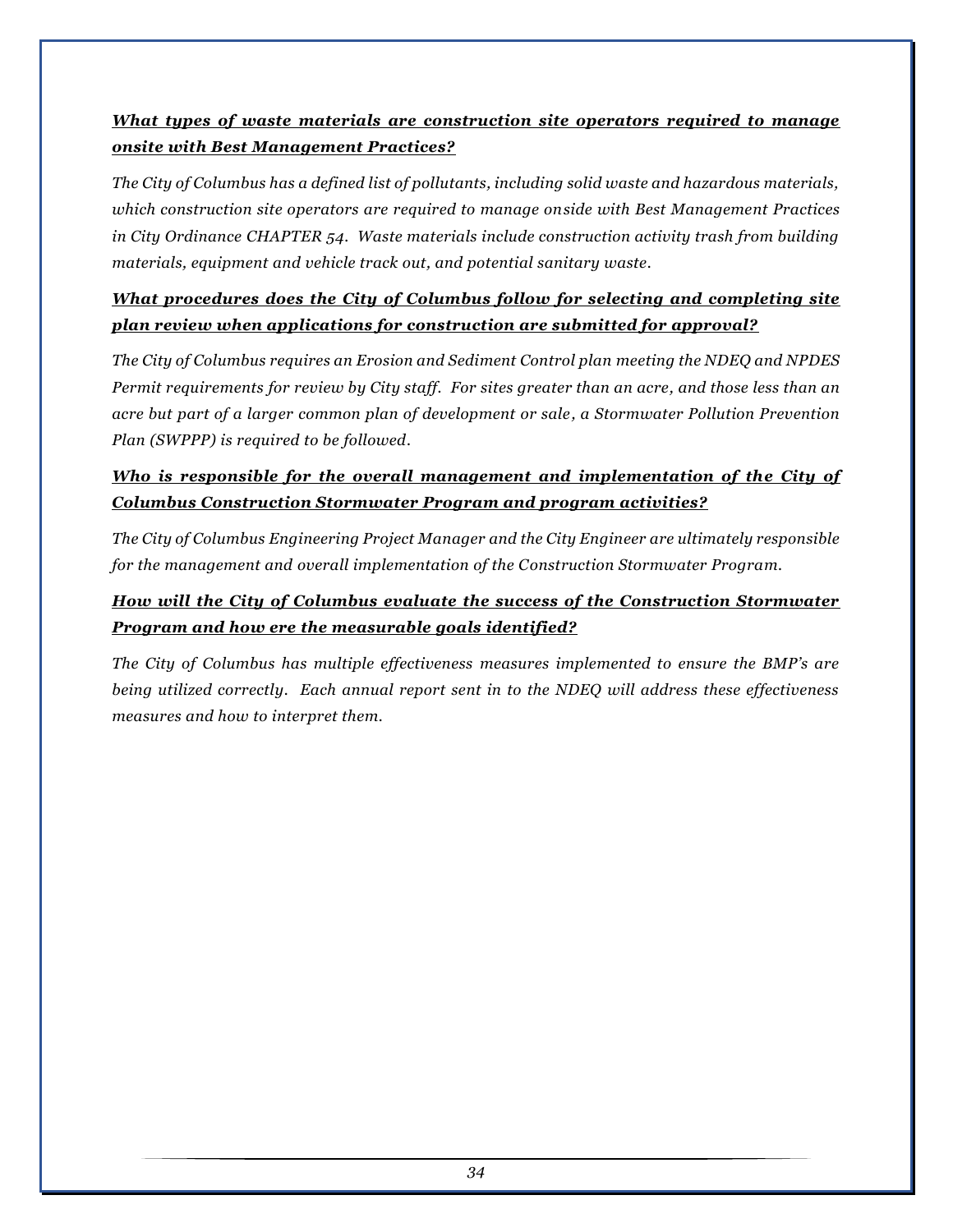### *What types of waste materials are construction site operators required to manage onsite with Best Management Practices?*

*The City of Columbus has a defined list of pollutants, including solid waste and hazardous materials, which construction site operators are required to manage onside with Best Management Practices in City Ordinance CHAPTER 54. Waste materials include construction activity trash from building materials, equipment and vehicle track out, and potential sanitary waste.*

### *What procedures does the City of Columbus follow for selecting and completing site plan review when applications for construction are submitted for approval?*

*The City of Columbus requires an Erosion and Sediment Control plan meeting the NDEQ and NPDES Permit requirements for review by City staff. For sites greater than an acre, and those less than an acre but part of a larger common plan of development or sale, a Stormwater Pollution Prevention Plan (SWPPP) is required to be followed.*

### *Who is responsible for the overall management and implementation of the City of Columbus Construction Stormwater Program and program activities?*

*The City of Columbus Engineering Project Manager and the City Engineer are ultimately responsible for the management and overall implementation of the Construction Stormwater Program.*

### *How will the City of Columbus evaluate the success of the Construction Stormwater Program and how ere the measurable goals identified?*

*The City of Columbus has multiple effectiveness measures implemented to ensure the BMP's are being utilized correctly. Each annual report sent in to the NDEQ will address these effectiveness measures and how to interpret them.*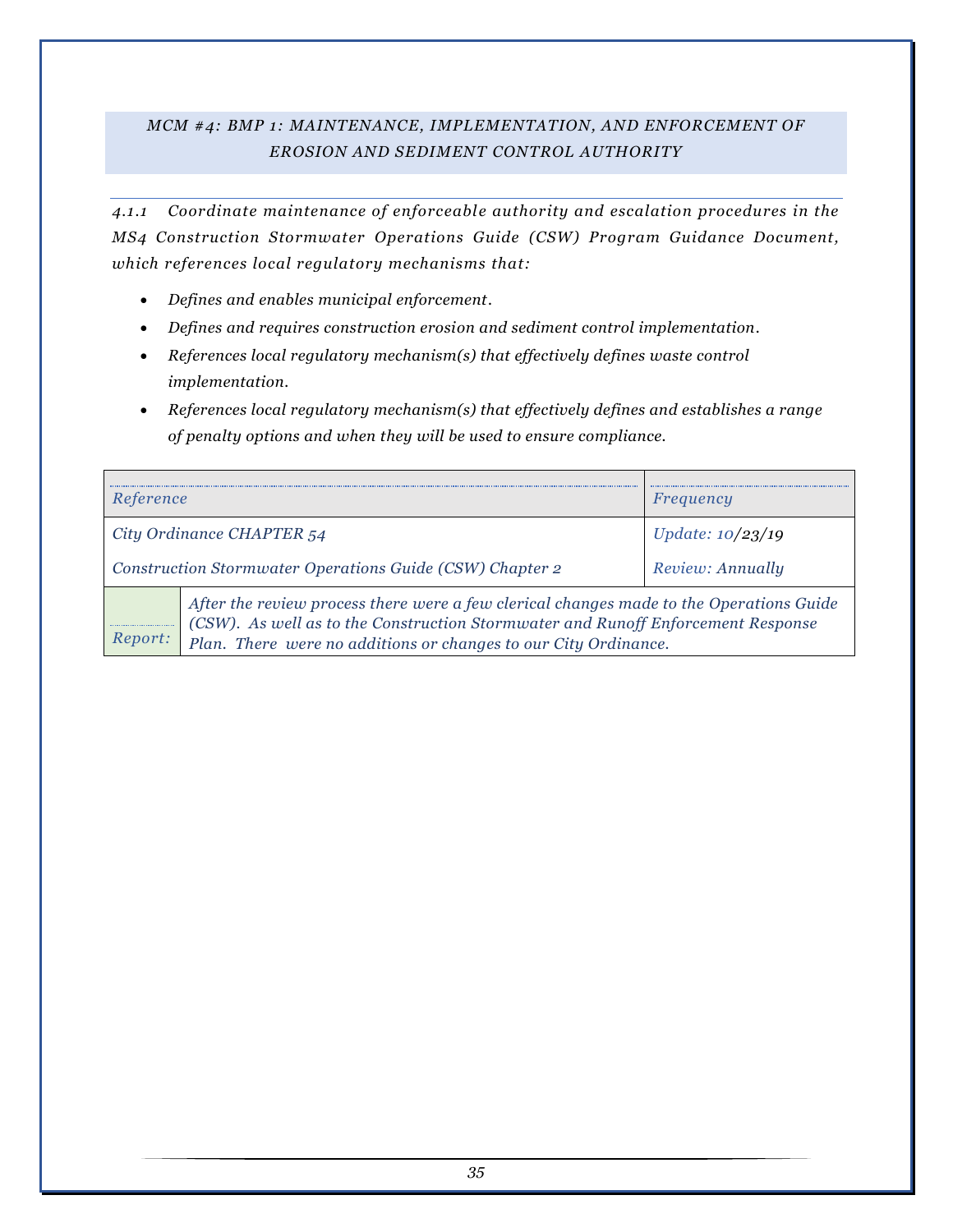### <span id="page-35-0"></span>*MCM #4: BMP 1: MAINTENANCE, IMPLEMENTATION, AND ENFORCEMENT OF EROSION AND SEDIMENT CONTROL AUTHORITY*

*4.1.1 Coordinate maintenance of enforceabl e authority and escalation procedures in the MS4 Construction Stormwater Operations Guide (CSW) Program Guidance Document, which references local regulatory mechanisms that:*

- *Defines and enables municipal enforcement.*
- *Defines and requires construction erosion and sediment control implementation.*
- *References local regulatory mechanism(s) that effectively defines waste control implementation.*
- *References local regulatory mechanism(s) that effectively defines and establishes a range of penalty options and when they will be used to ensure compliance.*

| Reference                                                |                                                                                                                                                                                                                                                | Frequency                 |
|----------------------------------------------------------|------------------------------------------------------------------------------------------------------------------------------------------------------------------------------------------------------------------------------------------------|---------------------------|
|                                                          | City Ordinance CHAPTER 54                                                                                                                                                                                                                      | <i>Update:</i> $10/23/19$ |
| Construction Stormwater Operations Guide (CSW) Chapter 2 |                                                                                                                                                                                                                                                | Review: Annually          |
| Report:                                                  | After the review process there were a few clerical changes made to the Operations Guide<br>(CSW). As well as to the Construction Stormwater and Runoff Enforcement Response<br>Plan. There were no additions or changes to our City Ordinance. |                           |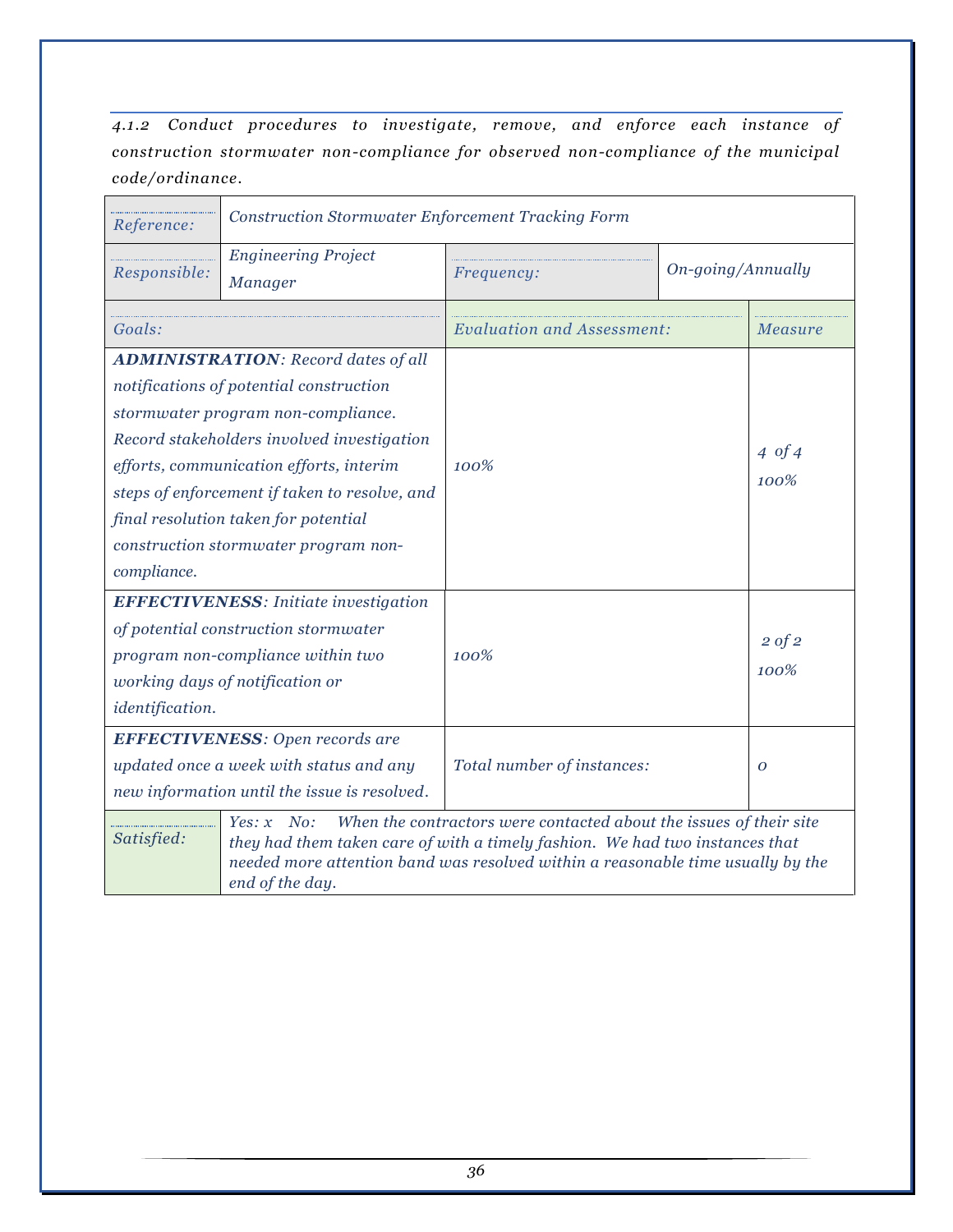*4.1.2 Conduct procedures to investigate, remove, and enforce each instance of construction stormwater non-compliance for observed non-compliance of the municipal code/ordinance.* 

| Reference:                                                                                                                                                                                                                                                                                | <b>Construction Stormwater Enforcement Tracking Form</b>                              |                                        |                   |                   |
|-------------------------------------------------------------------------------------------------------------------------------------------------------------------------------------------------------------------------------------------------------------------------------------------|---------------------------------------------------------------------------------------|----------------------------------------|-------------------|-------------------|
| Responsible:                                                                                                                                                                                                                                                                              | <b>Engineering Project</b><br><b>Manager</b>                                          | On-going/Annually<br><i>Frequency:</i> |                   |                   |
| Goals:                                                                                                                                                                                                                                                                                    |                                                                                       | <b>Evaluation and Assessment:</b>      |                   | Measure           |
|                                                                                                                                                                                                                                                                                           | <b>ADMINISTRATION:</b> Record dates of all                                            |                                        |                   |                   |
|                                                                                                                                                                                                                                                                                           | notifications of potential construction<br>stormwater program non-compliance.         |                                        |                   |                   |
|                                                                                                                                                                                                                                                                                           | Record stakeholders involved investigation<br>efforts, communication efforts, interim | 100%                                   | $4 \text{ of } 4$ |                   |
|                                                                                                                                                                                                                                                                                           | steps of enforcement if taken to resolve, and                                         |                                        |                   | 100%              |
|                                                                                                                                                                                                                                                                                           | final resolution taken for potential                                                  |                                        |                   |                   |
|                                                                                                                                                                                                                                                                                           | construction stormwater program non-                                                  |                                        |                   |                   |
| compliance.                                                                                                                                                                                                                                                                               |                                                                                       |                                        |                   |                   |
|                                                                                                                                                                                                                                                                                           | <b>EFFECTIVENESS:</b> Initiate investigation                                          |                                        |                   |                   |
|                                                                                                                                                                                                                                                                                           | of potential construction stormwater                                                  | 100%                                   |                   | $2 \text{ of } 2$ |
|                                                                                                                                                                                                                                                                                           | program non-compliance within two                                                     |                                        |                   |                   |
|                                                                                                                                                                                                                                                                                           | working days of notification or                                                       |                                        |                   | 100%              |
| identification.                                                                                                                                                                                                                                                                           |                                                                                       |                                        |                   |                   |
|                                                                                                                                                                                                                                                                                           | <b>EFFECTIVENESS:</b> Open records are                                                |                                        |                   |                   |
|                                                                                                                                                                                                                                                                                           | updated once a week with status and any                                               | Total number of instances:             | 0                 |                   |
| new information until the issue is resolved.                                                                                                                                                                                                                                              |                                                                                       |                                        |                   |                   |
| When the contractors were contacted about the issues of their site<br>$Yes: x \; No:$<br>Satisfied:<br>they had them taken care of with a timely fashion. We had two instances that<br>needed more attention band was resolved within a reasonable time usually by the<br>end of the day. |                                                                                       |                                        |                   |                   |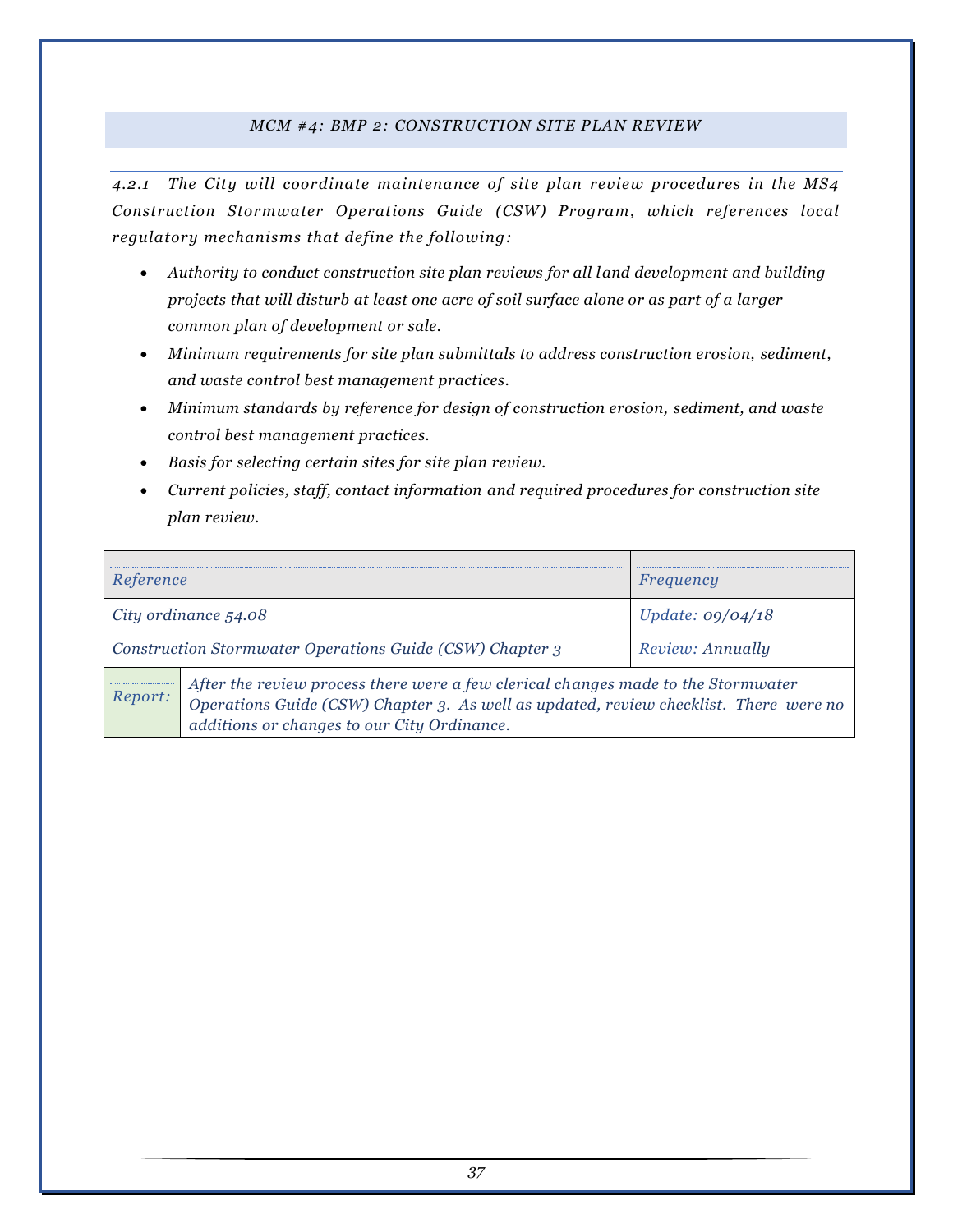#### *MCM #4: BMP 2: CONSTRUCTION SITE PLAN REVIEW*

<span id="page-37-0"></span>*4.2.1 The City will coordinate maintenance of site plan review procedures in the MS4 Construction Stormwater Operations Guide (CSW) Program, which references local regulatory mechanisms that define the following:*

- *Authority to conduct construction site plan reviews for all land development and building projects that will disturb at least one acre of soil surface alone or as part of a larger common plan of development or sale.*
- *Minimum requirements for site plan submittals to address construction erosion, sediment, and waste control best management practices.*
- *Minimum standards by reference for design of construction erosion, sediment, and waste control best management practices.*
- *Basis for selecting certain sites for site plan review.*
- *Current policies, staff, contact information and required procedures for construction site plan review.*

| Reference                                                                                                                                                                                                                            |  | Frequency                 |
|--------------------------------------------------------------------------------------------------------------------------------------------------------------------------------------------------------------------------------------|--|---------------------------|
| City ordinance 54.08                                                                                                                                                                                                                 |  | <i>Update:</i> $09/04/18$ |
| Construction Stormwater Operations Guide (CSW) Chapter 3                                                                                                                                                                             |  | Review: Annually          |
| After the review process there were a few clerical changes made to the Stormwater<br>Report:<br>Operations Guide (CSW) Chapter 3. As well as updated, review checklist. There were no<br>additions or changes to our City Ordinance. |  |                           |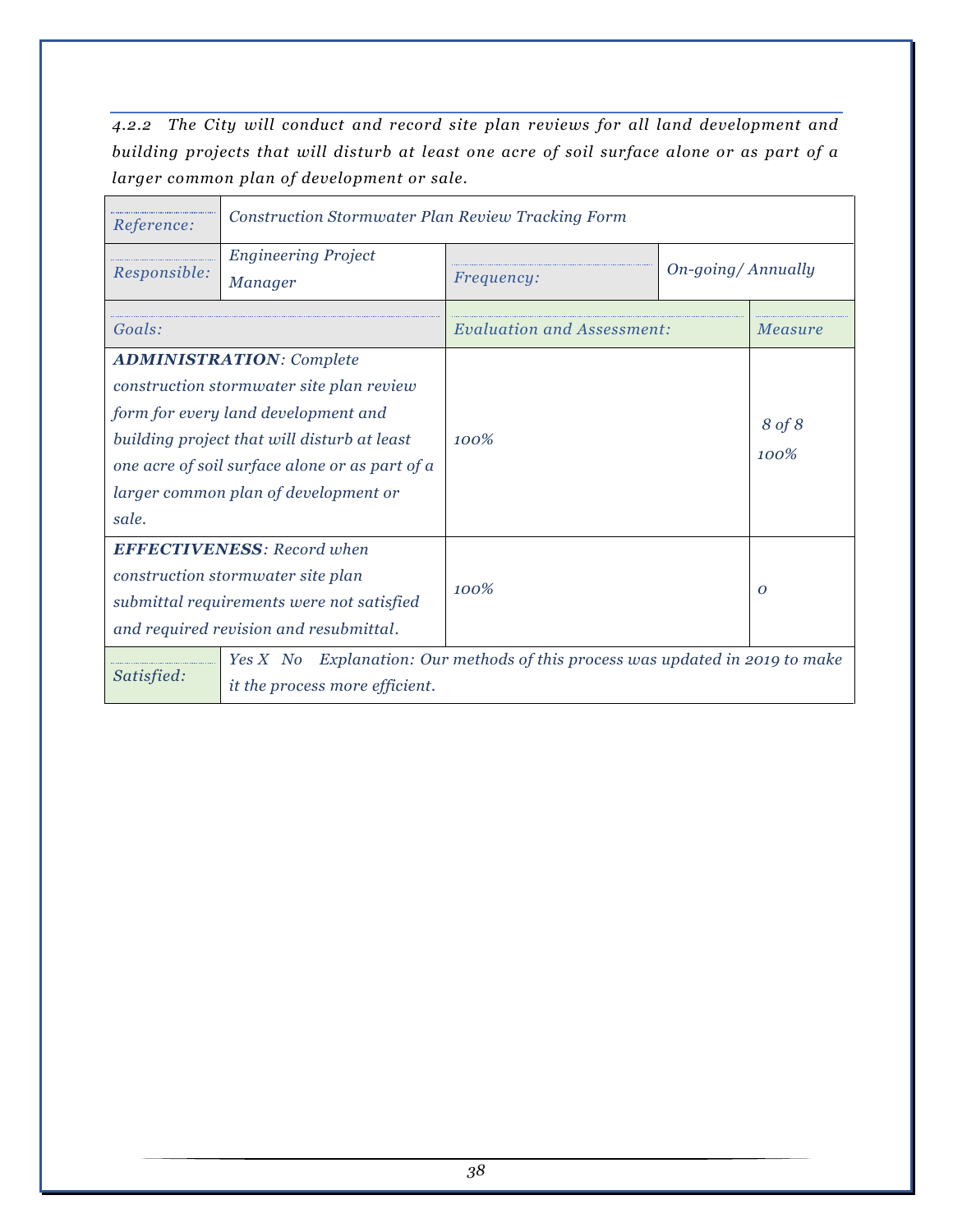*4.2.2 The City will conduct and record site plan reviews for all land development and building projects that will disturb at least one acre of soil surface alone or as part of a larger common plan of development or sale.*

| <i>Reference:</i>                                                                                                                                                                                                                                                    | Construction Stormwater Plan Review Tracking Form                                                                  |                            |                   |                   |  |
|----------------------------------------------------------------------------------------------------------------------------------------------------------------------------------------------------------------------------------------------------------------------|--------------------------------------------------------------------------------------------------------------------|----------------------------|-------------------|-------------------|--|
| Responsible:                                                                                                                                                                                                                                                         | <b>Engineering Project</b><br><b>Manager</b>                                                                       | <i>Frequency:</i>          | On-going/Annually |                   |  |
| Goals:                                                                                                                                                                                                                                                               |                                                                                                                    | Evaluation and Assessment: |                   | Measure           |  |
| <b>ADMINISTRATION: Complete</b><br>construction stormwater site plan review<br>form for every land development and<br>building project that will disturb at least<br>one acre of soil surface alone or as part of a<br>larger common plan of development or<br>sale. |                                                                                                                    | $100\%$                    |                   | 8 of 8<br>$100\%$ |  |
| <b>EFFECTIVENESS:</b> Record when<br>construction stormwater site plan<br>submittal requirements were not satisfied<br>and required revision and resubmittal.                                                                                                        |                                                                                                                    | $100\%$                    |                   | $\Omega$          |  |
| Satisfied:                                                                                                                                                                                                                                                           | Explanation: Our methods of this process was updated in 2019 to make<br>Yes X No<br>it the process more efficient. |                            |                   |                   |  |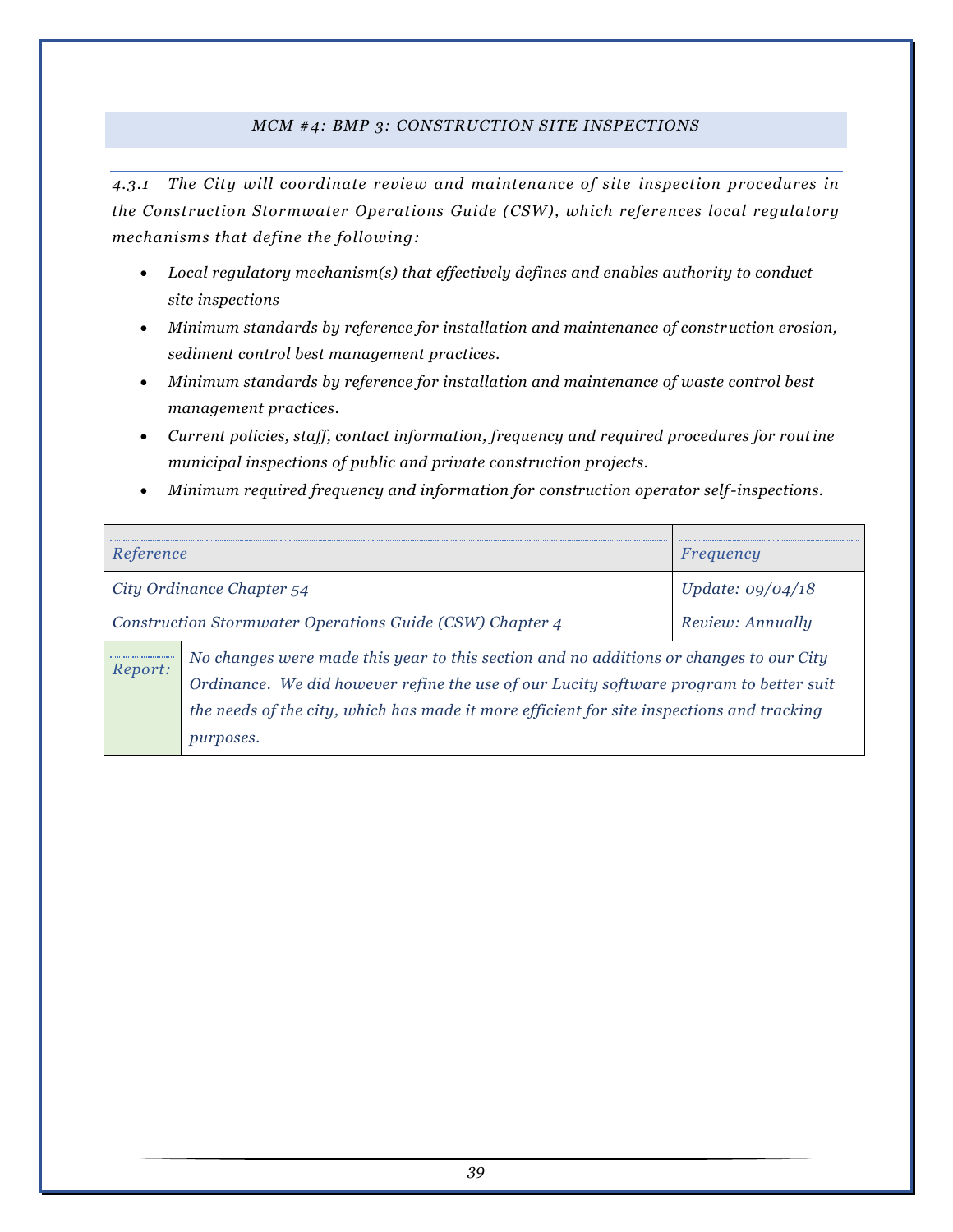#### *MCM #4: BMP 3: CONSTRUCTION SITE INSPECTIONS*

<span id="page-39-0"></span>*4.3.1 The City will coordinate review and maintenance of site inspection procedures in the Construction Stormwater Operations Guide (CSW), which references local regulatory mechanisms that define the following:*

- *Local regulatory mechanism(s) that effectively defines and enables authority to conduct site inspections*
- *Minimum standards by reference for installation and maintenance of construction erosion, sediment control best management practices.*
- *Minimum standards by reference for installation and maintenance of waste control best management practices.*
- *Current policies, staff, contact information, frequency and required procedures for routine municipal inspections of public and private construction projects.*
- *Minimum required frequency and information for construction operator self-inspections.*

| Reference |                                                                                                                                                                                                                                                                                           | Frequency        |
|-----------|-------------------------------------------------------------------------------------------------------------------------------------------------------------------------------------------------------------------------------------------------------------------------------------------|------------------|
|           | City Ordinance Chapter 54                                                                                                                                                                                                                                                                 | Update: 09/04/18 |
|           | Construction Stormwater Operations Guide (CSW) Chapter 4                                                                                                                                                                                                                                  | Review: Annually |
| Report:   | No changes were made this year to this section and no additions or changes to our City<br>Ordinance. We did however refine the use of our Lucity software program to better suit<br>the needs of the city, which has made it more efficient for site inspections and tracking<br>purposes |                  |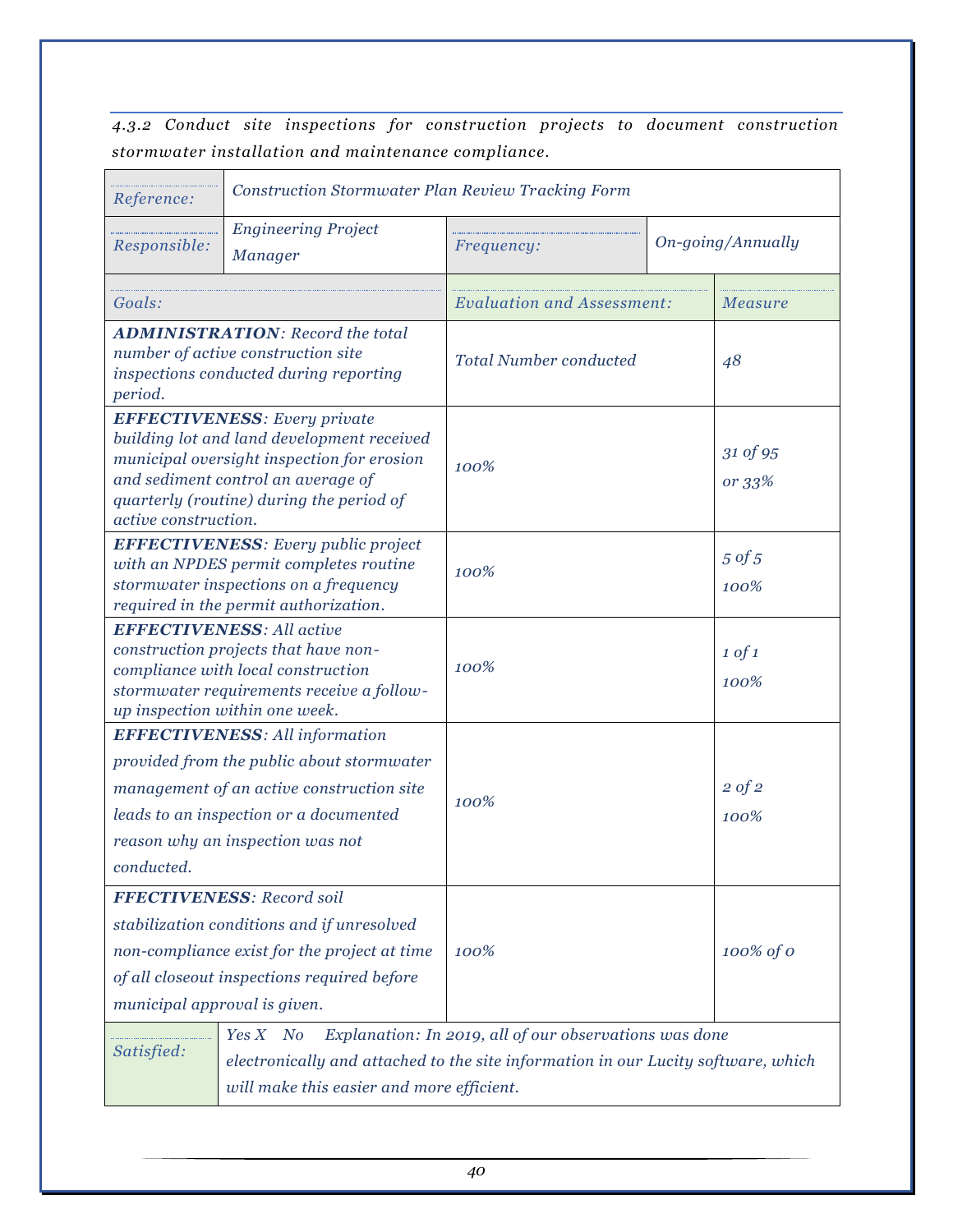*4.3.2 Conduct site inspections for construction projects to document construction stormwater installation and maintenance compliance.*

| Reference:                                                                                                                                                                                                                                | Construction Stormwater Plan Review Tracking Form |                                   |                   |                           |
|-------------------------------------------------------------------------------------------------------------------------------------------------------------------------------------------------------------------------------------------|---------------------------------------------------|-----------------------------------|-------------------|---------------------------|
| Responsible:                                                                                                                                                                                                                              | <b>Engineering Project</b><br><b>Manager</b>      | Frequency:                        | On-going/Annually |                           |
| Goals:                                                                                                                                                                                                                                    |                                                   | <b>Evaluation and Assessment:</b> |                   | Measure                   |
| <b>ADMINISTRATION:</b> Record the total<br>number of active construction site<br>inspections conducted during reporting<br>period.                                                                                                        |                                                   | <b>Total Number conducted</b>     |                   | 48                        |
| <b>EFFECTIVENESS:</b> Every private<br>building lot and land development received<br>municipal oversight inspection for erosion<br>and sediment control an average of<br>quarterly (routine) during the period of<br>active construction. |                                                   | 100%                              |                   | 31 of 95<br>or 33%        |
| <b>EFFECTIVENESS:</b> Every public project<br>with an NPDES permit completes routine<br>stormwater inspections on a frequency<br>required in the permit authorization.                                                                    |                                                   | 100%                              |                   | $5 \text{ of } 5$<br>100% |
| <b>EFFECTIVENESS: All active</b><br>construction projects that have non-<br>compliance with local construction<br>stormwater requirements receive a follow-<br>up inspection within one week.                                             |                                                   | 100%                              |                   | $1 \text{ of } 1$<br>100% |
| <b>EFFECTIVENESS:</b> All information<br>provided from the public about stormwater<br>management of an active construction site<br>leads to an inspection or a documented<br>reason why an inspection was not<br>conducted.               |                                                   | 100%                              |                   | $2 \text{ of } 2$<br>100% |
| <b>FFECTIVENESS:</b> Record soil<br>stabilization conditions and if unresolved<br>non-compliance exist for the project at time<br>of all closeout inspections required before<br>municipal approval is given.                             |                                                   | 100%                              |                   | 100% of 0                 |
| Explanation: In 2019, all of our observations was done<br>Yes X No<br>Satisfied:<br>electronically and attached to the site information in our Lucity software, which<br>will make this easier and more efficient.                        |                                                   |                                   |                   |                           |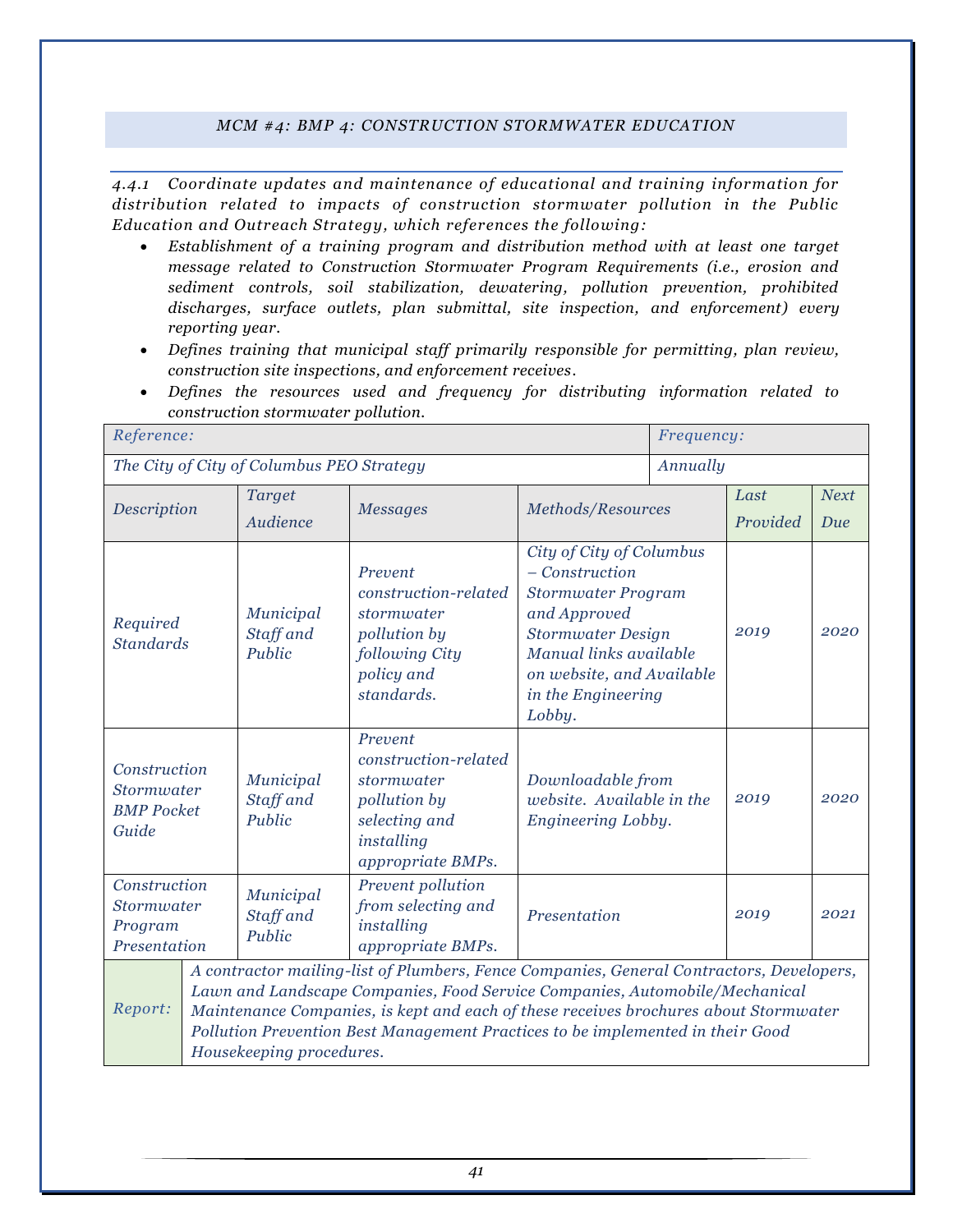#### *MCM #4: BMP 4: CONSTRUCTION STORMWATER EDUCATION*

<span id="page-41-0"></span>*4.4.1 Coordinate updates and maintenance of educational and training information for distribution related to impacts of construction stormwater pollution in the Public Education and Outreach Strategy, which references the following:*

- *Establishment of a training program and distribution method with at least one target message related to Construction Stormwater Program Requirements (i.e., erosion and sediment controls, soil stabilization, dewatering, pollution prevention, prohibited discharges, surface outlets, plan submittal, site inspection, and enforcement) every reporting year.*
- *Defines training that municipal staff primarily responsible for permitting, plan review, construction site inspections, and enforcement receives.*
- *Defines the resources used and frequency for distributing information related to construction stormwater pollution.*

| Reference:                                                                                                                                                              |                                                                                                                                                                                                                                                                                                                                                                               |                                  |                                                                                                                   |                                                                                                                                                                                                              | Frequency: |          |                             |
|-------------------------------------------------------------------------------------------------------------------------------------------------------------------------|-------------------------------------------------------------------------------------------------------------------------------------------------------------------------------------------------------------------------------------------------------------------------------------------------------------------------------------------------------------------------------|----------------------------------|-------------------------------------------------------------------------------------------------------------------|--------------------------------------------------------------------------------------------------------------------------------------------------------------------------------------------------------------|------------|----------|-----------------------------|
|                                                                                                                                                                         | The City of City of Columbus PEO Strategy<br>Annually                                                                                                                                                                                                                                                                                                                         |                                  |                                                                                                                   |                                                                                                                                                                                                              |            |          |                             |
| Description                                                                                                                                                             |                                                                                                                                                                                                                                                                                                                                                                               | <b>Target</b>                    | <b>Messages</b>                                                                                                   | Methods/Resources                                                                                                                                                                                            |            | Last     | <b>Next</b>                 |
|                                                                                                                                                                         |                                                                                                                                                                                                                                                                                                                                                                               | Audience                         |                                                                                                                   |                                                                                                                                                                                                              |            | Provided | Due<br>2020<br>2020<br>2021 |
| Required<br><b>Standards</b>                                                                                                                                            |                                                                                                                                                                                                                                                                                                                                                                               | Municipal<br>Staff and<br>Public | Prevent<br>construction-related<br>stormwater<br>pollution by<br>following City<br>policy and<br>standards.       | City of City of Columbus<br>$-$ Construction<br><b>Stormwater Program</b><br>and Approved<br><b>Stormwater Design</b><br>Manual links available<br>on website, and Available<br>in the Engineering<br>Lobby. |            | 2019     |                             |
| Construction<br><b>Stormwater</b><br><b>BMP</b> Pocket<br>Guide                                                                                                         |                                                                                                                                                                                                                                                                                                                                                                               | Municipal<br>Staff and<br>Public | Prevent<br>construction-related<br>stormwater<br>pollution by<br>selecting and<br>installing<br>appropriate BMPs. | Downloadable from<br>website. Available in the<br>Engineering Lobby.                                                                                                                                         |            | 2019     |                             |
| Construction<br>Prevent pollution<br>Municipal<br>from selecting and<br>Stormwater<br>Staff and<br>installing<br>Program<br>Public<br>Presentation<br>appropriate BMPs. |                                                                                                                                                                                                                                                                                                                                                                               | Presentation                     |                                                                                                                   | 2019                                                                                                                                                                                                         |            |          |                             |
| Report:                                                                                                                                                                 | A contractor mailing-list of Plumbers, Fence Companies, General Contractors, Developers,<br>Lawn and Landscape Companies, Food Service Companies, Automobile/Mechanical<br>Maintenance Companies, is kept and each of these receives brochures about Stormwater<br>Pollution Prevention Best Management Practices to be implemented in their Good<br>Housekeeping procedures. |                                  |                                                                                                                   |                                                                                                                                                                                                              |            |          |                             |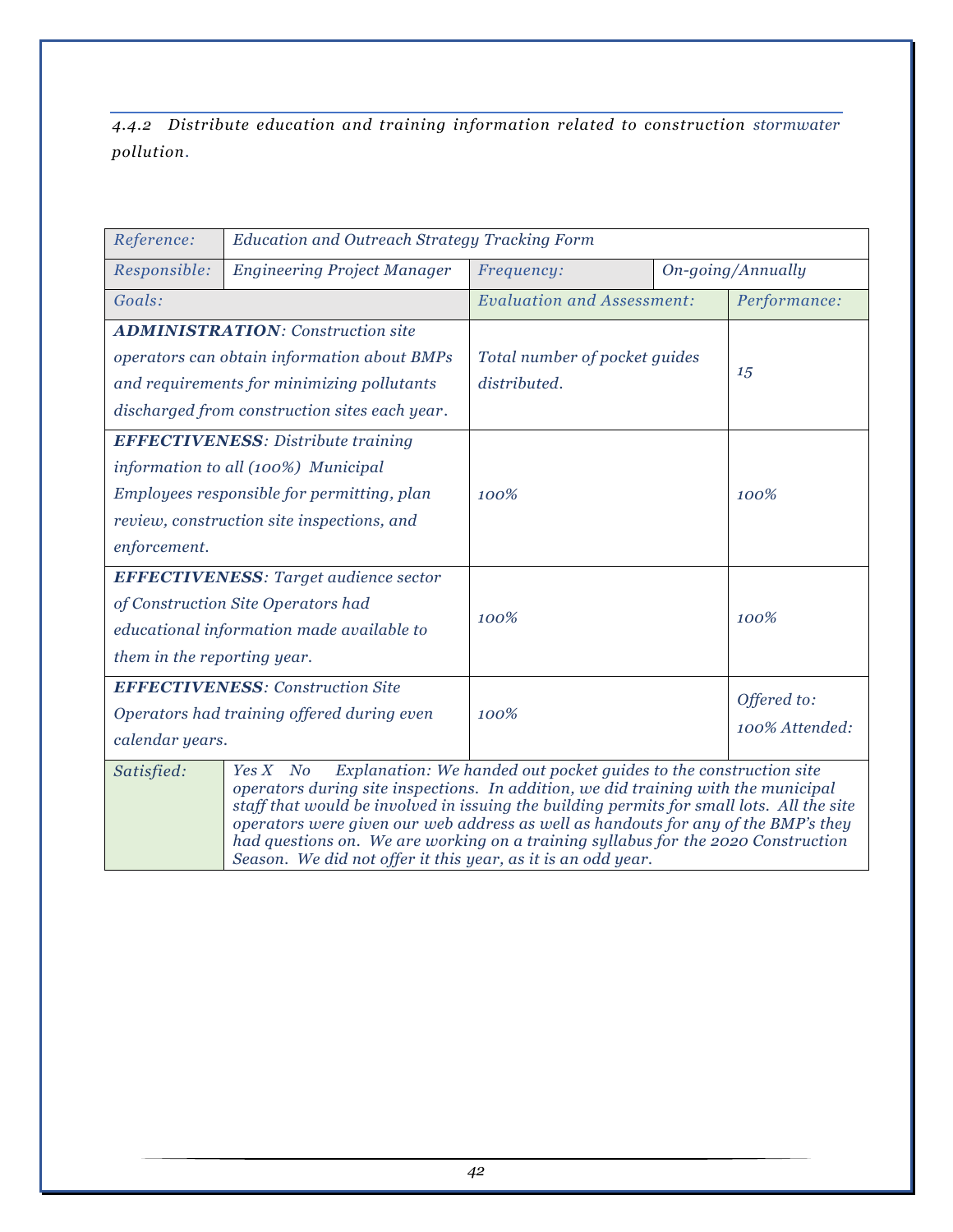*4.4.2 Distribute education and training information related to construction stormwater pollution.*

| Reference:                                                                                                                                                                                                                                                                                                                                                                                                                                                                                                                     | <b>Education and Outreach Strategy Tracking Form</b> |                                               |  |                               |
|--------------------------------------------------------------------------------------------------------------------------------------------------------------------------------------------------------------------------------------------------------------------------------------------------------------------------------------------------------------------------------------------------------------------------------------------------------------------------------------------------------------------------------|------------------------------------------------------|-----------------------------------------------|--|-------------------------------|
| Responsible:                                                                                                                                                                                                                                                                                                                                                                                                                                                                                                                   | <b>Engineering Project Manager</b>                   | On-going/Annually<br>Frequency:               |  |                               |
| Goals:                                                                                                                                                                                                                                                                                                                                                                                                                                                                                                                         |                                                      | <b>Evaluation and Assessment:</b>             |  | Performance:                  |
| <b>ADMINISTRATION:</b> Construction site<br>operators can obtain information about BMPs<br>and requirements for minimizing pollutants<br>discharged from construction sites each year.                                                                                                                                                                                                                                                                                                                                         |                                                      | Total number of pocket guides<br>distributed. |  | 15                            |
| <b>EFFECTIVENESS:</b> Distribute training<br>information to all (100%) Municipal<br>Employees responsible for permitting, plan<br>review, construction site inspections, and<br>enforcement.                                                                                                                                                                                                                                                                                                                                   |                                                      | 100%                                          |  | 100%                          |
| <b>EFFECTIVENESS:</b> Target audience sector<br>of Construction Site Operators had<br>educational information made available to<br>them in the reporting year.                                                                                                                                                                                                                                                                                                                                                                 |                                                      | 100%                                          |  | 100%                          |
| <b>EFFECTIVENESS:</b> Construction Site<br>Operators had training offered during even<br>calendar years.                                                                                                                                                                                                                                                                                                                                                                                                                       |                                                      | 100%                                          |  | Offered to:<br>100% Attended: |
| Explanation: We handed out pocket guides to the construction site<br>Satisfied:<br>$Yes X \t No$<br>operators during site inspections. In addition, we did training with the municipal<br>staff that would be involved in issuing the building permits for small lots. All the site<br>operators were given our web address as well as handouts for any of the BMP's they<br>had questions on. We are working on a training syllabus for the 2020 Construction<br>Season. We did not offer it this year, as it is an odd year. |                                                      |                                               |  |                               |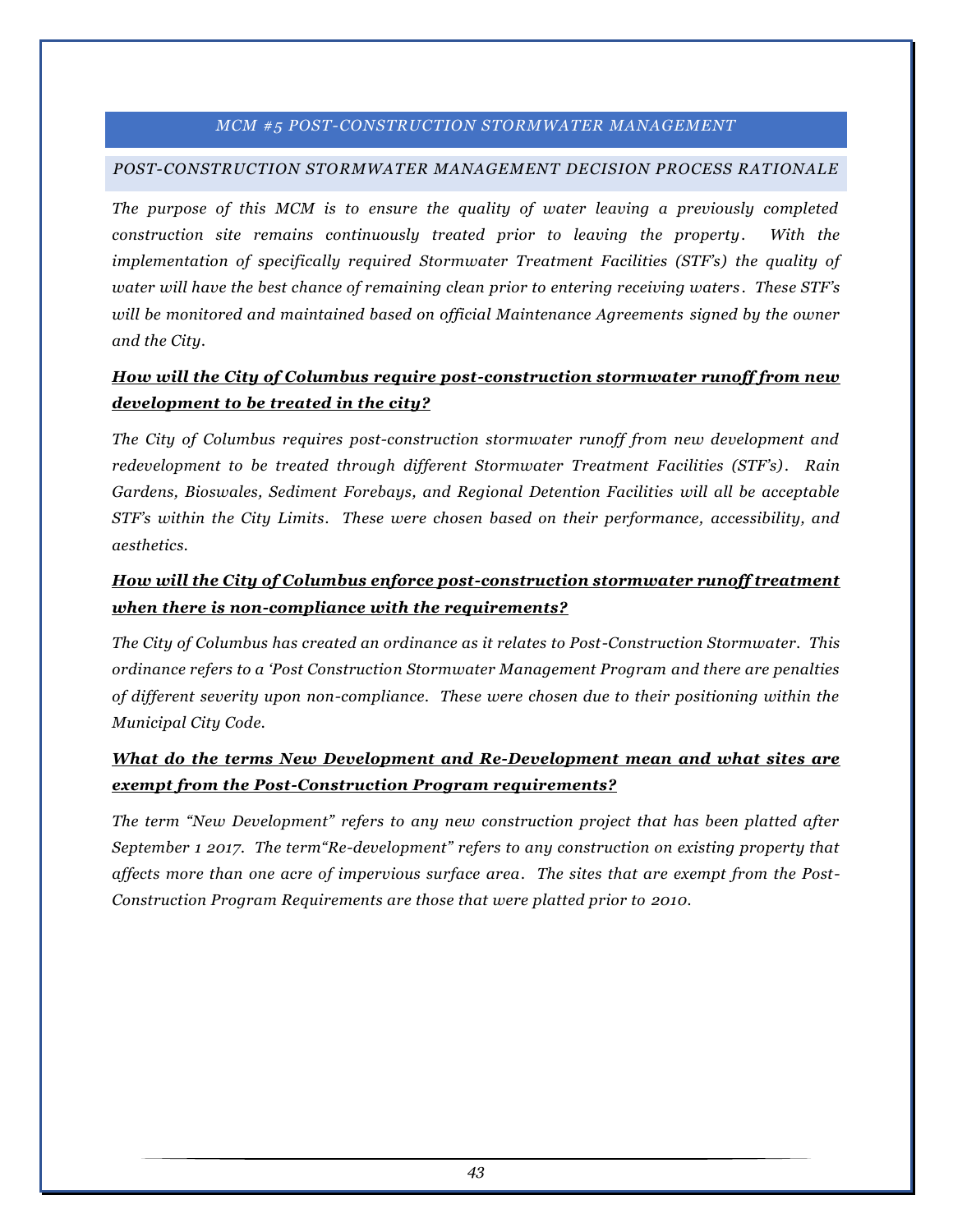#### *MCM #5 POST-CONSTRUCTION STORMWATER MANAGEMENT*

#### <span id="page-43-1"></span><span id="page-43-0"></span>*POST-CONSTRUCTION STORMWATER MANAGEMENT DECISION PROCESS RATIONALE*

*The purpose of this MCM is to ensure the quality of water leaving a previously completed construction site remains continuously treated prior to leaving the property. With the implementation of specifically required Stormwater Treatment Facilities (STF's) the quality of water will have the best chance of remaining clean prior to entering receiving waters . These STF's will be monitored and maintained based on official Maintenance Agreements signed by the owner and the City.*

#### *How will the City of Columbus require post-construction stormwater runoff from new development to be treated in the city?*

*The City of Columbus requires post-construction stormwater runoff from new development and redevelopment to be treated through different Stormwater Treatment Facilities (STF's). Rain Gardens, Bioswales, Sediment Forebays, and Regional Detention Facilities will all be acceptable STF's within the City Limits. These were chosen based on their performance, accessibility, and aesthetics.*

### *How will the City of Columbus enforce post-construction stormwater runoff treatment when there is non-compliance with the requirements?*

*The City of Columbus has created an ordinance as it relates to Post-Construction Stormwater. This ordinance refers to a 'Post Construction Stormwater Management Program and there are penalties of different severity upon non-compliance. These were chosen due to their positioning within the Municipal City Code.*

#### *What do the terms New Development and Re-Development mean and what sites are exempt from the Post-Construction Program requirements?*

*The term "New Development" refers to any new construction project that has been platted after September 1 2017. The term"Re-development" refers to any construction on existing property that affects more than one acre of impervious surface area. The sites that are exempt from the Post-Construction Program Requirements are those that were platted prior to 2010.*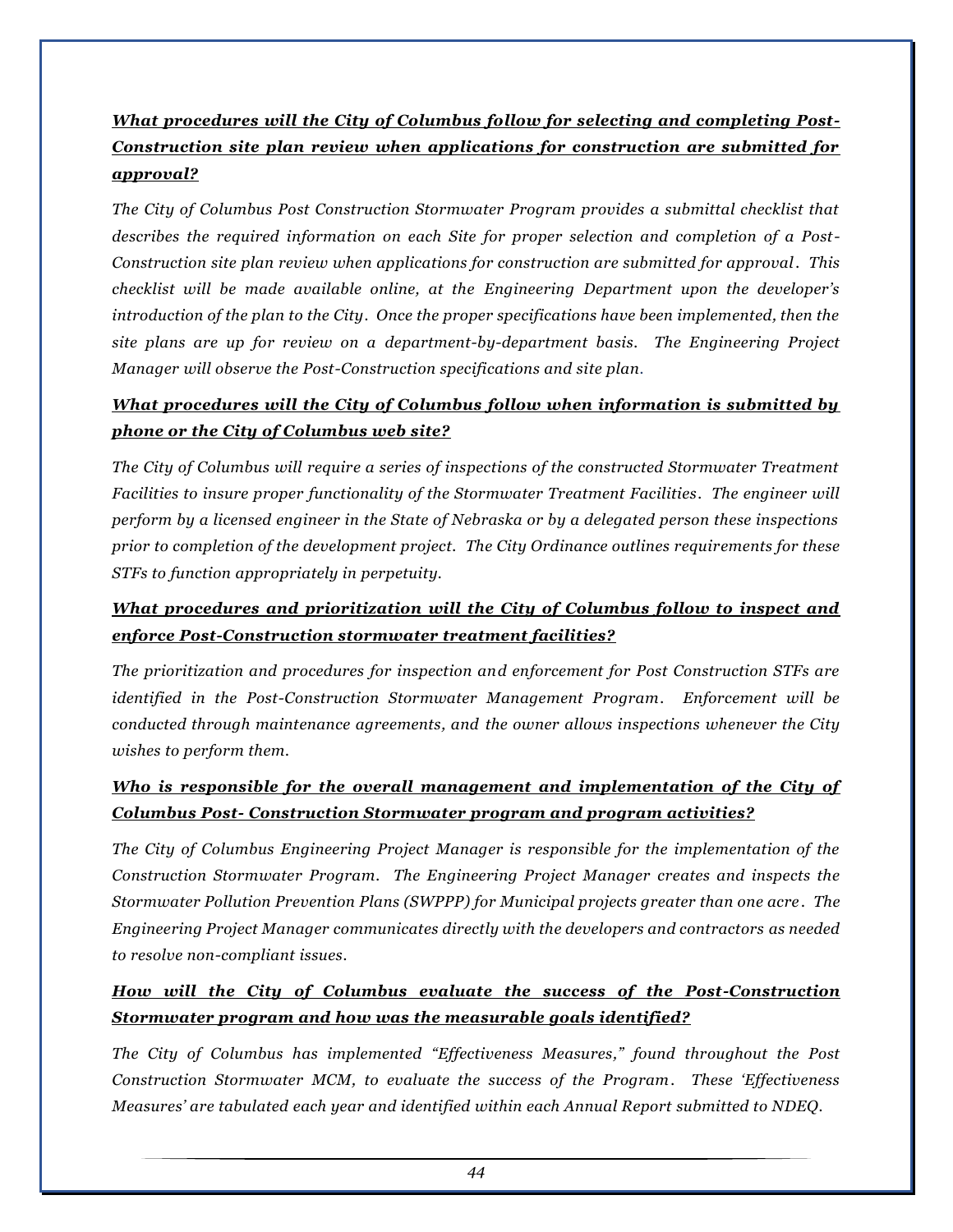### *What procedures will the City of Columbus follow for selecting and completing Post-Construction site plan review when applications for construction are submitted for approval?*

*The City of Columbus Post Construction Stormwater Program provides a submittal checklist that describes the required information on each Site for proper selection and completion of a Post-Construction site plan review when applications for construction are submitted for approval . This checklist will be made available online, at the Engineering Department upon the developer's introduction of the plan to the City. Once the proper specifications have been implemented, then the site plans are up for review on a department-by-department basis. The Engineering Project Manager will observe the Post-Construction specifications and site plan.*

### *What procedures will the City of Columbus follow when information is submitted by phone or the City of Columbus web site?*

*The City of Columbus will require a series of inspections of the constructed Stormwater Treatment Facilities to insure proper functionality of the Stormwater Treatment Facilities. The engineer will perform by a licensed engineer in the State of Nebraska or by a delegated person these inspections prior to completion of the development project. The City Ordinance outlines requirements for these STFs to function appropriately in perpetuity.*

### *What procedures and prioritization will the City of Columbus follow to inspect and enforce Post-Construction stormwater treatment facilities?*

*The prioritization and procedures for inspection and enforcement for Post Construction STFs are identified in the Post-Construction Stormwater Management Program. Enforcement will be conducted through maintenance agreements, and the owner allows inspections whenever the City wishes to perform them.*

### *Who is responsible for the overall management and implementation of the City of Columbus Post- Construction Stormwater program and program activities?*

*The City of Columbus Engineering Project Manager is responsible for the implementation of the Construction Stormwater Program. The Engineering Project Manager creates and inspects the Stormwater Pollution Prevention Plans (SWPPP) for Municipal projects greater than one acre . The Engineering Project Manager communicates directly with the developers and contractors as needed to resolve non-compliant issues.*

### *How will the City of Columbus evaluate the success of the Post-Construction Stormwater program and how was the measurable goals identified?*

*The City of Columbus has implemented "Effectiveness Measures," found throughout the Post Construction Stormwater MCM, to evaluate the success of the Program. These 'Effectiveness Measures' are tabulated each year and identified within each Annual Report submitted to NDEQ.*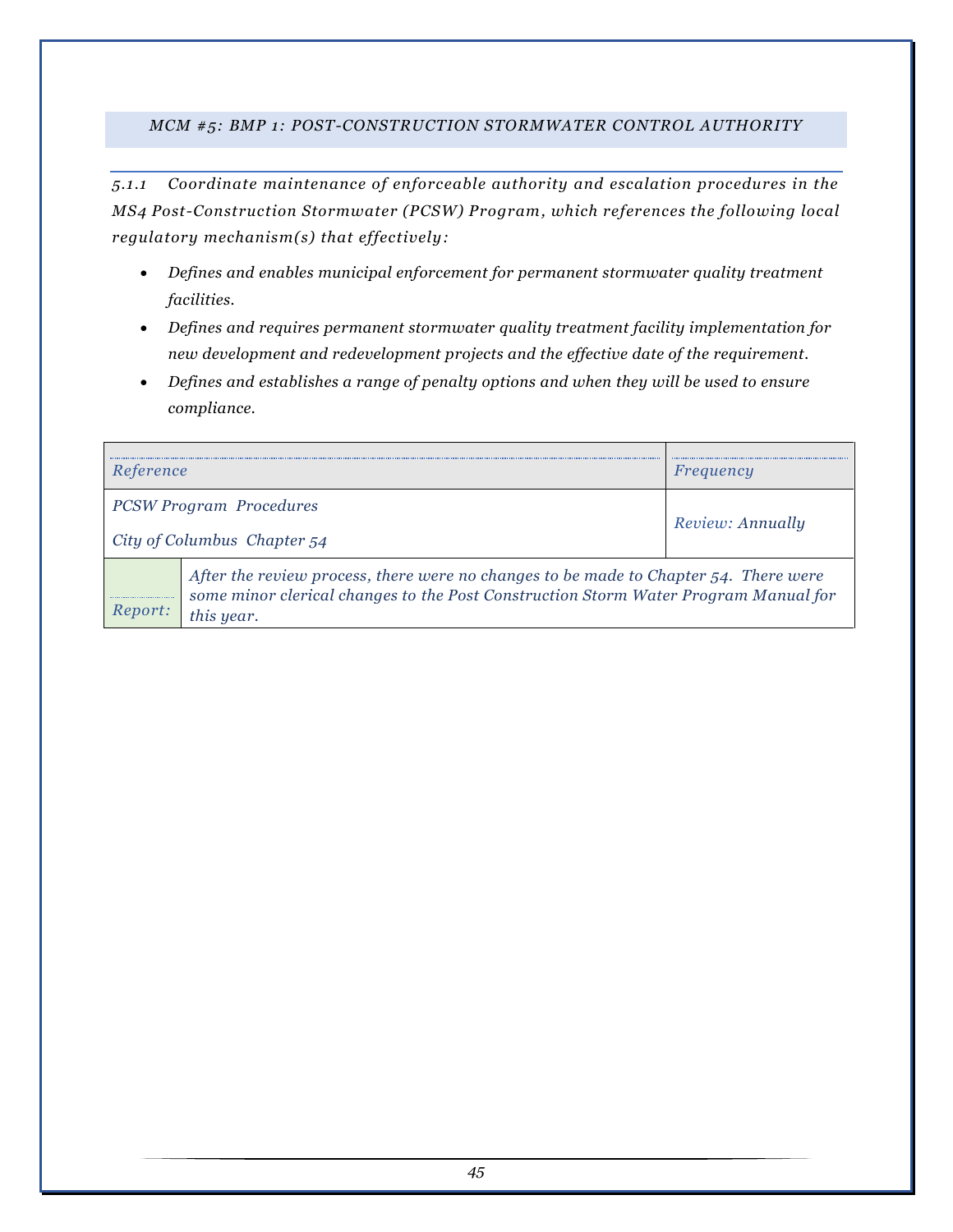#### <span id="page-45-0"></span>*MCM #5: BMP 1: POST-CONSTRUCTION STORMWATER CONTROL AUTHORITY*

*5.1.1 Coordinate maintenance of enforceable authority and escalation procedures in the MS4 Post-Construction Stormwater (PCSW) Program, which references the following local regulatory mechanism(s) that effectively:*

- *Defines and enables municipal enforcement for permanent stormwater quality treatment facilities.*
- *Defines and requires permanent stormwater quality treatment facility implementation for new development and redevelopment projects and the effective date of the requirement.*
- *Defines and establishes a range of penalty options and when they will be used to ensure compliance.*

| Reference |                                                                                                                                                                                           | Frequency        |
|-----------|-------------------------------------------------------------------------------------------------------------------------------------------------------------------------------------------|------------------|
|           | <b>PCSW Program Procedures</b><br>City of Columbus Chapter 54                                                                                                                             | Review: Annually |
|           | After the review process, there were no changes to be made to Chapter 54. There were<br>some minor clerical changes to the Post Construction Storm Water Program Manual for<br>this year. |                  |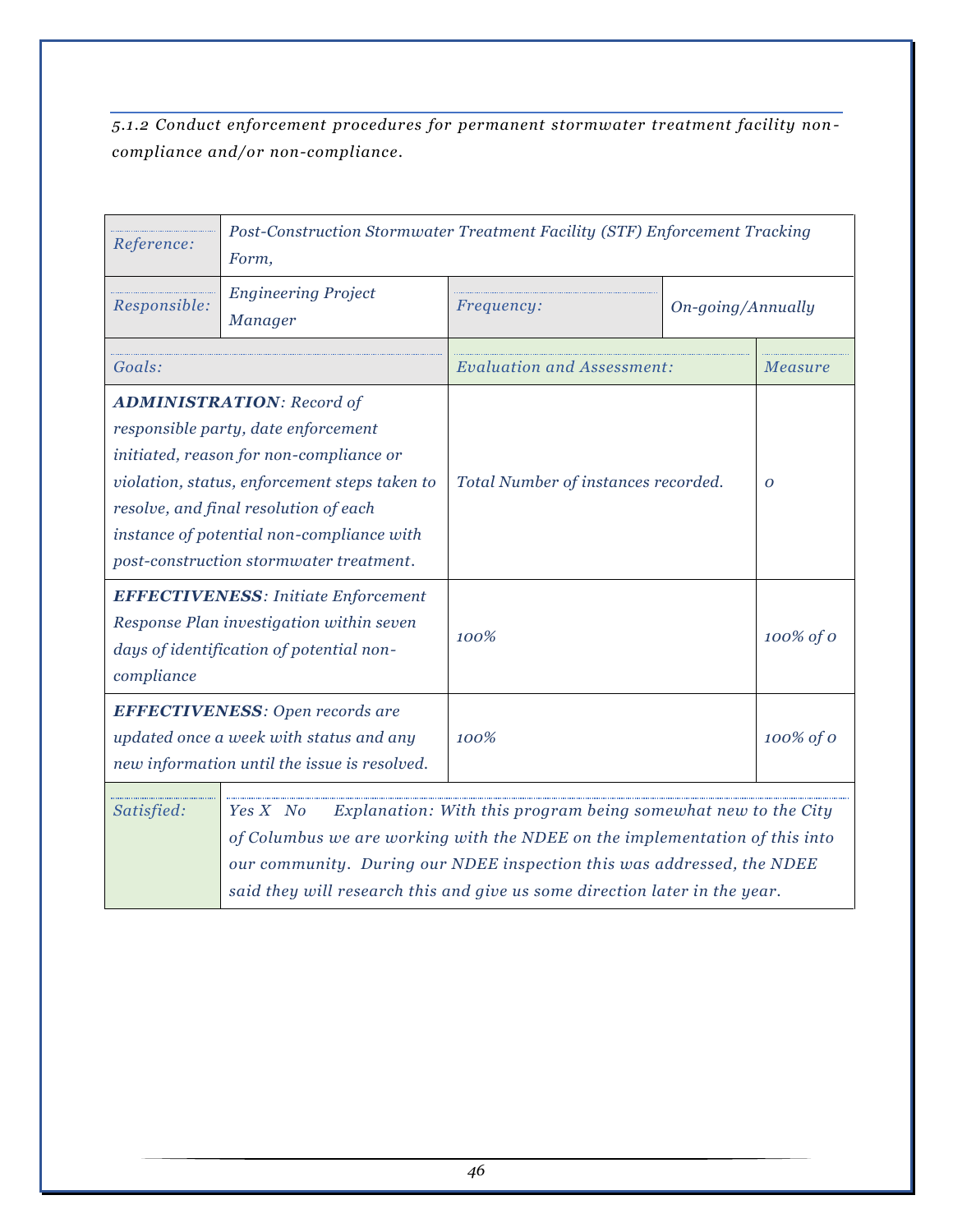*5.1.2 Conduct enforcement procedures for permanent stormwater treatment facility non compliance and/or non-compliance.*

| Reference:                                                                                                                                                                                                                                                                                           | Post-Construction Stormwater Treatment Facility (STF) Enforcement Tracking<br>Form,                                                                                                                                                |                                        |  |           |
|------------------------------------------------------------------------------------------------------------------------------------------------------------------------------------------------------------------------------------------------------------------------------------------------------|------------------------------------------------------------------------------------------------------------------------------------------------------------------------------------------------------------------------------------|----------------------------------------|--|-----------|
| Responsible:                                                                                                                                                                                                                                                                                         | <b>Engineering Project</b><br><b>Manager</b>                                                                                                                                                                                       | On-going/Annually<br><i>Frequency:</i> |  |           |
| Goals:                                                                                                                                                                                                                                                                                               |                                                                                                                                                                                                                                    | <b>Evaluation and Assessment:</b>      |  | Measure   |
| <b>ADMINISTRATION: Record of</b><br>responsible party, date enforcement<br>initiated, reason for non-compliance or<br>violation, status, enforcement steps taken to<br>resolve, and final resolution of each<br>instance of potential non-compliance with<br>post-construction stormwater treatment. |                                                                                                                                                                                                                                    | Total Number of instances recorded.    |  | 0         |
| <b>EFFECTIVENESS:</b> Initiate Enforcement<br>Response Plan investigation within seven<br>days of identification of potential non-<br>compliance                                                                                                                                                     |                                                                                                                                                                                                                                    | 100%                                   |  | 100% of 0 |
| <b>EFFECTIVENESS:</b> Open records are<br>updated once a week with status and any<br>new information until the issue is resolved.                                                                                                                                                                    |                                                                                                                                                                                                                                    | 100%                                   |  | 100% of 0 |
| Satisfied:                                                                                                                                                                                                                                                                                           | Explanation: With this program being somewhat new to the City<br>Yes X No<br>of Columbus we are working with the NDEE on the implementation of this into<br>our community. During our NDEE inspection this was addressed, the NDEE |                                        |  |           |

*said they will research this and give us some direction later in the year.*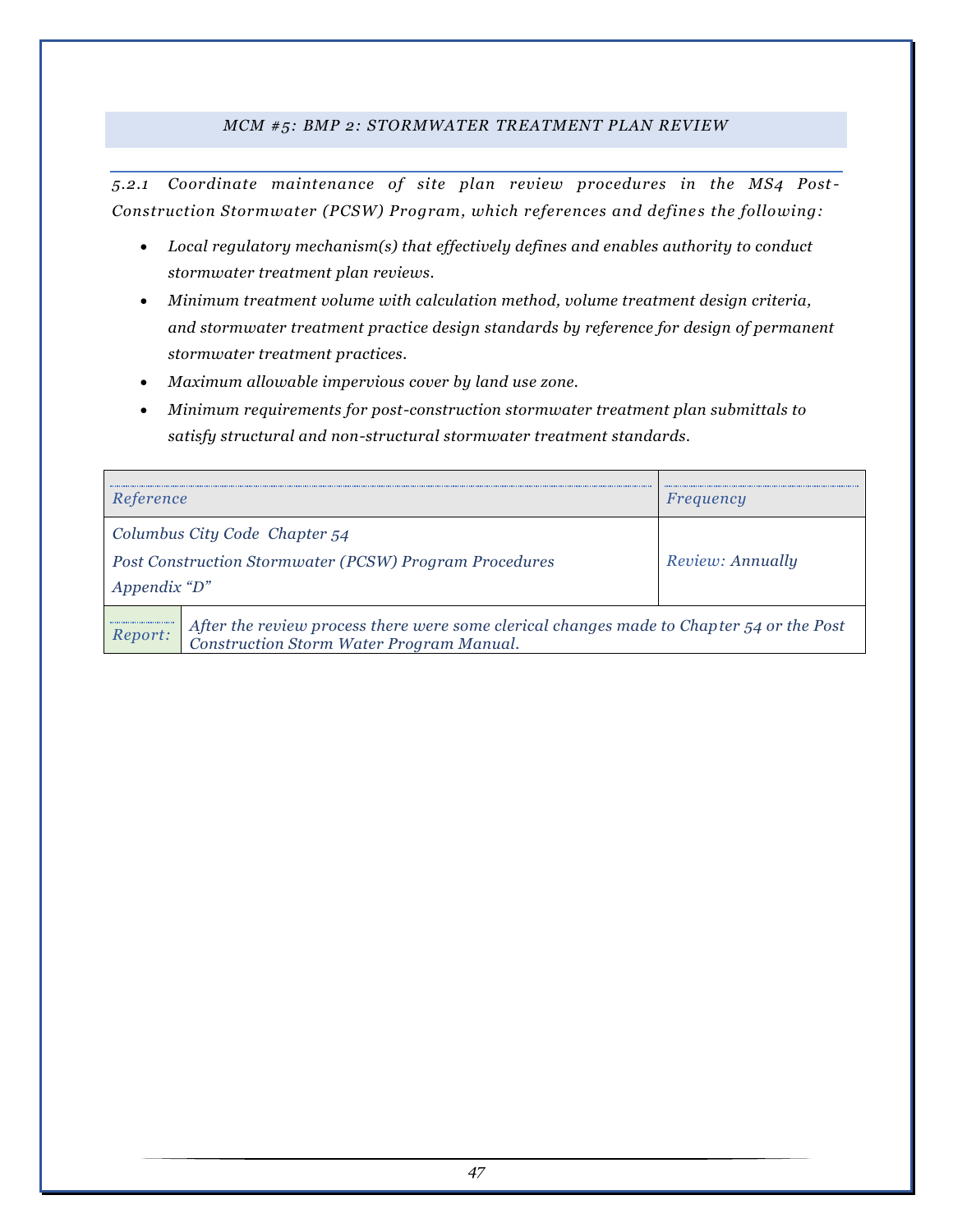#### *MCM #5: BMP 2: STORMWATER TREATMENT PLAN REVIEW*

<span id="page-47-0"></span>*5.2.1 Coordinate maintenance of site plan review procedures in the MS4 Post-Construction Stormwater (PCSW) Program, which references and defines the following:* 

- *Local regulatory mechanism(s) that effectively defines and enables authority to conduct stormwater treatment plan reviews.*
- *Minimum treatment volume with calculation method, volume treatment design criteria, and stormwater treatment practice design standards by reference for design of permanent stormwater treatment practices.*
- *Maximum allowable impervious cover by land use zone.*
- *Minimum requirements for post-construction stormwater treatment plan submittals to satisfy structural and non-structural stormwater treatment standards.*

| Reference        |                                                                                                                                      | Frequency        |
|------------------|--------------------------------------------------------------------------------------------------------------------------------------|------------------|
| Appendix " $D$ " | Columbus City Code Chapter 54<br>Post Construction Stormwater (PCSW) Program Procedures                                              | Review: Annually |
| Report:          | After the review process there were some clerical changes made to Chapter 54 or the Post<br>Construction Storm Water Program Manual. |                  |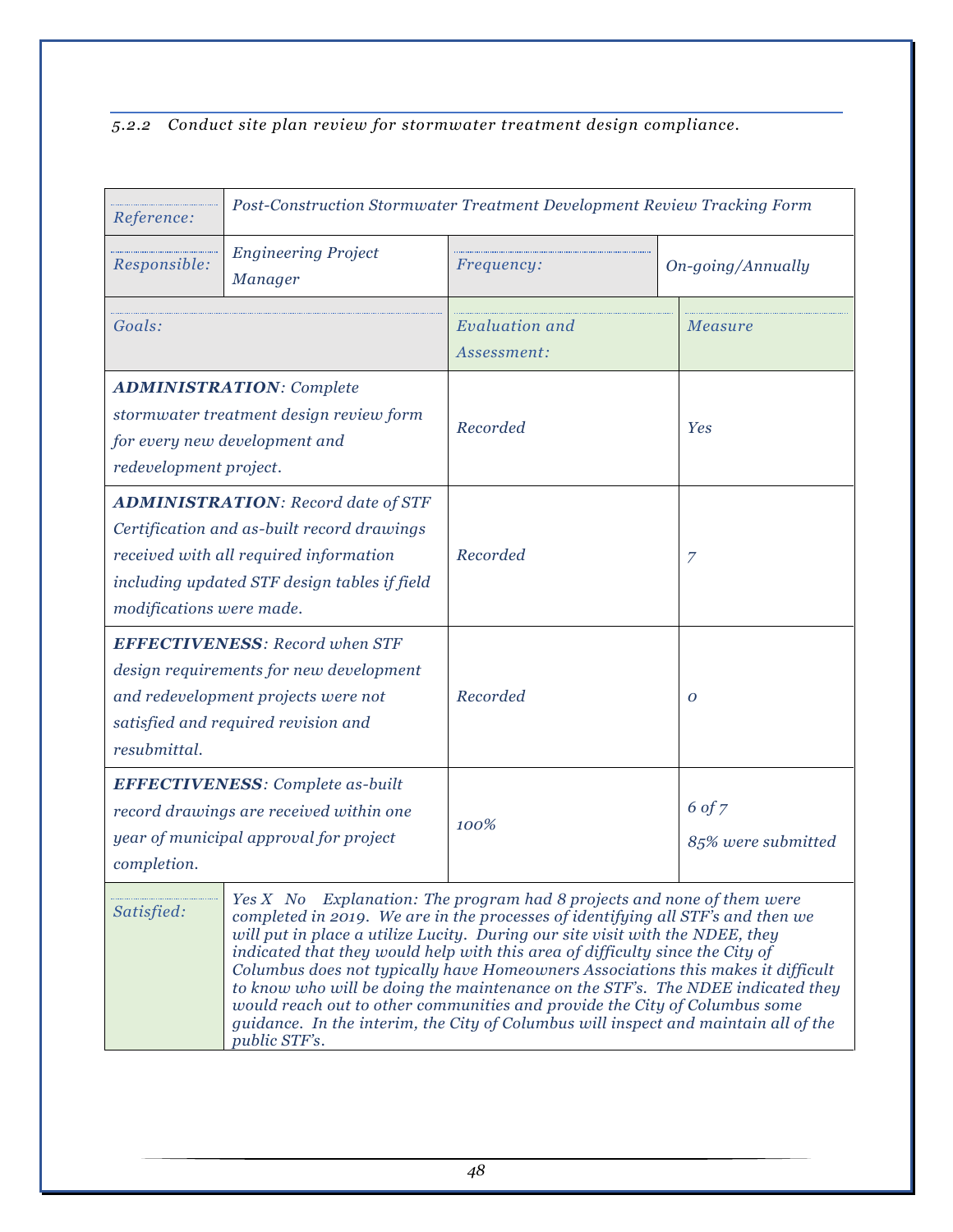*5.2.2 Conduct site plan review for stormwater treatment design compliance.*

| Reference:                                                                                                                                                                                                                                                                                                                                                                                                                                                                                                                                                                                                                                                                                             | Post-Construction Stormwater Treatment Development Review Tracking Form |                                      |                              |  |
|--------------------------------------------------------------------------------------------------------------------------------------------------------------------------------------------------------------------------------------------------------------------------------------------------------------------------------------------------------------------------------------------------------------------------------------------------------------------------------------------------------------------------------------------------------------------------------------------------------------------------------------------------------------------------------------------------------|-------------------------------------------------------------------------|--------------------------------------|------------------------------|--|
| Responsible:                                                                                                                                                                                                                                                                                                                                                                                                                                                                                                                                                                                                                                                                                           | <b>Engineering Project</b><br><b>Manager</b>                            | <i>Frequency:</i>                    | On-going/Annually            |  |
| Goals:                                                                                                                                                                                                                                                                                                                                                                                                                                                                                                                                                                                                                                                                                                 |                                                                         | <b>Evaluation</b> and<br>Assessment: | Measure                      |  |
| <b>ADMINISTRATION: Complete</b><br>stormwater treatment design review form<br>for every new development and<br>redevelopment project.                                                                                                                                                                                                                                                                                                                                                                                                                                                                                                                                                                  |                                                                         | Recorded                             | <b>Yes</b>                   |  |
| <b>ADMINISTRATION: Record date of STF</b><br>Certification and as-built record drawings<br>received with all required information<br>including updated STF design tables if field<br>modifications were made.                                                                                                                                                                                                                                                                                                                                                                                                                                                                                          |                                                                         | Recorded                             | $\overline{7}$               |  |
| <b>EFFECTIVENESS:</b> Record when STF<br>design requirements for new development<br>and redevelopment projects were not<br>satisfied and required revision and<br>resubmittal.                                                                                                                                                                                                                                                                                                                                                                                                                                                                                                                         |                                                                         | Recorded                             | $\boldsymbol{O}$             |  |
| <b>EFFECTIVENESS:</b> Complete as-built<br>record drawings are received within one<br>year of municipal approval for project<br>completion.                                                                                                                                                                                                                                                                                                                                                                                                                                                                                                                                                            |                                                                         | 100%                                 | 6 of 7<br>85% were submitted |  |
| Yes X No Explanation: The program had 8 projects and none of them were<br>Satisfied:<br>completed in 2019. We are in the processes of identifying all STF's and then we<br>will put in place a utilize Lucity. During our site visit with the NDEE, they<br>indicated that they would help with this area of difficulty since the City of<br>Columbus does not typically have Homeowners Associations this makes it difficult<br>to know who will be doing the maintenance on the STF's. The NDEE indicated they<br>would reach out to other communities and provide the City of Columbus some<br>guidance. In the interim, the City of Columbus will inspect and maintain all of the<br>public STF's. |                                                                         |                                      |                              |  |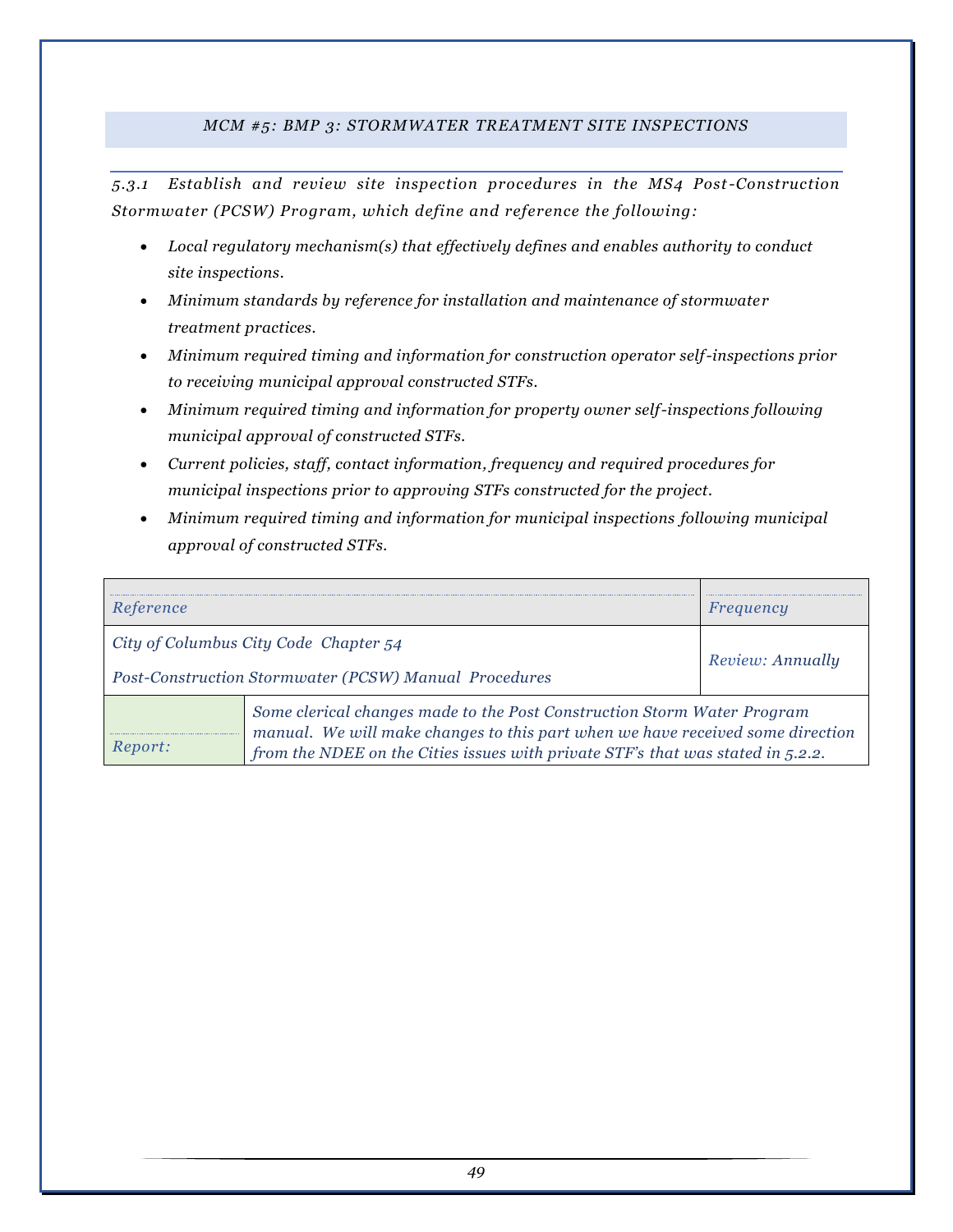#### *MCM #5: BMP 3: STORMWATER TREATMENT SITE INSPECTIONS*

<span id="page-49-0"></span>*5.3.1 Establish and review site inspection procedures in the MS4 Post-Construction Stormwater (PCSW) Program, which define and reference the following:*

- *Local regulatory mechanism(s) that effectively defines and enables authority to conduct site inspections.*
- *Minimum standards by reference for installation and maintenance of stormwate r treatment practices.*
- *Minimum required timing and information for construction operator self-inspections prior to receiving municipal approval constructed STFs.*
- *Minimum required timing and information for property owner self-inspections following municipal approval of constructed STFs.*
- *Current policies, staff, contact information, frequency and required procedures for municipal inspections prior to approving STFs constructed for the project.*
- *Minimum required timing and information for municipal inspections following municipal approval of constructed STFs.*

| Reference | Frequency                                                                                                                                                                                                                                    |                  |
|-----------|----------------------------------------------------------------------------------------------------------------------------------------------------------------------------------------------------------------------------------------------|------------------|
|           | City of Columbus City Code Chapter 54<br>Post-Construction Stormwater (PCSW) Manual Procedures                                                                                                                                               | Review: Annually |
|           | Some clerical changes made to the Post Construction Storm Water Program<br>manual. We will make changes to this part when we have received some direction<br>from the NDEE on the Cities issues with private STF's that was stated in 5.2.2. |                  |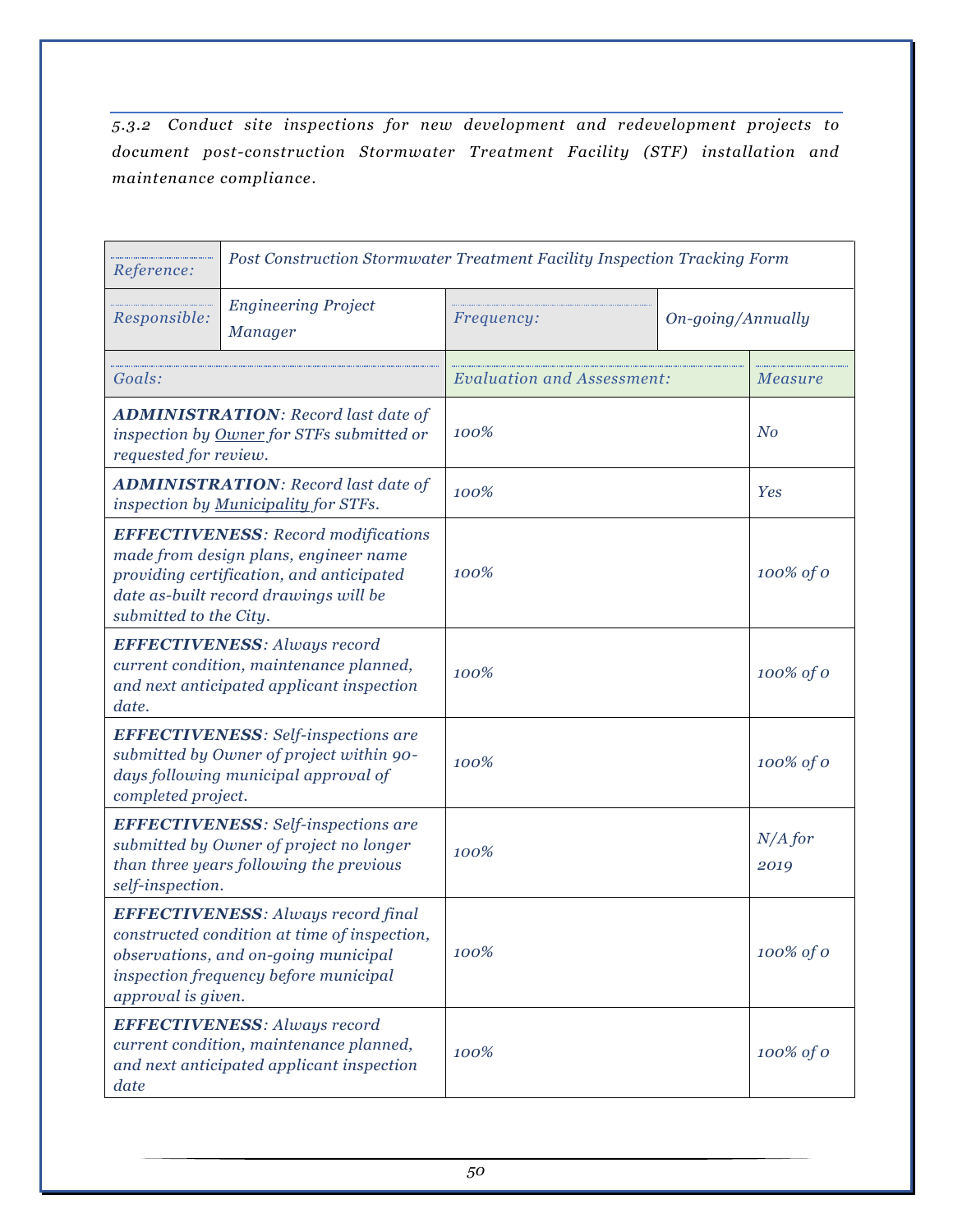*5.3.2 Conduct site inspections for new development and redevelopment projects to document post-construction Stormwater Treatment Facility (STF) installation and maintenance compliance.*

| Reference:                                                                                                                                                                                         | Post Construction Stormwater Treatment Facility Inspection Tracking Form                |                                   |  |                   |
|----------------------------------------------------------------------------------------------------------------------------------------------------------------------------------------------------|-----------------------------------------------------------------------------------------|-----------------------------------|--|-------------------|
| Responsible:                                                                                                                                                                                       | <b>Engineering Project</b><br><b>Manager</b>                                            | Frequency:<br>On-going/Annually   |  |                   |
| Goals:                                                                                                                                                                                             |                                                                                         | <b>Evaluation and Assessment:</b> |  | Measure           |
| requested for review.                                                                                                                                                                              | <b>ADMINISTRATION:</b> Record last date of<br>inspection by Owner for STFs submitted or | 100%                              |  | N <sub>0</sub>    |
|                                                                                                                                                                                                    | <b>ADMINISTRATION:</b> Record last date of<br>inspection by Municipality for STFs.      | 100%                              |  | Yes               |
| <b>EFFECTIVENESS:</b> Record modifications<br>made from design plans, engineer name<br>providing certification, and anticipated<br>date as-built record drawings will be<br>submitted to the City. |                                                                                         | 100%                              |  | 100% of 0         |
| <b>EFFECTIVENESS:</b> Always record<br>current condition, maintenance planned,<br>and next anticipated applicant inspection<br>date.                                                               |                                                                                         | 100%                              |  | 100% of 0         |
| <b>EFFECTIVENESS:</b> Self-inspections are<br>submitted by Owner of project within 90-<br>days following municipal approval of<br>completed project.                                               |                                                                                         | 100%                              |  | 100% of 0         |
| <b>EFFECTIVENESS:</b> Self-inspections are<br>submitted by Owner of project no longer<br>than three years following the previous<br>self-inspection.                                               |                                                                                         | 100%                              |  | $N/A$ for<br>2019 |
| <b>EFFECTIVENESS:</b> Always record final<br>constructed condition at time of inspection,<br>observations, and on-going municipal<br>inspection frequency before municipal<br>approval is given.   |                                                                                         | 100%                              |  | 100% of 0         |
| <b>EFFECTIVENESS: Always record</b><br>current condition, maintenance planned,<br>and next anticipated applicant inspection<br>date                                                                |                                                                                         | 100%                              |  | 100% of 0         |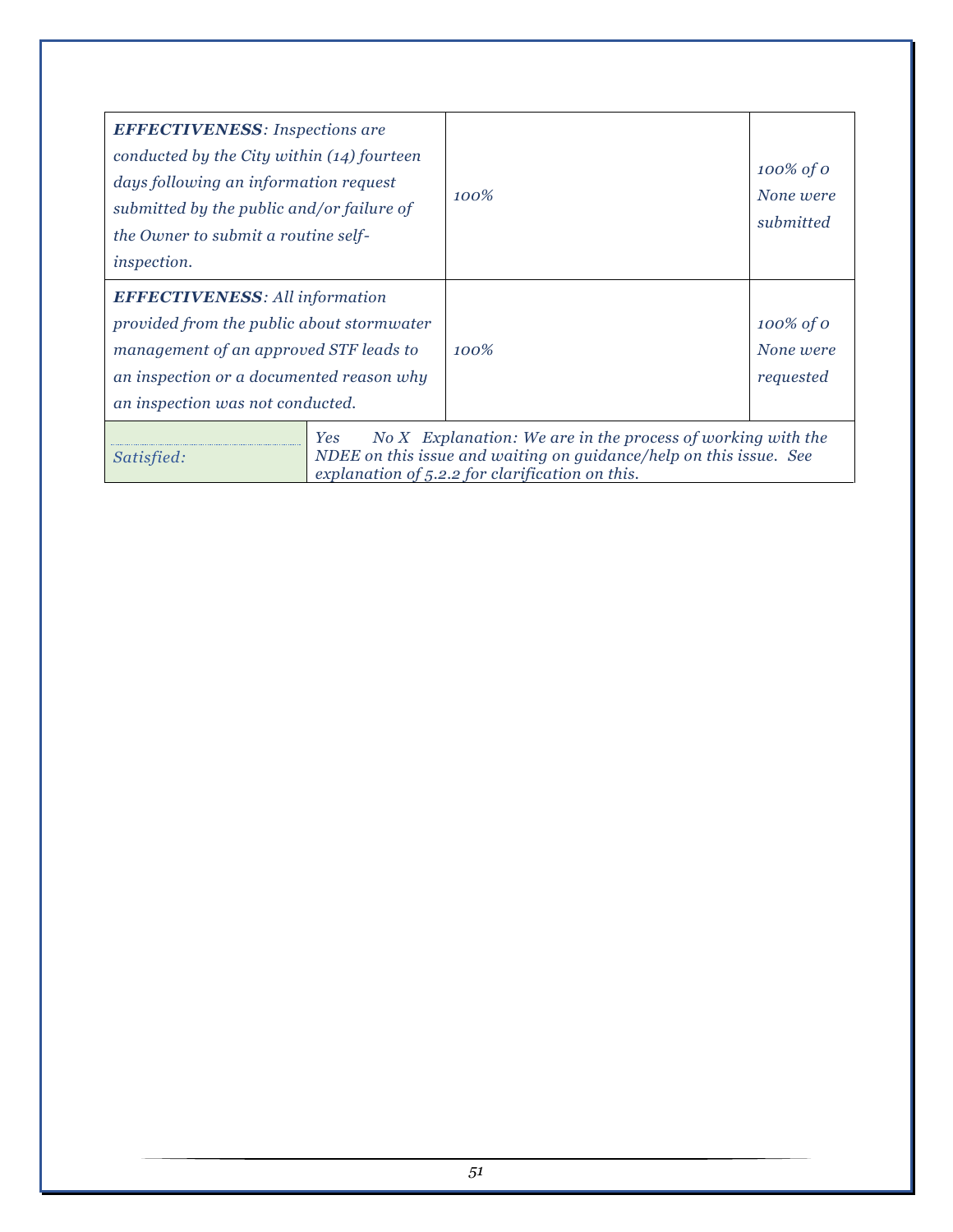| <b>EFFECTIVENESS:</b> Inspections are<br>conducted by the City within (14) fourteen<br>days following an information request<br>submitted by the public and/or failure of<br>the Owner to submit a routine self-<br><i>inspection.</i> |     | 100%                                                                                                                                                                                   | $100\%$ of O<br>None were<br>submitted |
|----------------------------------------------------------------------------------------------------------------------------------------------------------------------------------------------------------------------------------------|-----|----------------------------------------------------------------------------------------------------------------------------------------------------------------------------------------|----------------------------------------|
| <b>EFFECTIVENESS:</b> All information<br>provided from the public about stormwater<br>management of an approved STF leads to<br>an inspection or a documented reason why<br>an inspection was not conducted.                           |     | $100\%$                                                                                                                                                                                | $100\%$ of O<br>None were<br>requested |
| Satisfied:                                                                                                                                                                                                                             | Yes | $No X$ Explanation: We are in the process of working with the<br>NDEE on this issue and waiting on guidance/help on this issue. See<br>explanation of 5.2.2 for clarification on this. |                                        |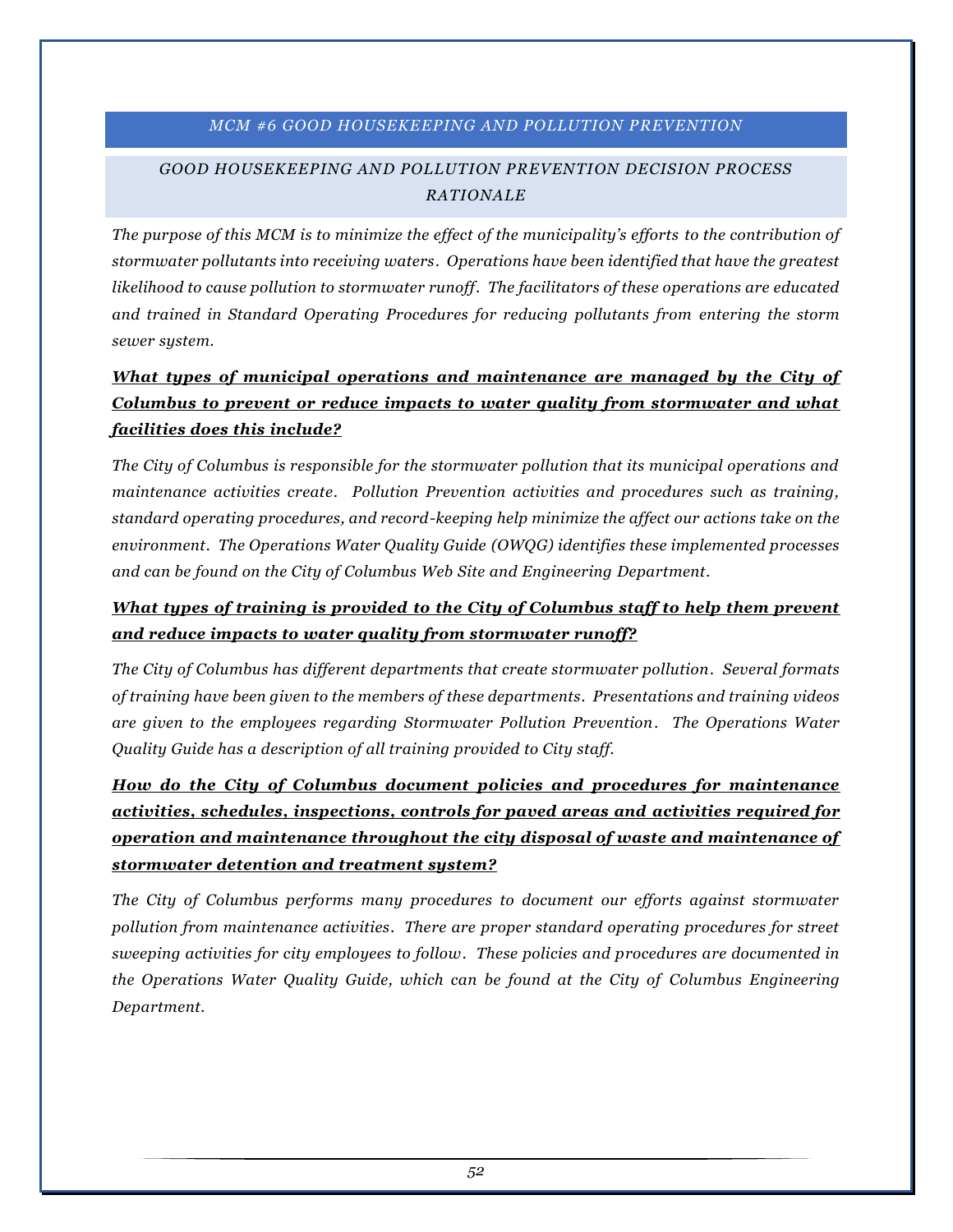#### *MCM #6 GOOD HOUSEKEEPING AND POLLUTION PREVENTION*

#### <span id="page-52-1"></span><span id="page-52-0"></span>*GOOD HOUSEKEEPING AND POLLUTION PREVENTION DECISION PROCESS RATIONALE*

*The purpose of this MCM is to minimize the effect of the municipality's efforts to the contribution of stormwater pollutants into receiving waters. Operations have been identified that have the greatest likelihood to cause pollution to stormwater runoff. The facilitators of these operations are educated and trained in Standard Operating Procedures for reducing pollutants from entering the storm sewer system.*

### *What types of municipal operations and maintenance are managed by the City of Columbus to prevent or reduce impacts to water quality from stormwater and what facilities does this include?*

*The City of Columbus is responsible for the stormwater pollution that its municipal operations and maintenance activities create. Pollution Prevention activities and procedures such as training, standard operating procedures, and record-keeping help minimize the affect our actions take on the environment. The Operations Water Quality Guide (OWQG) identifies these implemented processes and can be found on the City of Columbus Web Site and Engineering Department.*

### *What types of training is provided to the City of Columbus staff to help them prevent and reduce impacts to water quality from stormwater runoff?*

*The City of Columbus has different departments that create stormwater pollution. Several formats of training have been given to the members of these departments. Presentations and training videos are given to the employees regarding Stormwater Pollution Prevention. The Operations Water Quality Guide has a description of all training provided to City staff.*

*How do the City of Columbus document policies and procedures for maintenance activities, schedules, inspections, controls for paved areas and activities required for operation and maintenance throughout the city disposal of waste and maintenance of stormwater detention and treatment system?*

*The City of Columbus performs many procedures to document our efforts against stormwater pollution from maintenance activities. There are proper standard operating procedures for street sweeping activities for city employees to follow. These policies and procedures are documented in the Operations Water Quality Guide, which can be found at the City of Columbus Engineering Department.*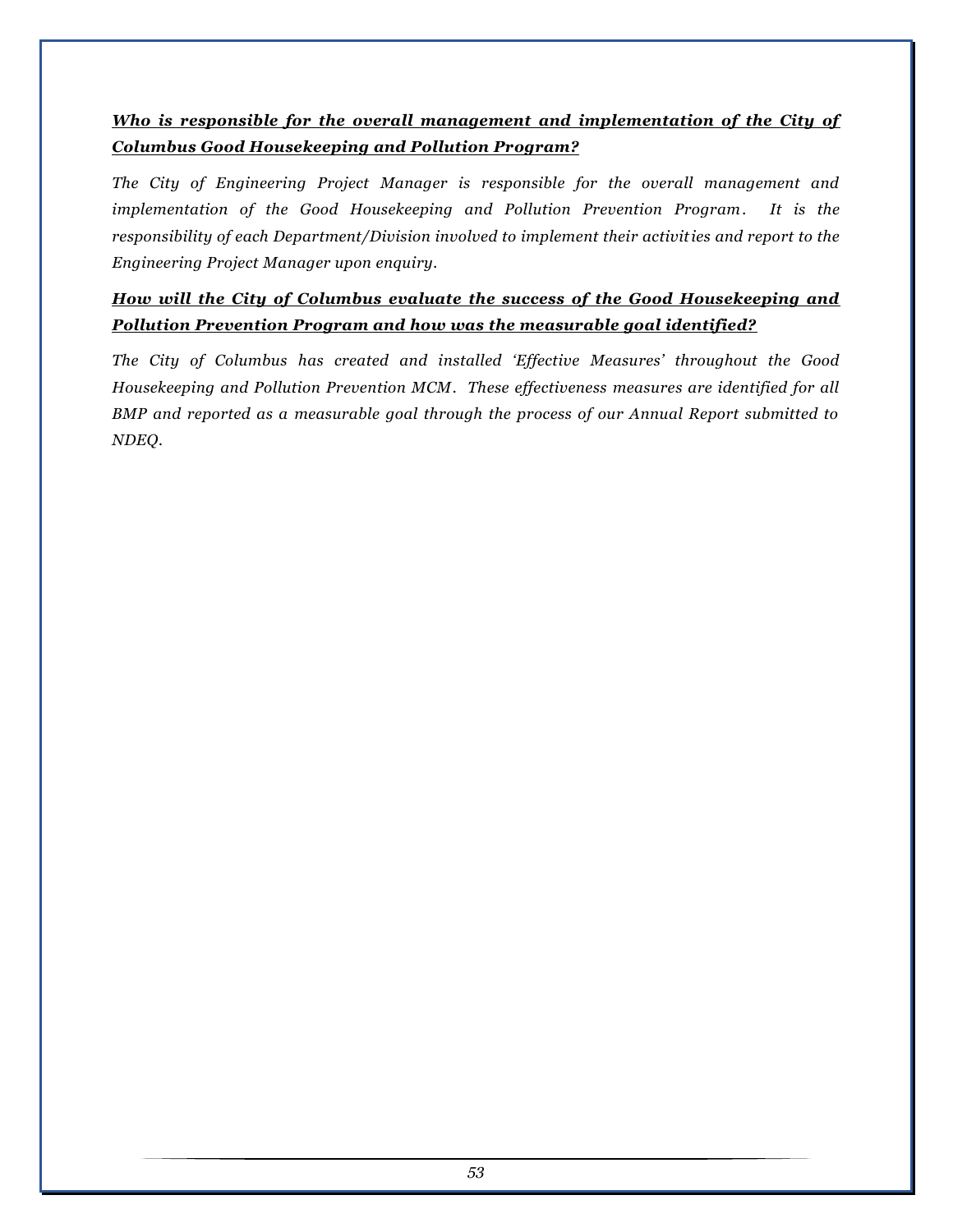### *Who is responsible for the overall management and implementation of the City of Columbus Good Housekeeping and Pollution Program?*

*The City of Engineering Project Manager is responsible for the overall management and implementation of the Good Housekeeping and Pollution Prevention Program. It is the responsibility of each Department/Division involved to implement their activities and report to the Engineering Project Manager upon enquiry.* 

### *How will the City of Columbus evaluate the success of the Good Housekeeping and Pollution Prevention Program and how was the measurable goal identified?*

*The City of Columbus has created and installed 'Effective Measures' throughout the Good Housekeeping and Pollution Prevention MCM. These effectiveness measures are identified for all BMP and reported as a measurable goal through the process of our Annual Report submitted to NDEQ.*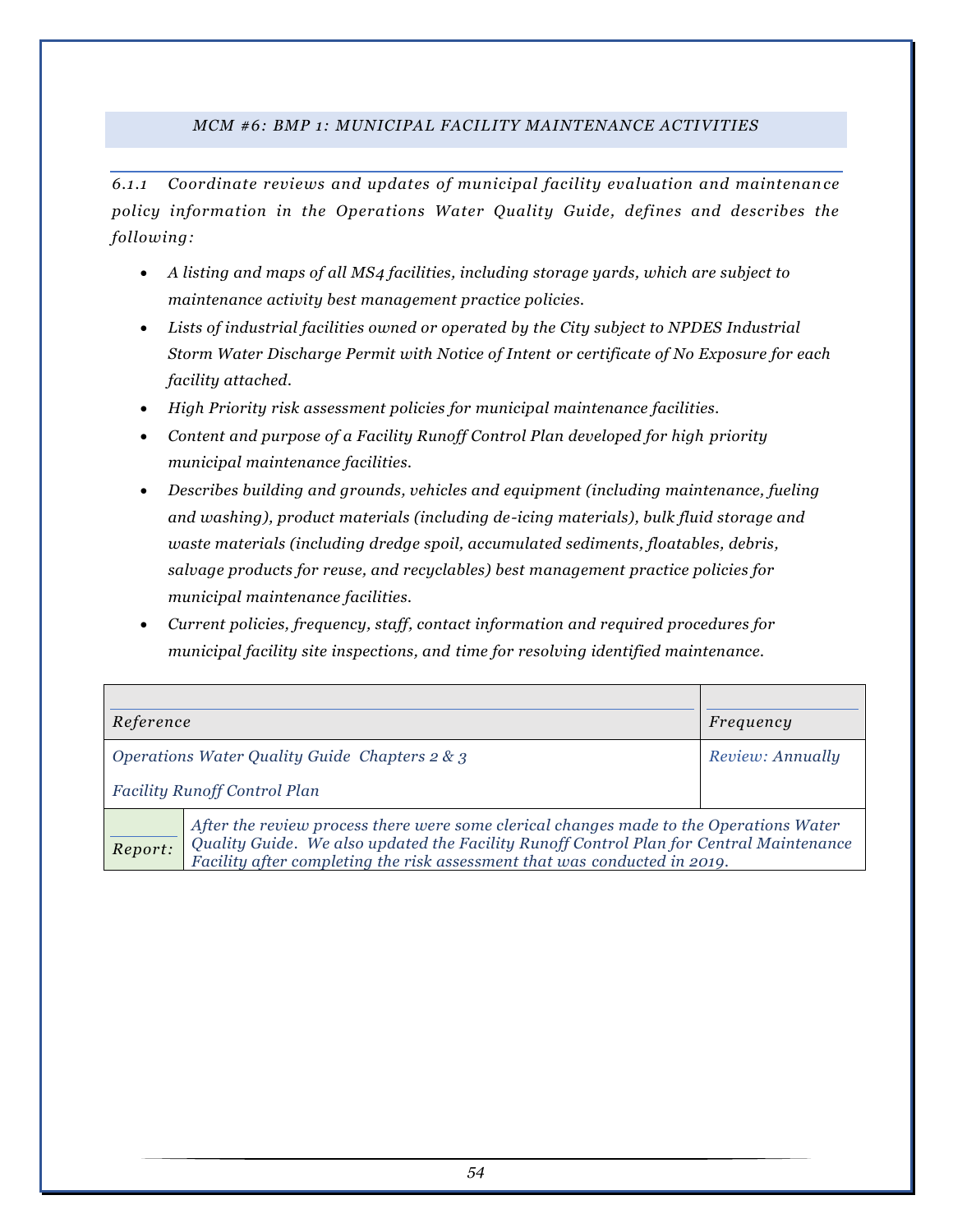#### *MCM #6: BMP 1: MUNICIPAL FACILITY MAINTENANCE ACTIVITIES*

<span id="page-54-0"></span>*6.1.1 Coordinate reviews and updates of municipal facility evaluation and maintenan ce policy information in the Operations Water Quality Guide, defines and describes the following:*

- *A listing and maps of all MS4 facilities, including storage yards, which are subject to maintenance activity best management practice policies.*
- *Lists of industrial facilities owned or operated by the City subject to NPDES Industrial Storm Water Discharge Permit with Notice of Intent or certificate of No Exposure for each facility attached.*
- *High Priority risk assessment policies for municipal maintenance facilities.*
- *Content and purpose of a Facility Runoff Control Plan developed for high priority municipal maintenance facilities.*
- *Describes building and grounds, vehicles and equipment (including maintenance, fueling and washing), product materials (including de-icing materials), bulk fluid storage and waste materials (including dredge spoil, accumulated sediments, floatables, debris, salvage products for reuse, and recyclables) best management practice policies for municipal maintenance facilities.*
- *Current policies, frequency, staff, contact information and required procedures for municipal facility site inspections, and time for resolving identified maintenance.*

| Reference                                        |                                                                                                                                                                                                                                                                | Frequency        |
|--------------------------------------------------|----------------------------------------------------------------------------------------------------------------------------------------------------------------------------------------------------------------------------------------------------------------|------------------|
| Operations Water Quality Guide Chapters $2 \& 3$ |                                                                                                                                                                                                                                                                | Review: Annually |
|                                                  | <b>Facility Runoff Control Plan</b>                                                                                                                                                                                                                            |                  |
| Report:                                          | After the review process there were some clerical changes made to the Operations Water<br>Quality Guide. We also updated the Facility Runoff Control Plan for Central Maintenance<br>Facility after completing the risk assessment that was conducted in 2019. |                  |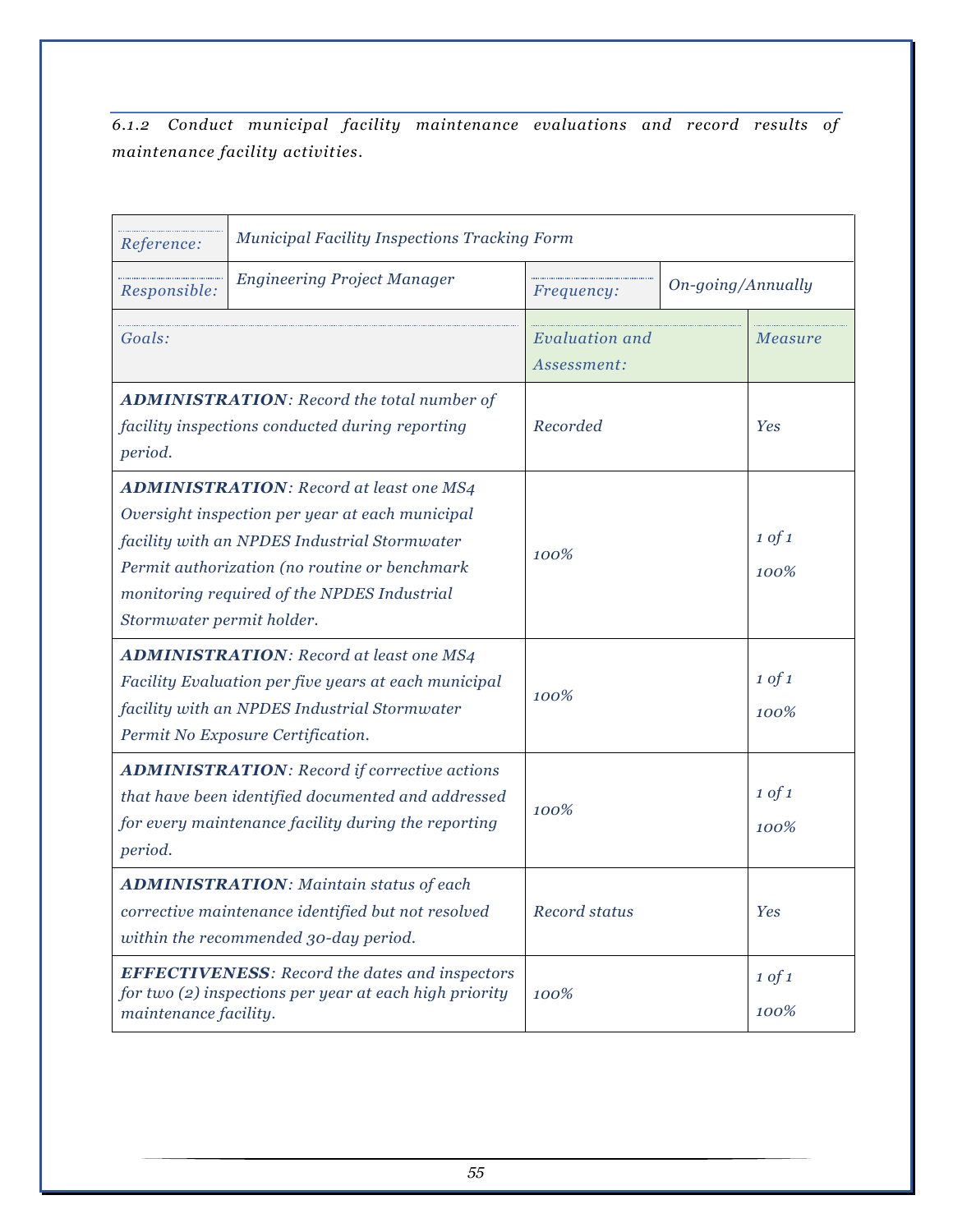*6.1.2 Conduct municipal facility maintenance evaluations and record results of maintenance facility activities.*

| Reference:                                                                                                                                                                                                                                                                     | <b>Municipal Facility Inspections Tracking Form</b>                                                                                      |                                      |  |                           |
|--------------------------------------------------------------------------------------------------------------------------------------------------------------------------------------------------------------------------------------------------------------------------------|------------------------------------------------------------------------------------------------------------------------------------------|--------------------------------------|--|---------------------------|
| Responsible:                                                                                                                                                                                                                                                                   | <b>Engineering Project Manager</b>                                                                                                       | On-going/Annually<br>Frequency:      |  |                           |
| Goals:                                                                                                                                                                                                                                                                         |                                                                                                                                          | <b>Evaluation</b> and<br>Assessment: |  | Measure                   |
| <b>ADMINISTRATION:</b> Record the total number of<br>facility inspections conducted during reporting<br>period.                                                                                                                                                                |                                                                                                                                          | Recorded                             |  | Yes                       |
| <b>ADMINISTRATION:</b> Record at least one MS4<br>Oversight inspection per year at each municipal<br>facility with an NPDES Industrial Stormwater<br>Permit authorization (no routine or benchmark<br>monitoring required of the NPDES Industrial<br>Stormwater permit holder. |                                                                                                                                          | 100%                                 |  | $1 \text{ of } 1$<br>100% |
| <b>ADMINISTRATION:</b> Record at least one MS4<br>Facility Evaluation per five years at each municipal<br>facility with an NPDES Industrial Stormwater<br>Permit No Exposure Certification.                                                                                    |                                                                                                                                          | 100%                                 |  | $1 \text{ of } 1$<br>100% |
| <b>ADMINISTRATION:</b> Record if corrective actions<br>that have been identified documented and addressed<br>for every maintenance facility during the reporting<br>period.                                                                                                    |                                                                                                                                          | 100%                                 |  | $1 \text{ of } 1$<br>100% |
| <b>ADMINISTRATION:</b> Maintain status of each<br>corrective maintenance identified but not resolved<br>within the recommended 30-day period.                                                                                                                                  |                                                                                                                                          | Record status                        |  | Yes                       |
|                                                                                                                                                                                                                                                                                | <b>EFFECTIVENESS:</b> Record the dates and inspectors<br>for two (2) inspections per year at each high priority<br>maintenance facility. |                                      |  | $1 \text{ of } 1$<br>100% |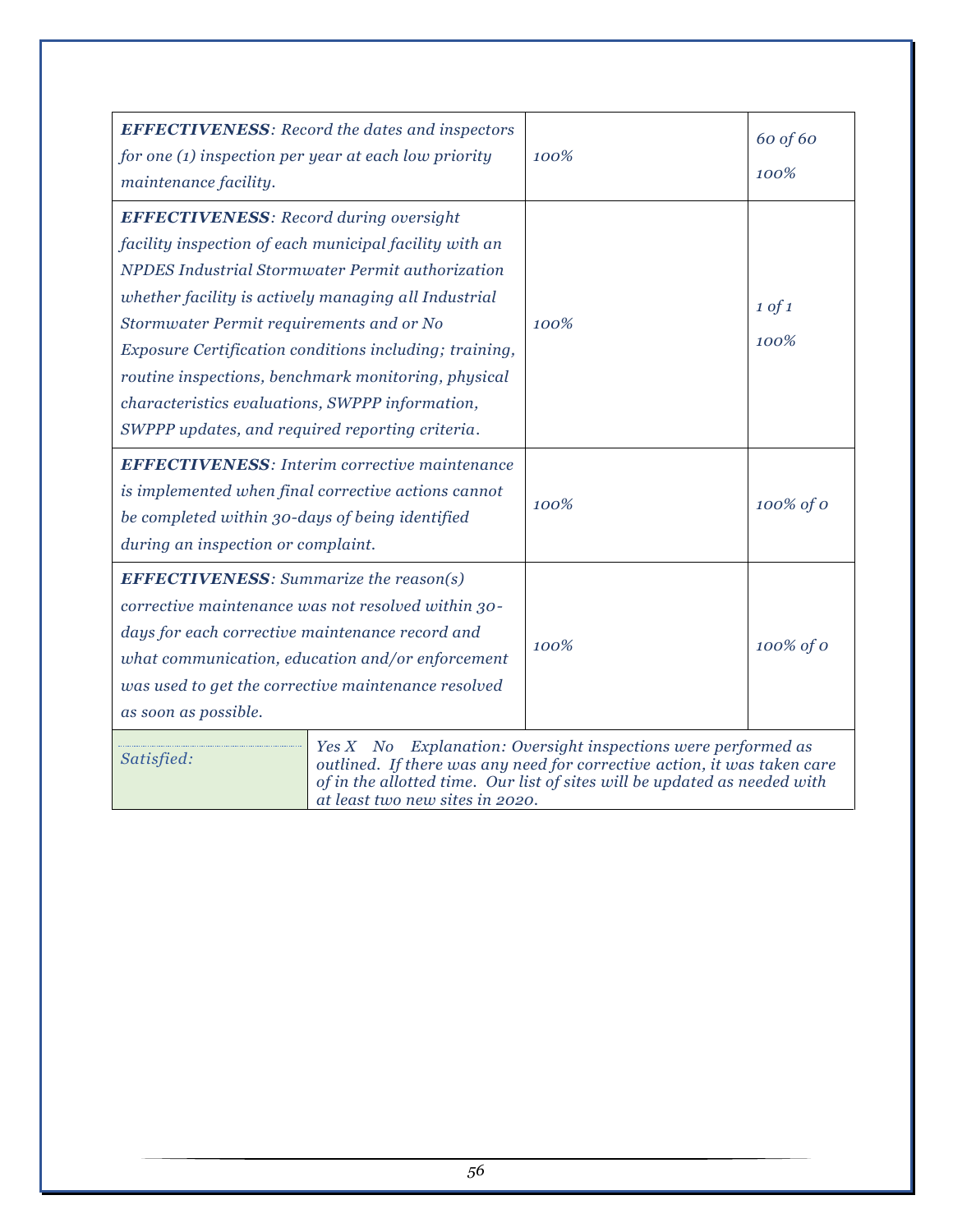| <b>EFFECTIVENESS:</b> Record the dates and inspectors<br>for one (1) inspection per year at each low priority<br>maintenance facility.                                                                                                                                                                                                                                                                                                                                                 | 100%                                                                                                                             | 60 of 60<br>100%          |
|----------------------------------------------------------------------------------------------------------------------------------------------------------------------------------------------------------------------------------------------------------------------------------------------------------------------------------------------------------------------------------------------------------------------------------------------------------------------------------------|----------------------------------------------------------------------------------------------------------------------------------|---------------------------|
| <b>EFFECTIVENESS:</b> Record during oversight<br>facility inspection of each municipal facility with an<br>NPDES Industrial Stormwater Permit authorization<br>whether facility is actively managing all Industrial<br>Stormwater Permit requirements and or No<br>Exposure Certification conditions including; training,<br>routine inspections, benchmark monitoring, physical<br>characteristics evaluations, SWPPP information,<br>SWPPP updates, and required reporting criteria. | 100%                                                                                                                             | $1 \text{ of } 1$<br>100% |
| <b>EFFECTIVENESS:</b> Interim corrective maintenance<br>is implemented when final corrective actions cannot<br>be completed within 30-days of being identified<br>during an inspection or complaint.                                                                                                                                                                                                                                                                                   | 100%                                                                                                                             | 100% of 0                 |
| <b>EFFECTIVENESS:</b> Summarize the reason(s)<br>corrective maintenance was not resolved within 30-<br>days for each corrective maintenance record and<br>what communication, education and/or enforcement<br>was used to get the corrective maintenance resolved<br>as soon as possible.                                                                                                                                                                                              | 100%                                                                                                                             | 100% of 0                 |
| Yes X No<br>Satisfied:                                                                                                                                                                                                                                                                                                                                                                                                                                                                 | Explanation: Oversight inspections were performed as<br>outlined. If there was any need for corrective action, it was taken care |                           |

*outlined. If there was any need for corrective action, it was taken care of in the allotted time. Our list of sites will be updated as needed with at least two new sites in 2020.*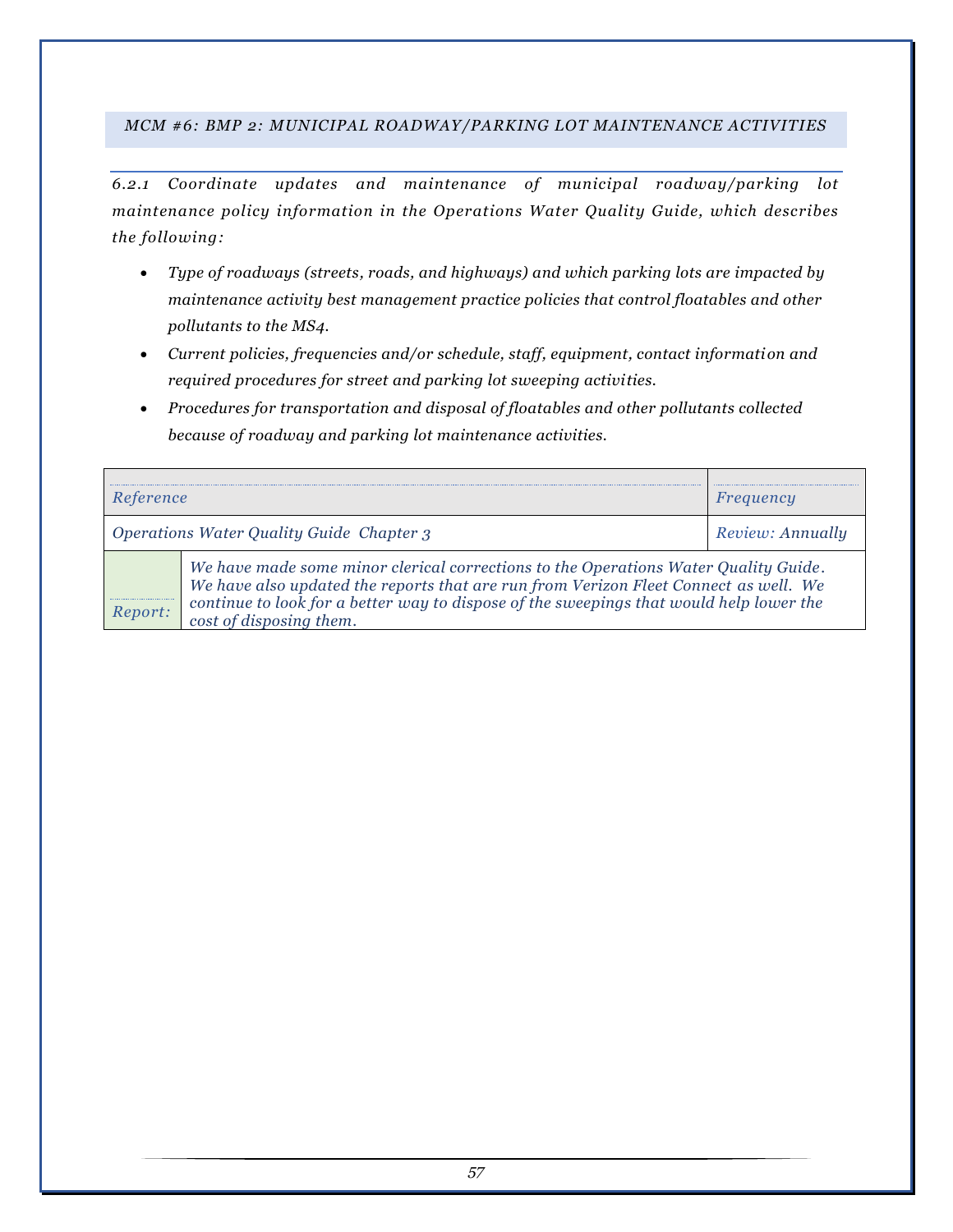#### <span id="page-57-0"></span>*MCM #6: BMP 2: MUNICIPAL ROADWAY/PARKING LOT MAINTENANCE ACTIVITIES*

*6.2.1 Coordinate updates and maintenance of municipal roadway/parking lot maintenance policy information in the Operations Water Quality Guide, which describes the following:*

- *Type of roadways (streets, roads, and highways) and which parking lots are impacted by maintenance activity best management practice policies that control floatables and other pollutants to the MS4.*
- *Current policies, frequencies and/or schedule, staff, equipment, contact information and required procedures for street and parking lot sweeping activities.*
- *Procedures for transportation and disposal of floatables and other pollutants collected because of roadway and parking lot maintenance activities.*

| Reference                                |                                                                                                                                                                                                                                                                                                   | Frequency |
|------------------------------------------|---------------------------------------------------------------------------------------------------------------------------------------------------------------------------------------------------------------------------------------------------------------------------------------------------|-----------|
| Operations Water Quality Guide Chapter 3 | Review: Annually                                                                                                                                                                                                                                                                                  |           |
| Report:                                  | We have made some minor clerical corrections to the Operations Water Quality Guide.<br>We have also updated the reports that are run from Verizon Fleet Connect as well. We<br>continue to look for a better way to dispose of the sweepings that would help lower the<br>cost of disposing them. |           |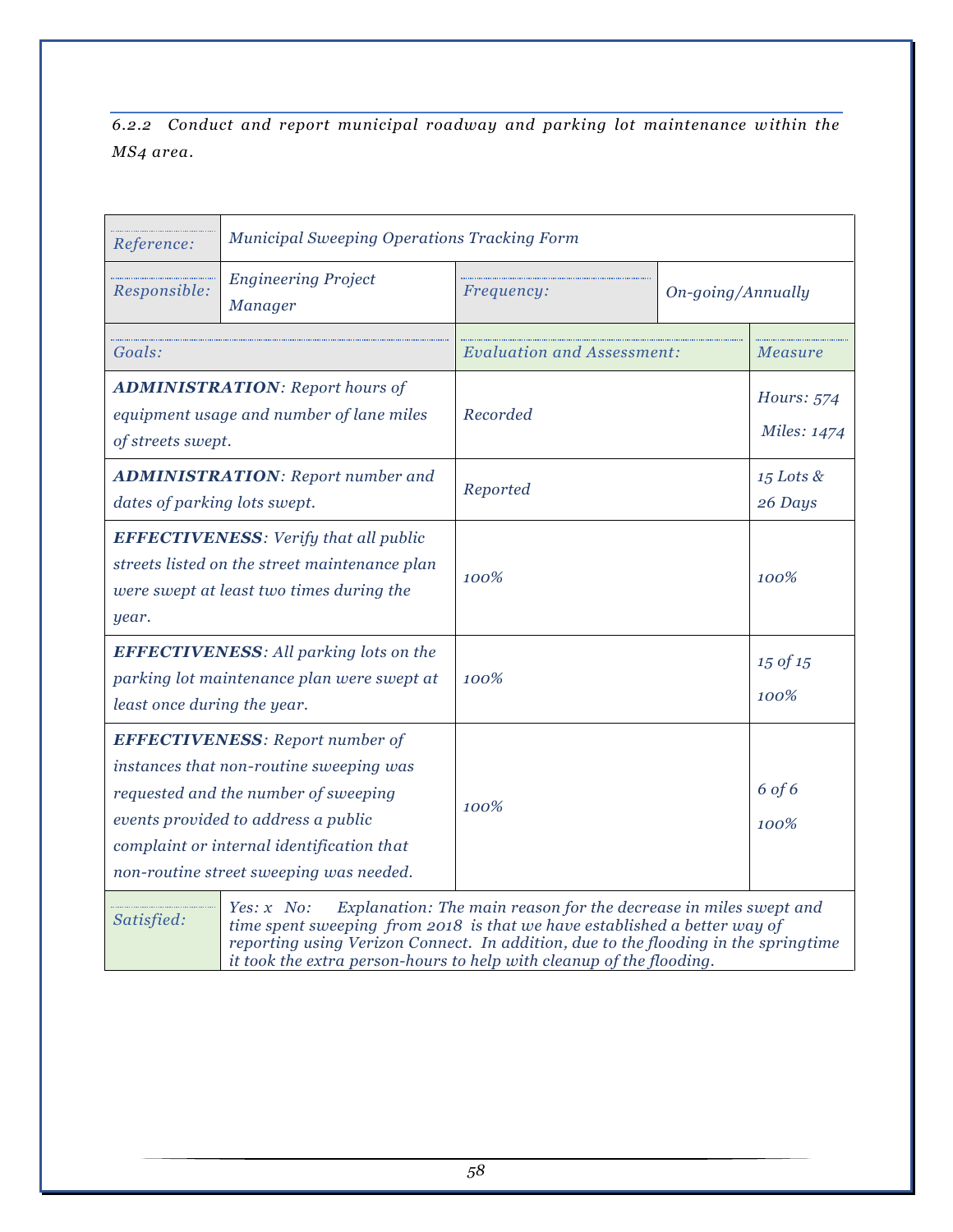*6.2.2 Conduct and report municipal roadway and parking lot maintenance within the MS4 area.*

| Reference:                                                                                                                                                                                                                                               | <b>Municipal Sweeping Operations Tracking Form</b>                                                                                                                               |                                                                  |  |                           |
|----------------------------------------------------------------------------------------------------------------------------------------------------------------------------------------------------------------------------------------------------------|----------------------------------------------------------------------------------------------------------------------------------------------------------------------------------|------------------------------------------------------------------|--|---------------------------|
| Responsible:                                                                                                                                                                                                                                             | <b>Engineering Project</b><br><b>Manager</b>                                                                                                                                     | Frequency:<br>On-going/Annually                                  |  |                           |
| Goals:                                                                                                                                                                                                                                                   |                                                                                                                                                                                  | <b>Evaluation and Assessment:</b>                                |  | Measure                   |
| <b>ADMINISTRATION:</b> Report hours of<br>equipment usage and number of lane miles<br>of streets swept.                                                                                                                                                  |                                                                                                                                                                                  | Recorded                                                         |  | Hours: 574<br>Miles: 1474 |
| dates of parking lots swept.                                                                                                                                                                                                                             | <b>ADMINISTRATION: Report number and</b>                                                                                                                                         | Reported                                                         |  | $15$ Lots &<br>26 Days    |
| <b>EFFECTIVENESS:</b> Verify that all public<br>streets listed on the street maintenance plan<br>were swept at least two times during the<br>year.                                                                                                       |                                                                                                                                                                                  | 100%                                                             |  | 100%                      |
| <b>EFFECTIVENESS:</b> All parking lots on the<br>parking lot maintenance plan were swept at<br>least once during the year.                                                                                                                               |                                                                                                                                                                                  | 100%                                                             |  | 15 of 15<br>100%          |
| <b>EFFECTIVENESS:</b> Report number of<br>instances that non-routine sweeping was<br>requested and the number of sweeping<br>events provided to address a public<br>complaint or internal identification that<br>non-routine street sweeping was needed. |                                                                                                                                                                                  | 100%                                                             |  | 6 of 6<br>100%            |
| Satisfied:                                                                                                                                                                                                                                               | Yes: $x$ No:<br>time spent sweeping from 2018 is that we have established a better way of<br>reporting using Verizon Connect. In addition, due to the flooding in the springtime | Explanation: The main reason for the decrease in miles swept and |  |                           |

*it took the extra person-hours to help with cleanup of the flooding.*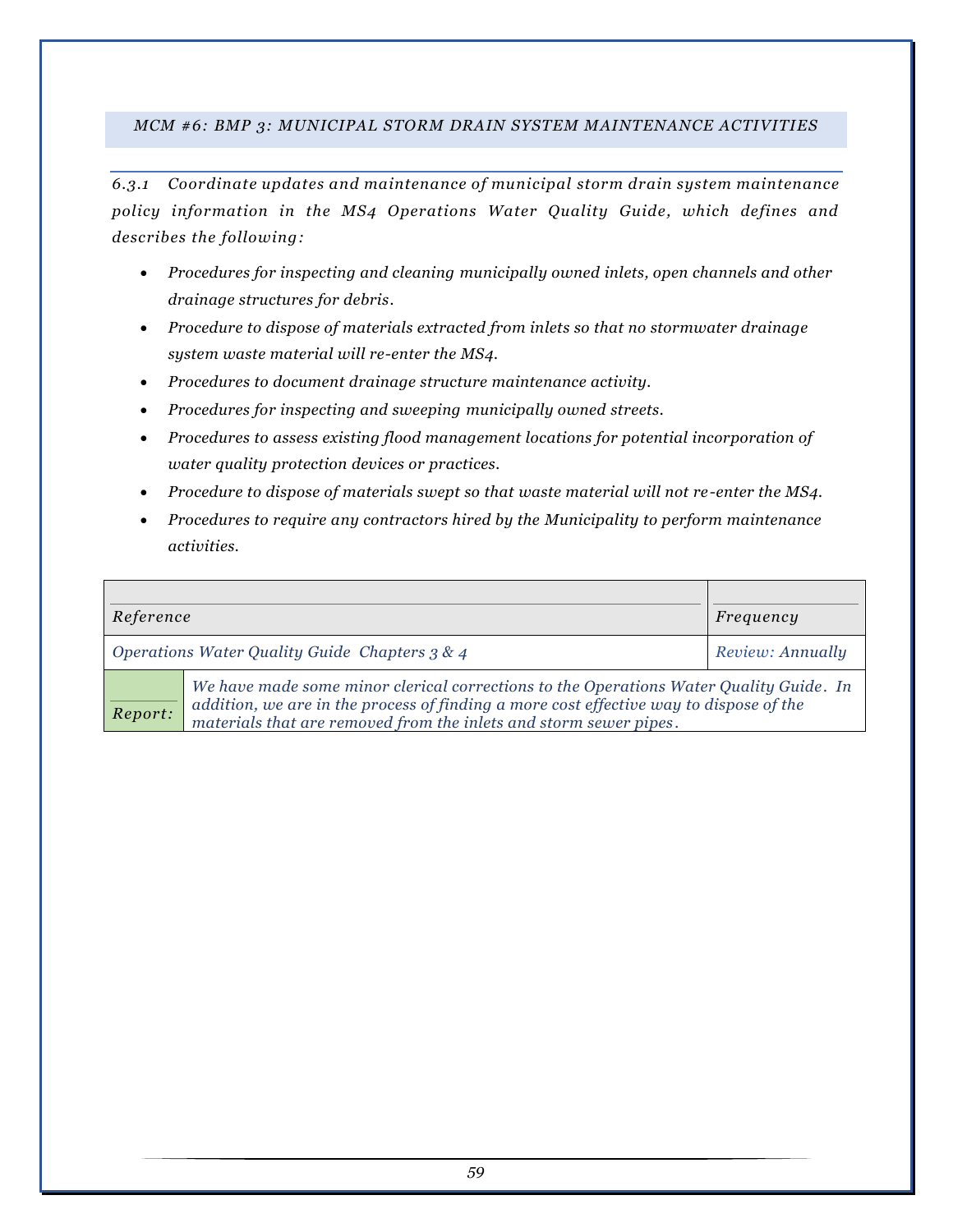#### <span id="page-59-0"></span>*MCM #6: BMP 3: MUNICIPAL STORM DRAIN SYSTEM MAINTENANCE ACTIVITIES*

*6.3.1 Coordinate updates and maintenance of municipal storm drain system maintenance policy information in the MS4 Operations Water Quality Guide, which defines and describes the following:*

- *Procedures for inspecting and cleaning municipally owned inlets, open channels and other drainage structures for debris.*
- *Procedure to dispose of materials extracted from inlets so that no stormwater drainage system waste material will re-enter the MS4.*
- *Procedures to document drainage structure maintenance activity.*
- *Procedures for inspecting and sweeping municipally owned streets.*
- *Procedures to assess existing flood management locations for potential incorporation of water quality protection devices or practices.*
- *Procedure to dispose of materials swept so that waste material will not re-enter the MS4.*
- *Procedures to require any contractors hired by the Municipality to perform maintenance activities.*

| Reference |                                                                                                                                                                                                                                                       | Frequency        |
|-----------|-------------------------------------------------------------------------------------------------------------------------------------------------------------------------------------------------------------------------------------------------------|------------------|
|           | Operations Water Quality Guide Chapters 3 & 4                                                                                                                                                                                                         | Review: Annually |
| Report:   | We have made some minor clerical corrections to the Operations Water Quality Guide. In<br>addition, we are in the process of finding a more cost effective way to dispose of the<br>materials that are removed from the inlets and storm sewer pipes. |                  |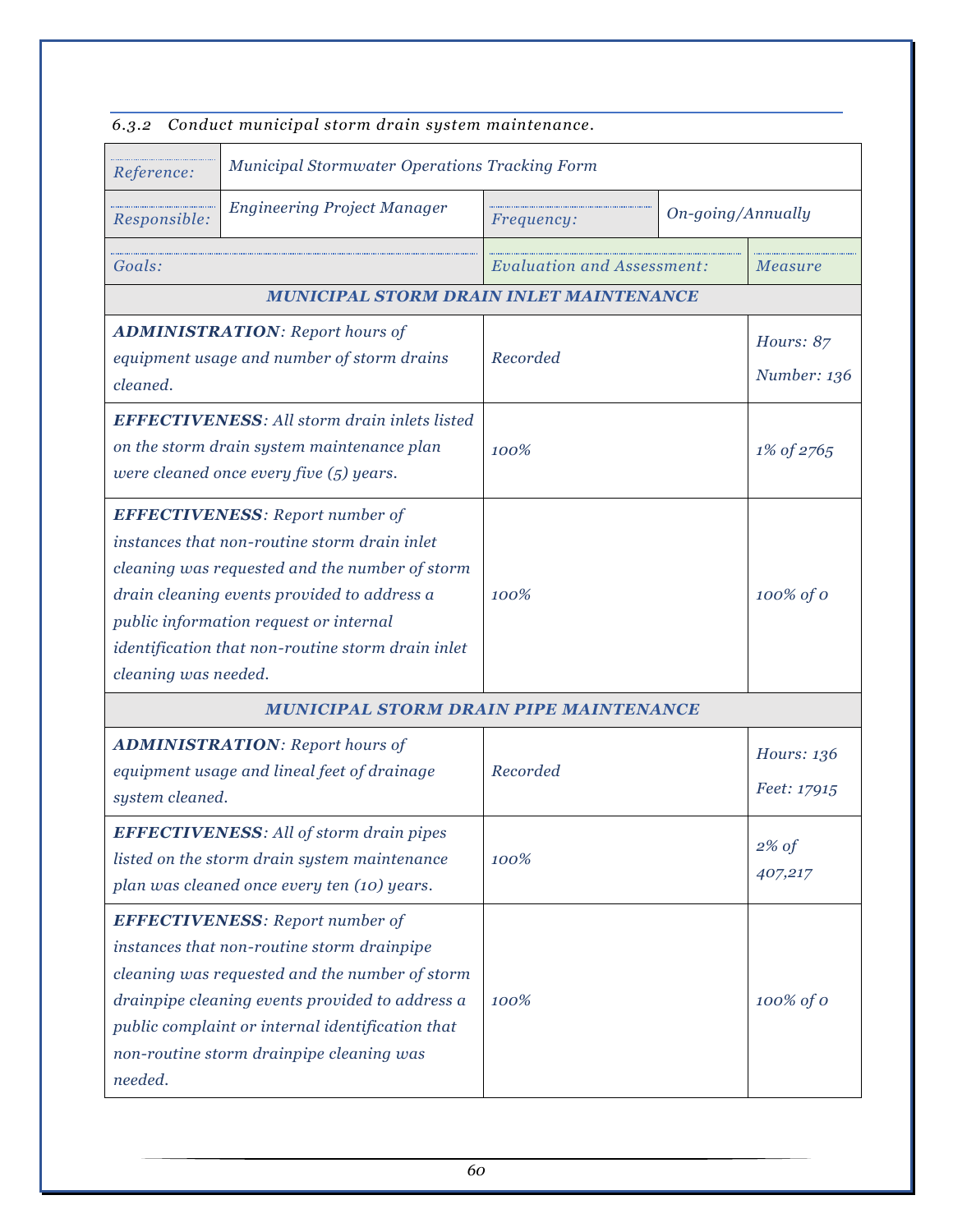| Reference:                                                                                                                                                                                                                                                                                                     | <b>Municipal Stormwater Operations Tracking Form</b>                                                                                                                                                                                                                                      |                                   |  |                           |
|----------------------------------------------------------------------------------------------------------------------------------------------------------------------------------------------------------------------------------------------------------------------------------------------------------------|-------------------------------------------------------------------------------------------------------------------------------------------------------------------------------------------------------------------------------------------------------------------------------------------|-----------------------------------|--|---------------------------|
| Responsible:                                                                                                                                                                                                                                                                                                   | <b>Engineering Project Manager</b>                                                                                                                                                                                                                                                        | On-going/Annually<br>Frequency:   |  |                           |
| Goals:                                                                                                                                                                                                                                                                                                         |                                                                                                                                                                                                                                                                                           | <b>Evaluation and Assessment:</b> |  | Measure                   |
|                                                                                                                                                                                                                                                                                                                | <b>MUNICIPAL STORM DRAIN INLET MAINTENANCE</b>                                                                                                                                                                                                                                            |                                   |  |                           |
| <b>ADMINISTRATION: Report hours of</b><br>equipment usage and number of storm drains<br>cleaned.                                                                                                                                                                                                               |                                                                                                                                                                                                                                                                                           | Recorded                          |  | Hours: 87<br>Number: 136  |
|                                                                                                                                                                                                                                                                                                                | <b>EFFECTIVENESS:</b> All storm drain inlets listed<br>on the storm drain system maintenance plan<br>were cleaned once every five (5) years.                                                                                                                                              | 100%                              |  | 1% of 2765                |
| <b>EFFECTIVENESS:</b> Report number of<br>instances that non-routine storm drain inlet<br>cleaning was requested and the number of storm<br>drain cleaning events provided to address a<br>public information request or internal<br>identification that non-routine storm drain inlet<br>cleaning was needed. |                                                                                                                                                                                                                                                                                           | 100%                              |  | 100% of 0                 |
|                                                                                                                                                                                                                                                                                                                | <b>MUNICIPAL STORM DRAIN PIPE MAINTENANCE</b>                                                                                                                                                                                                                                             |                                   |  |                           |
| system cleaned.                                                                                                                                                                                                                                                                                                | <b>ADMINISTRATION: Report hours of</b><br>equipment usage and lineal feet of drainage                                                                                                                                                                                                     | Recorded                          |  | Hours: 136<br>Feet: 17915 |
| <b>EFFECTIVENESS:</b> All of storm drain pipes<br>listed on the storm drain system maintenance<br>plan was cleaned once every ten (10) years.                                                                                                                                                                  |                                                                                                                                                                                                                                                                                           | 100%                              |  | $2\%$ of<br>407,217       |
| needed.                                                                                                                                                                                                                                                                                                        | <b>EFFECTIVENESS:</b> Report number of<br>instances that non-routine storm drainpipe<br>cleaning was requested and the number of storm<br>drainpipe cleaning events provided to address a<br>public complaint or internal identification that<br>non-routine storm drainpipe cleaning was | 100%                              |  | $100\%$ of 0              |

### *6.3.2 Conduct municipal storm drain system maintenance.*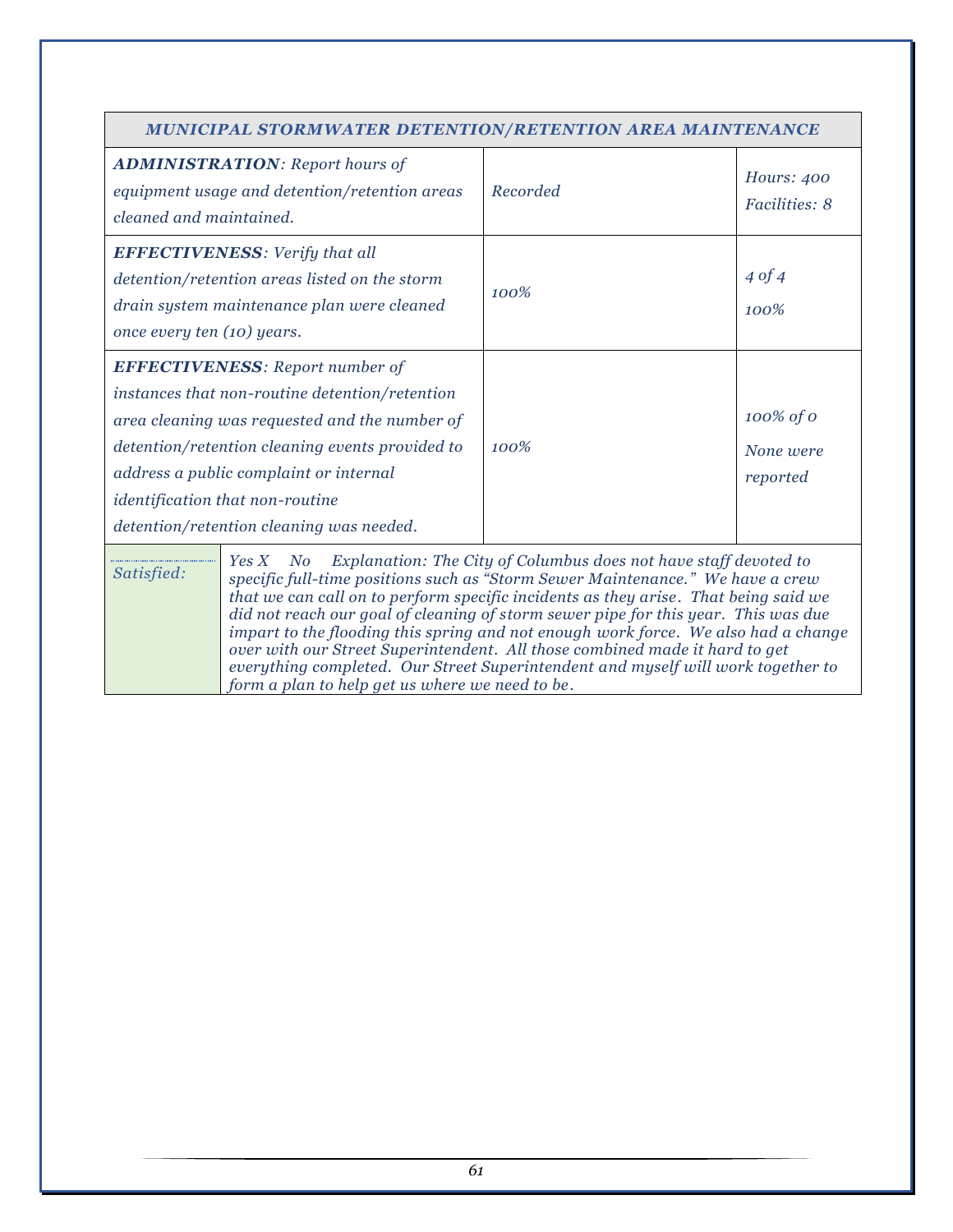| MUNICIPAL STORMWATER DETENTION/RETENTION AREA MAINTENANCE                                                                                                                                                                                                                                                                                                                                                                                           |  |          |                                       |  |  |
|-----------------------------------------------------------------------------------------------------------------------------------------------------------------------------------------------------------------------------------------------------------------------------------------------------------------------------------------------------------------------------------------------------------------------------------------------------|--|----------|---------------------------------------|--|--|
| <b>ADMINISTRATION:</b> Report hours of<br>equipment usage and detention/retention areas<br>cleaned and maintained.                                                                                                                                                                                                                                                                                                                                  |  | Recorded | Hours: 400<br>Facilities: 8           |  |  |
| <b>EFFECTIVENESS:</b> Verify that all<br>detention/retention areas listed on the storm<br>drain system maintenance plan were cleaned<br>once every ten (10) years.                                                                                                                                                                                                                                                                                  |  | 100%     | 40f4<br>100%                          |  |  |
| <b>EFFECTIVENESS:</b> Report number of<br>instances that non-routine detention/retention<br>area cleaning was requested and the number of<br>detention/retention cleaning events provided to<br>address a public complaint or internal<br><i>identification that non-routine</i><br>detention/retention cleaning was needed.                                                                                                                        |  | 100%     | $100\%$ of O<br>None were<br>reported |  |  |
| Explanation: The City of Columbus does not have staff devoted to<br>Yes X<br>N o<br>Satisfied:<br>specific full-time positions such as "Storm Sewer Maintenance." We have a crew<br>that we can call on to perform specific incidents as they arise. That being said we<br>did not reach our goal of cleaning of storm sewer pipe for this year. This was due<br>impart to the flooding this spring and not enough work force. We also had a change |  |          |                                       |  |  |

Г

## *over with our Street Superintendent. All those combined made it hard to get everything completed. Our Street Superintendent and myself will work together to form a plan to help get us where we need to be.*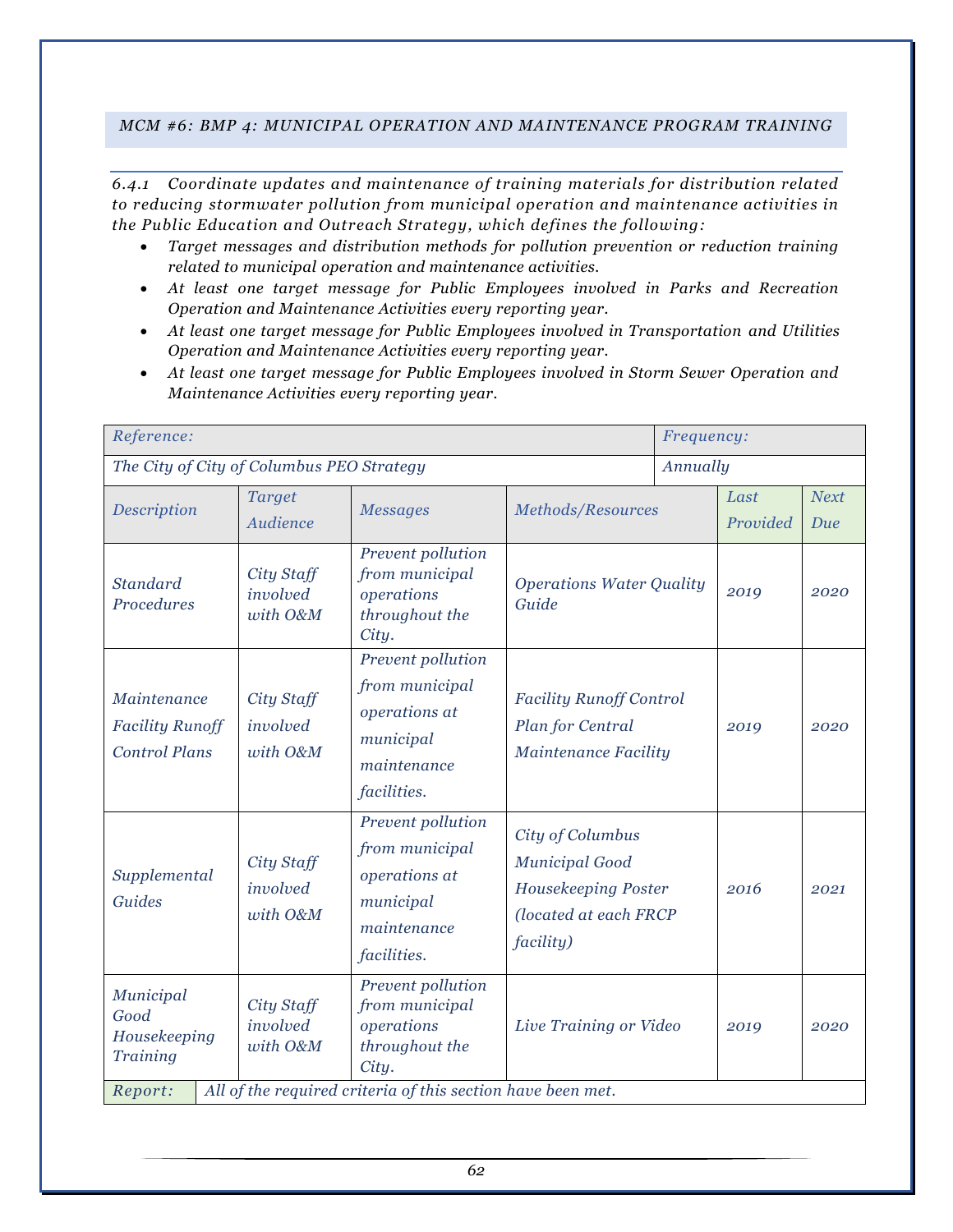#### <span id="page-62-0"></span>*MCM #6: BMP 4: MUNICIPAL OPERATION AND MAINTENANCE PROGRAM TRAINING*

*6.4.1 Coordinate updates and maintenance of training materials for distribution related to reducing stormwater pollution from municipal operation and maintenance activities in the Public Education and Outreach Strategy, which defines the following:* 

- *Target messages and distribution methods for pollution prevention or reduction training related to municipal operation and maintenance activities.*
- *At least one target message for Public Employees involved in Parks and Recreation Operation and Maintenance Activities every reporting year.*
- *At least one target message for Public Employees involved in Transportation and Utilities Operation and Maintenance Activities every reporting year.*
- *At least one target message for Public Employees involved in Storm Sewer Operation and Maintenance Activities every reporting year.*

| Reference:                                                    |                                           |                                                                                                        |                                                                                                         |          | Frequency:       |                    |
|---------------------------------------------------------------|-------------------------------------------|--------------------------------------------------------------------------------------------------------|---------------------------------------------------------------------------------------------------------|----------|------------------|--------------------|
|                                                               | The City of City of Columbus PEO Strategy |                                                                                                        |                                                                                                         | Annually |                  |                    |
| Description                                                   | <b>Target</b><br>Audience                 | <b>Messages</b>                                                                                        | Methods/Resources                                                                                       |          | Last<br>Provided | <b>Next</b><br>Due |
| <b>Standard</b><br>Procedures                                 | City Staff<br>involved<br>with O&M        | Prevent pollution<br>from municipal<br>operations<br>throughout the<br>City.                           | <b>Operations Water Quality</b><br>Guide                                                                |          | 2019             | 2020               |
| Maintenance<br><b>Facility Runoff</b><br><b>Control Plans</b> | <b>City Staff</b><br>involved<br>with O&M | Prevent pollution<br>from municipal<br>operations at<br>municipal<br>maintenance<br><i>facilities.</i> | <b>Facility Runoff Control</b><br>Plan for Central<br><b>Maintenance Facility</b>                       |          | 2019             | 2020               |
| Supplemental<br>Guides                                        | <b>City Staff</b><br>involved<br>with O&M | Prevent pollution<br>from municipal<br>operations at<br>municipal<br>maintenance<br><i>facilities.</i> | City of Columbus<br>Municipal Good<br>Housekeeping Poster<br>(located at each FRCP<br><i>facility</i> ) |          | 2016             | 2021               |
| Municipal<br>Good<br>Housekeeping<br>Training<br>Report:      | <b>City Staff</b><br>involved<br>with O&M | Prevent pollution<br>from municipal<br>operations<br>throughout the<br>City.                           | Live Training or Video                                                                                  |          | 2019             | 2020               |
|                                                               |                                           | All of the required criteria of this section have been met.                                            |                                                                                                         |          |                  |                    |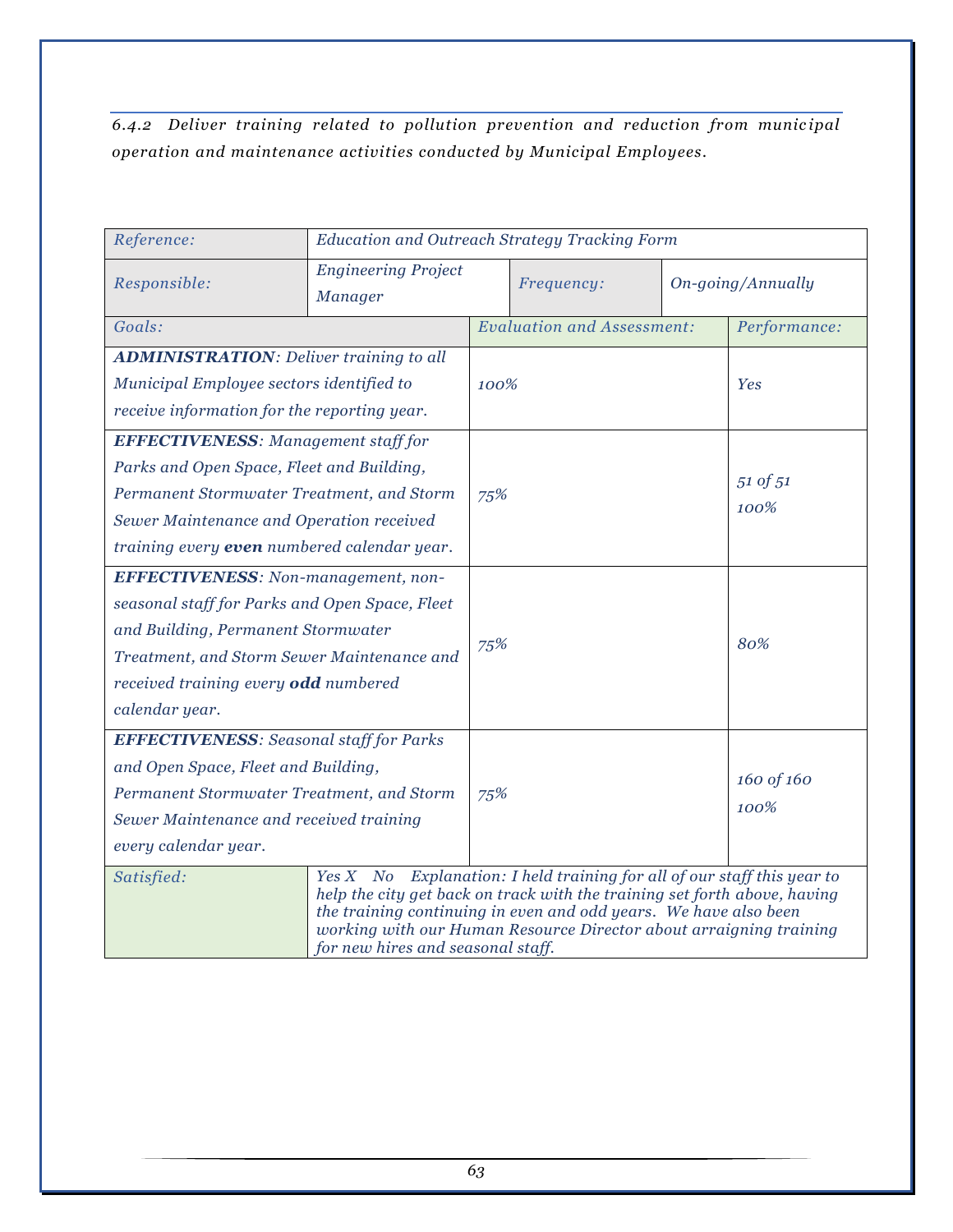*6.4.2 Deliver training related to pollution prevention and reduction from munic ipal operation and maintenance activities conducted by Municipal Employees.*

| Reference:                                                                                                                                                                                                                                                                                                                                                                                                                                                                                  |                                              | <b>Education and Outreach Strategy Tracking Form</b> |                                   |                   |                                                                                      |
|---------------------------------------------------------------------------------------------------------------------------------------------------------------------------------------------------------------------------------------------------------------------------------------------------------------------------------------------------------------------------------------------------------------------------------------------------------------------------------------------|----------------------------------------------|------------------------------------------------------|-----------------------------------|-------------------|--------------------------------------------------------------------------------------|
| Responsible:                                                                                                                                                                                                                                                                                                                                                                                                                                                                                | <b>Engineering Project</b><br><b>Manager</b> | Frequency:                                           |                                   | On-going/Annually |                                                                                      |
| Goals:                                                                                                                                                                                                                                                                                                                                                                                                                                                                                      |                                              |                                                      | <b>Evaluation and Assessment:</b> |                   | Performance:                                                                         |
| <b>ADMINISTRATION:</b> Deliver training to all<br>Municipal Employee sectors identified to<br>receive information for the reporting year.<br><b>EFFECTIVENESS:</b> Management staff for<br>Parks and Open Space, Fleet and Building,<br>Permanent Stormwater Treatment, and Storm<br>Sewer Maintenance and Operation received<br>training every even numbered calendar year.                                                                                                                |                                              | 100%<br>75%                                          |                                   |                   | Yes<br>51 of 51<br>100%                                                              |
| EFFECTIVENESS: Non-management, non-<br>seasonal staff for Parks and Open Space, Fleet<br>and Building, Permanent Stormwater<br>Treatment, and Storm Sewer Maintenance and<br>received training every odd numbered<br>calendar year.                                                                                                                                                                                                                                                         |                                              | 75%                                                  |                                   |                   | 80%                                                                                  |
| <b>EFFECTIVENESS:</b> Seasonal staff for Parks<br>and Open Space, Fleet and Building,<br>Permanent Stormwater Treatment, and Storm<br>Sewer Maintenance and received training<br>every calendar year.<br>Yes X No<br>Satisfied:<br>help the city get back on track with the training set forth above, having<br>the training continuing in even and odd years. We have also been<br>working with our Human Resource Director about arraigning training<br>for new hires and seasonal staff. |                                              | 75%                                                  |                                   |                   | 160 of 160<br>100%<br>Explanation: I held training for all of our staff this year to |